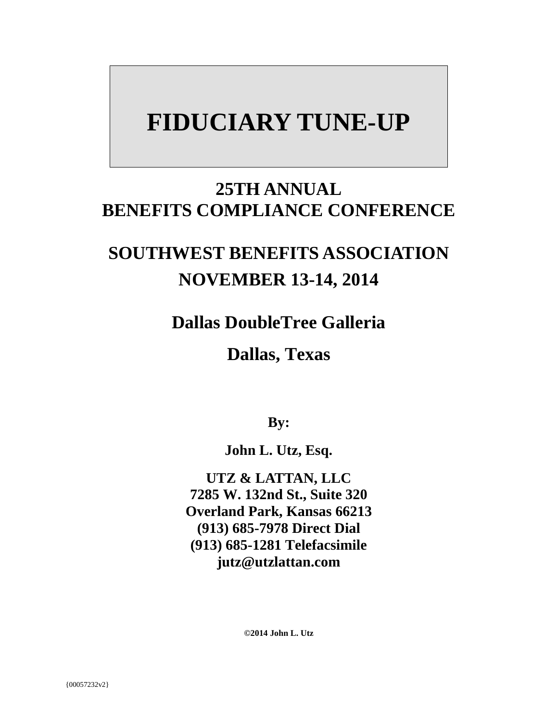# **FIDUCIARY TUNE-UP**

### **25TH ANNUAL BENEFITS COMPLIANCE CONFERENCE**

## **SOUTHWEST BENEFITS ASSOCIATION NOVEMBER 13-14, 2014**

**Dallas DoubleTree Galleria** 

**Dallas, Texas**

**By:**

**John L. Utz, Esq.** 

**UTZ & LATTAN, LLC 7285 W. 132nd St., Suite 320 Overland Park, Kansas 66213 (913) 685-7978 Direct Dial (913) 685-1281 Telefacsimile jutz@utzlattan.com** 

**©2014 John L. Utz**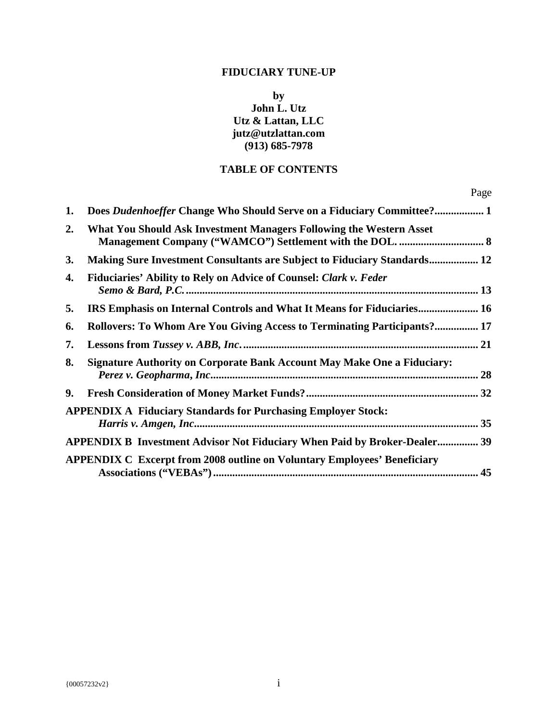#### **FIDUCIARY TUNE-UP**

**by John L. Utz Utz & Lattan, LLC jutz@utzlattan.com (913) 685-7978** 

#### **TABLE OF CONTENTS**

| 1.        | Does Dudenhoeffer Change Who Should Serve on a Fiduciary Committee? 1           |  |
|-----------|---------------------------------------------------------------------------------|--|
| 2.        | What You Should Ask Investment Managers Following the Western Asset             |  |
| <b>3.</b> | <b>Making Sure Investment Consultants are Subject to Fiduciary Standards 12</b> |  |
| 4.        | Fiduciaries' Ability to Rely on Advice of Counsel: Clark v. Feder               |  |
| 5.        | IRS Emphasis on Internal Controls and What It Means for Fiduciaries 16          |  |
| 6.        | Rollovers: To Whom Are You Giving Access to Terminating Participants? 17        |  |
| 7.        |                                                                                 |  |
| 8.        | <b>Signature Authority on Corporate Bank Account May Make One a Fiduciary:</b>  |  |
| 9.        |                                                                                 |  |
|           | <b>APPENDIX A Fiduciary Standards for Purchasing Employer Stock:</b>            |  |
|           | APPENDIX B Investment Advisor Not Fiduciary When Paid by Broker-Dealer 39       |  |
|           | <b>APPENDIX C Excerpt from 2008 outline on Voluntary Employees' Beneficiary</b> |  |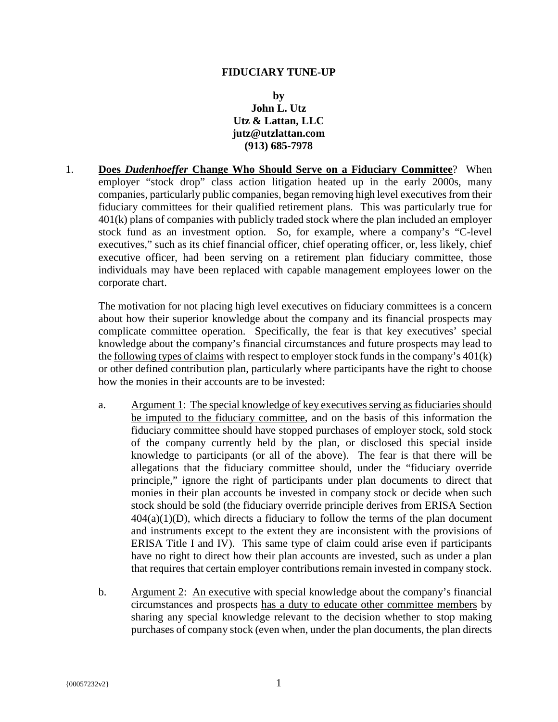#### **FIDUCIARY TUNE-UP**

#### **by John L. Utz Utz & Lattan, LLC jutz@utzlattan.com (913) 685-7978**

1. **Does** *Dudenhoeffer* **Change Who Should Serve on a Fiduciary Committee**? When employer "stock drop" class action litigation heated up in the early 2000s, many companies, particularly public companies, began removing high level executives from their fiduciary committees for their qualified retirement plans. This was particularly true for 401(k) plans of companies with publicly traded stock where the plan included an employer stock fund as an investment option. So, for example, where a company's "C-level executives," such as its chief financial officer, chief operating officer, or, less likely, chief executive officer, had been serving on a retirement plan fiduciary committee, those individuals may have been replaced with capable management employees lower on the corporate chart.

The motivation for not placing high level executives on fiduciary committees is a concern about how their superior knowledge about the company and its financial prospects may complicate committee operation. Specifically, the fear is that key executives' special knowledge about the company's financial circumstances and future prospects may lead to the following types of claims with respect to employer stock funds in the company's 401(k) or other defined contribution plan, particularly where participants have the right to choose how the monies in their accounts are to be invested:

- a. Argument 1: The special knowledge of key executives serving as fiduciaries should be imputed to the fiduciary committee, and on the basis of this information the fiduciary committee should have stopped purchases of employer stock, sold stock of the company currently held by the plan, or disclosed this special inside knowledge to participants (or all of the above). The fear is that there will be allegations that the fiduciary committee should, under the "fiduciary override principle," ignore the right of participants under plan documents to direct that monies in their plan accounts be invested in company stock or decide when such stock should be sold (the fiduciary override principle derives from ERISA Section  $404(a)(1)(D)$ , which directs a fiduciary to follow the terms of the plan document and instruments except to the extent they are inconsistent with the provisions of ERISA Title I and IV). This same type of claim could arise even if participants have no right to direct how their plan accounts are invested, such as under a plan that requires that certain employer contributions remain invested in company stock.
- b. Argument 2: An executive with special knowledge about the company's financial circumstances and prospects has a duty to educate other committee members by sharing any special knowledge relevant to the decision whether to stop making purchases of company stock (even when, under the plan documents, the plan directs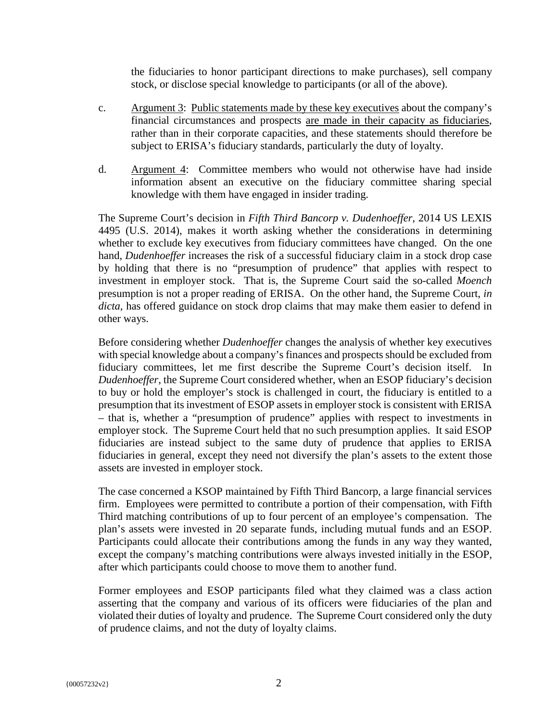the fiduciaries to honor participant directions to make purchases), sell company stock, or disclose special knowledge to participants (or all of the above).

- c. Argument 3: Public statements made by these key executives about the company's financial circumstances and prospects are made in their capacity as fiduciaries, rather than in their corporate capacities, and these statements should therefore be subject to ERISA's fiduciary standards, particularly the duty of loyalty.
- d. Argument 4: Committee members who would not otherwise have had inside information absent an executive on the fiduciary committee sharing special knowledge with them have engaged in insider trading.

The Supreme Court's decision in *Fifth Third Bancorp v. Dudenhoeffer*, 2014 US LEXIS 4495 (U.S. 2014), makes it worth asking whether the considerations in determining whether to exclude key executives from fiduciary committees have changed. On the one hand, *Dudenhoeffer* increases the risk of a successful fiduciary claim in a stock drop case by holding that there is no "presumption of prudence" that applies with respect to investment in employer stock. That is, the Supreme Court said the so-called *Moench* presumption is not a proper reading of ERISA. On the other hand, the Supreme Court, *in dicta*, has offered guidance on stock drop claims that may make them easier to defend in other ways.

Before considering whether *Dudenhoeffer* changes the analysis of whether key executives with special knowledge about a company's finances and prospects should be excluded from fiduciary committees, let me first describe the Supreme Court's decision itself. In *Dudenhoeffer*, the Supreme Court considered whether, when an ESOP fiduciary's decision to buy or hold the employer's stock is challenged in court, the fiduciary is entitled to a presumption that its investment of ESOP assets in employer stock is consistent with ERISA – that is, whether a "presumption of prudence" applies with respect to investments in employer stock. The Supreme Court held that no such presumption applies. It said ESOP fiduciaries are instead subject to the same duty of prudence that applies to ERISA fiduciaries in general, except they need not diversify the plan's assets to the extent those assets are invested in employer stock.

The case concerned a KSOP maintained by Fifth Third Bancorp, a large financial services firm. Employees were permitted to contribute a portion of their compensation, with Fifth Third matching contributions of up to four percent of an employee's compensation. The plan's assets were invested in 20 separate funds, including mutual funds and an ESOP. Participants could allocate their contributions among the funds in any way they wanted, except the company's matching contributions were always invested initially in the ESOP, after which participants could choose to move them to another fund.

Former employees and ESOP participants filed what they claimed was a class action asserting that the company and various of its officers were fiduciaries of the plan and violated their duties of loyalty and prudence. The Supreme Court considered only the duty of prudence claims, and not the duty of loyalty claims.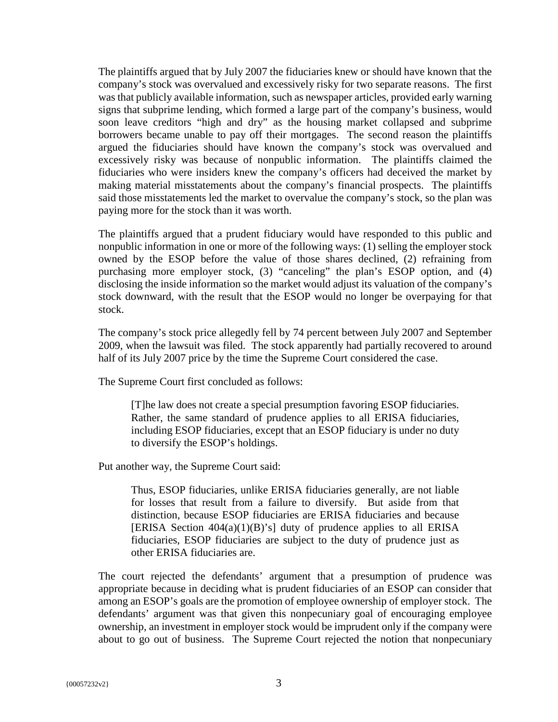The plaintiffs argued that by July 2007 the fiduciaries knew or should have known that the company's stock was overvalued and excessively risky for two separate reasons. The first was that publicly available information, such as newspaper articles, provided early warning signs that subprime lending, which formed a large part of the company's business, would soon leave creditors "high and dry" as the housing market collapsed and subprime borrowers became unable to pay off their mortgages. The second reason the plaintiffs argued the fiduciaries should have known the company's stock was overvalued and excessively risky was because of nonpublic information. The plaintiffs claimed the fiduciaries who were insiders knew the company's officers had deceived the market by making material misstatements about the company's financial prospects. The plaintiffs said those misstatements led the market to overvalue the company's stock, so the plan was paying more for the stock than it was worth.

The plaintiffs argued that a prudent fiduciary would have responded to this public and nonpublic information in one or more of the following ways: (1) selling the employer stock owned by the ESOP before the value of those shares declined, (2) refraining from purchasing more employer stock, (3) "canceling" the plan's ESOP option, and (4) disclosing the inside information so the market would adjust its valuation of the company's stock downward, with the result that the ESOP would no longer be overpaying for that stock.

The company's stock price allegedly fell by 74 percent between July 2007 and September 2009, when the lawsuit was filed. The stock apparently had partially recovered to around half of its July 2007 price by the time the Supreme Court considered the case.

The Supreme Court first concluded as follows:

[T]he law does not create a special presumption favoring ESOP fiduciaries. Rather, the same standard of prudence applies to all ERISA fiduciaries, including ESOP fiduciaries, except that an ESOP fiduciary is under no duty to diversify the ESOP's holdings.

Put another way, the Supreme Court said:

Thus, ESOP fiduciaries, unlike ERISA fiduciaries generally, are not liable for losses that result from a failure to diversify. But aside from that distinction, because ESOP fiduciaries are ERISA fiduciaries and because [ERISA Section  $404(a)(1)(B)$ 's] duty of prudence applies to all ERISA fiduciaries, ESOP fiduciaries are subject to the duty of prudence just as other ERISA fiduciaries are.

The court rejected the defendants' argument that a presumption of prudence was appropriate because in deciding what is prudent fiduciaries of an ESOP can consider that among an ESOP's goals are the promotion of employee ownership of employer stock. The defendants' argument was that given this nonpecuniary goal of encouraging employee ownership, an investment in employer stock would be imprudent only if the company were about to go out of business. The Supreme Court rejected the notion that nonpecuniary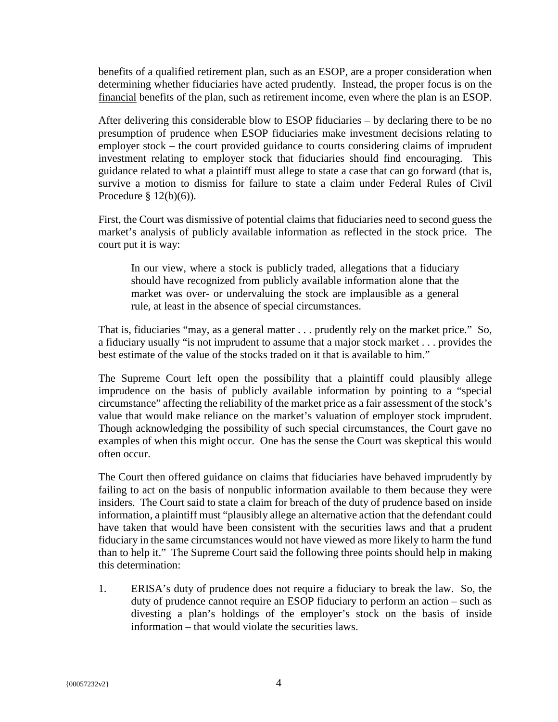benefits of a qualified retirement plan, such as an ESOP, are a proper consideration when determining whether fiduciaries have acted prudently. Instead, the proper focus is on the financial benefits of the plan, such as retirement income, even where the plan is an ESOP.

After delivering this considerable blow to ESOP fiduciaries – by declaring there to be no presumption of prudence when ESOP fiduciaries make investment decisions relating to employer stock – the court provided guidance to courts considering claims of imprudent investment relating to employer stock that fiduciaries should find encouraging. This guidance related to what a plaintiff must allege to state a case that can go forward (that is, survive a motion to dismiss for failure to state a claim under Federal Rules of Civil Procedure  $\S 12(b)(6)$ .

First, the Court was dismissive of potential claims that fiduciaries need to second guess the market's analysis of publicly available information as reflected in the stock price. The court put it is way:

In our view, where a stock is publicly traded, allegations that a fiduciary should have recognized from publicly available information alone that the market was over- or undervaluing the stock are implausible as a general rule, at least in the absence of special circumstances.

That is, fiduciaries "may, as a general matter . . . prudently rely on the market price." So, a fiduciary usually "is not imprudent to assume that a major stock market . . . provides the best estimate of the value of the stocks traded on it that is available to him."

The Supreme Court left open the possibility that a plaintiff could plausibly allege imprudence on the basis of publicly available information by pointing to a "special circumstance" affecting the reliability of the market price as a fair assessment of the stock's value that would make reliance on the market's valuation of employer stock imprudent. Though acknowledging the possibility of such special circumstances, the Court gave no examples of when this might occur. One has the sense the Court was skeptical this would often occur.

The Court then offered guidance on claims that fiduciaries have behaved imprudently by failing to act on the basis of nonpublic information available to them because they were insiders. The Court said to state a claim for breach of the duty of prudence based on inside information, a plaintiff must "plausibly allege an alternative action that the defendant could have taken that would have been consistent with the securities laws and that a prudent fiduciary in the same circumstances would not have viewed as more likely to harm the fund than to help it." The Supreme Court said the following three points should help in making this determination:

1. ERISA's duty of prudence does not require a fiduciary to break the law. So, the duty of prudence cannot require an ESOP fiduciary to perform an action – such as divesting a plan's holdings of the employer's stock on the basis of inside information – that would violate the securities laws.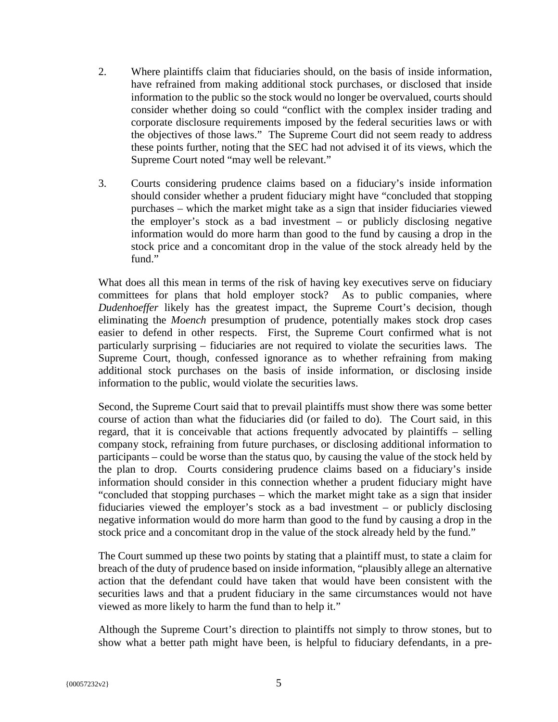- 2. Where plaintiffs claim that fiduciaries should, on the basis of inside information, have refrained from making additional stock purchases, or disclosed that inside information to the public so the stock would no longer be overvalued, courts should consider whether doing so could "conflict with the complex insider trading and corporate disclosure requirements imposed by the federal securities laws or with the objectives of those laws." The Supreme Court did not seem ready to address these points further, noting that the SEC had not advised it of its views, which the Supreme Court noted "may well be relevant."
- 3. Courts considering prudence claims based on a fiduciary's inside information should consider whether a prudent fiduciary might have "concluded that stopping purchases – which the market might take as a sign that insider fiduciaries viewed the employer's stock as a bad investment – or publicly disclosing negative information would do more harm than good to the fund by causing a drop in the stock price and a concomitant drop in the value of the stock already held by the fund."

What does all this mean in terms of the risk of having key executives serve on fiduciary committees for plans that hold employer stock? As to public companies, where *Dudenhoeffer* likely has the greatest impact, the Supreme Court's decision, though eliminating the *Moench* presumption of prudence, potentially makes stock drop cases easier to defend in other respects. First, the Supreme Court confirmed what is not particularly surprising – fiduciaries are not required to violate the securities laws. The Supreme Court, though, confessed ignorance as to whether refraining from making additional stock purchases on the basis of inside information, or disclosing inside information to the public, would violate the securities laws.

Second, the Supreme Court said that to prevail plaintiffs must show there was some better course of action than what the fiduciaries did (or failed to do). The Court said, in this regard, that it is conceivable that actions frequently advocated by plaintiffs – selling company stock, refraining from future purchases, or disclosing additional information to participants – could be worse than the status quo, by causing the value of the stock held by the plan to drop. Courts considering prudence claims based on a fiduciary's inside information should consider in this connection whether a prudent fiduciary might have "concluded that stopping purchases – which the market might take as a sign that insider fiduciaries viewed the employer's stock as a bad investment – or publicly disclosing negative information would do more harm than good to the fund by causing a drop in the stock price and a concomitant drop in the value of the stock already held by the fund."

The Court summed up these two points by stating that a plaintiff must, to state a claim for breach of the duty of prudence based on inside information, "plausibly allege an alternative action that the defendant could have taken that would have been consistent with the securities laws and that a prudent fiduciary in the same circumstances would not have viewed as more likely to harm the fund than to help it."

Although the Supreme Court's direction to plaintiffs not simply to throw stones, but to show what a better path might have been, is helpful to fiduciary defendants, in a pre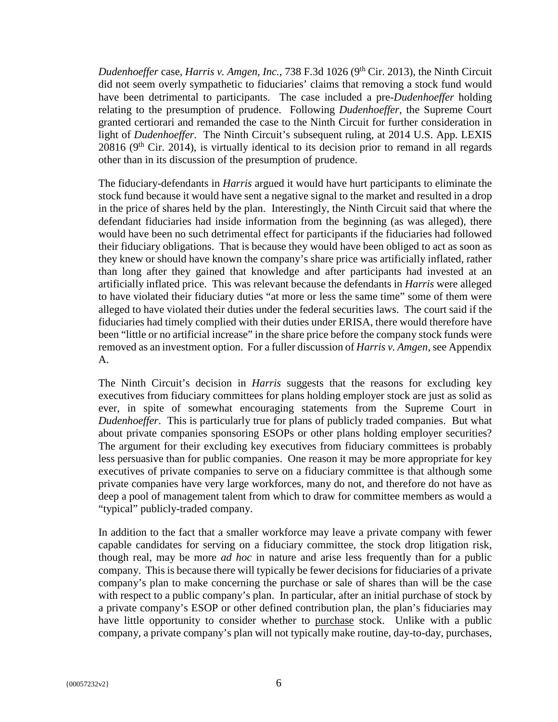*Dudenhoeffer* case, *Harris v. Amgen, Inc.*, 738 F.3d 1026 (9<sup>th</sup> Cir. 2013), the Ninth Circuit did not seem overly sympathetic to fiduciaries' claims that removing a stock fund would have been detrimental to participants. The case included a pre-*Dudenhoeffer* holding relating to the presumption of prudence. Following *Dudenhoeffer*, the Supreme Court granted certiorari and remanded the case to the Ninth Circuit for further consideration in light of *Dudenhoeffer*. The Ninth Circuit's subsequent ruling, at 2014 U.S. App. LEXIS  $20816$  ( $9<sup>th</sup>$  Cir. 2014), is virtually identical to its decision prior to remand in all regards other than in its discussion of the presumption of prudence.

The fiduciary-defendants in *Harris* argued it would have hurt participants to eliminate the stock fund because it would have sent a negative signal to the market and resulted in a drop in the price of shares held by the plan. Interestingly, the Ninth Circuit said that where the defendant fiduciaries had inside information from the beginning (as was alleged), there would have been no such detrimental effect for participants if the fiduciaries had followed their fiduciary obligations. That is because they would have been obliged to act as soon as they knew or should have known the company's share price was artificially inflated, rather than long after they gained that knowledge and after participants had invested at an artificially inflated price. This was relevant because the defendants in *Harris* were alleged to have violated their fiduciary duties "at more or less the same time" some of them were alleged to have violated their duties under the federal securities laws. The court said if the fiduciaries had timely complied with their duties under ERISA, there would therefore have been "little or no artificial increase" in the share price before the company stock funds were removed as an investment option. For a fuller discussion of *Harris v. Amgen*, see Appendix A.

The Ninth Circuit's decision in *Harris* suggests that the reasons for excluding key executives from fiduciary committees for plans holding employer stock are just as solid as ever, in spite of somewhat encouraging statements from the Supreme Court in *Dudenhoeffer*. This is particularly true for plans of publicly traded companies. But what about private companies sponsoring ESOPs or other plans holding employer securities? The argument for their excluding key executives from fiduciary committees is probably less persuasive than for public companies. One reason it may be more appropriate for key executives of private companies to serve on a fiduciary committee is that although some private companies have very large workforces, many do not, and therefore do not have as deep a pool of management talent from which to draw for committee members as would a "typical" publicly-traded company.

In addition to the fact that a smaller workforce may leave a private company with fewer capable candidates for serving on a fiduciary committee, the stock drop litigation risk, though real, may be more *ad hoc* in nature and arise less frequently than for a public company. This is because there will typically be fewer decisions for fiduciaries of a private company's plan to make concerning the purchase or sale of shares than will be the case with respect to a public company's plan. In particular, after an initial purchase of stock by a private company's ESOP or other defined contribution plan, the plan's fiduciaries may have little opportunity to consider whether to purchase stock. Unlike with a public company, a private company's plan will not typically make routine, day-to-day, purchases,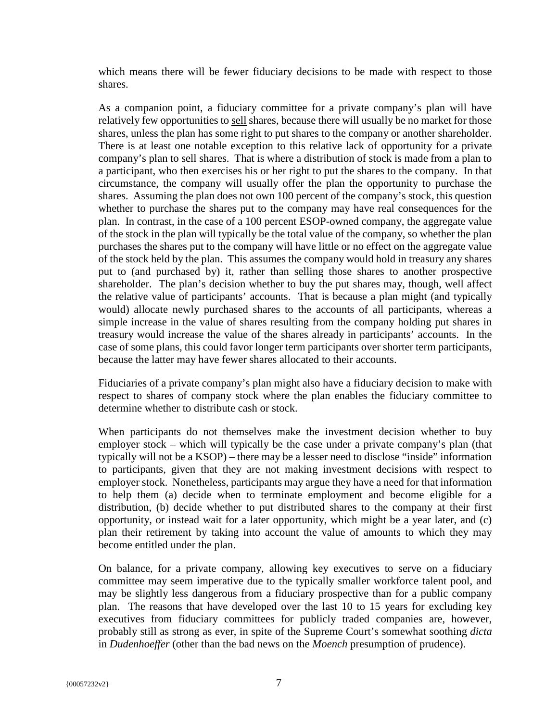which means there will be fewer fiduciary decisions to be made with respect to those shares.

As a companion point, a fiduciary committee for a private company's plan will have relatively few opportunities to sell shares, because there will usually be no market for those shares, unless the plan has some right to put shares to the company or another shareholder. There is at least one notable exception to this relative lack of opportunity for a private company's plan to sell shares. That is where a distribution of stock is made from a plan to a participant, who then exercises his or her right to put the shares to the company. In that circumstance, the company will usually offer the plan the opportunity to purchase the shares. Assuming the plan does not own 100 percent of the company's stock, this question whether to purchase the shares put to the company may have real consequences for the plan. In contrast, in the case of a 100 percent ESOP-owned company, the aggregate value of the stock in the plan will typically be the total value of the company, so whether the plan purchases the shares put to the company will have little or no effect on the aggregate value of the stock held by the plan. This assumes the company would hold in treasury any shares put to (and purchased by) it, rather than selling those shares to another prospective shareholder. The plan's decision whether to buy the put shares may, though, well affect the relative value of participants' accounts. That is because a plan might (and typically would) allocate newly purchased shares to the accounts of all participants, whereas a simple increase in the value of shares resulting from the company holding put shares in treasury would increase the value of the shares already in participants' accounts. In the case of some plans, this could favor longer term participants over shorter term participants, because the latter may have fewer shares allocated to their accounts.

Fiduciaries of a private company's plan might also have a fiduciary decision to make with respect to shares of company stock where the plan enables the fiduciary committee to determine whether to distribute cash or stock.

When participants do not themselves make the investment decision whether to buy employer stock – which will typically be the case under a private company's plan (that typically will not be a KSOP) – there may be a lesser need to disclose "inside" information to participants, given that they are not making investment decisions with respect to employer stock. Nonetheless, participants may argue they have a need for that information to help them (a) decide when to terminate employment and become eligible for a distribution, (b) decide whether to put distributed shares to the company at their first opportunity, or instead wait for a later opportunity, which might be a year later, and (c) plan their retirement by taking into account the value of amounts to which they may become entitled under the plan.

On balance, for a private company, allowing key executives to serve on a fiduciary committee may seem imperative due to the typically smaller workforce talent pool, and may be slightly less dangerous from a fiduciary prospective than for a public company plan. The reasons that have developed over the last 10 to 15 years for excluding key executives from fiduciary committees for publicly traded companies are, however, probably still as strong as ever, in spite of the Supreme Court's somewhat soothing *dicta* in *Dudenhoeffer* (other than the bad news on the *Moench* presumption of prudence).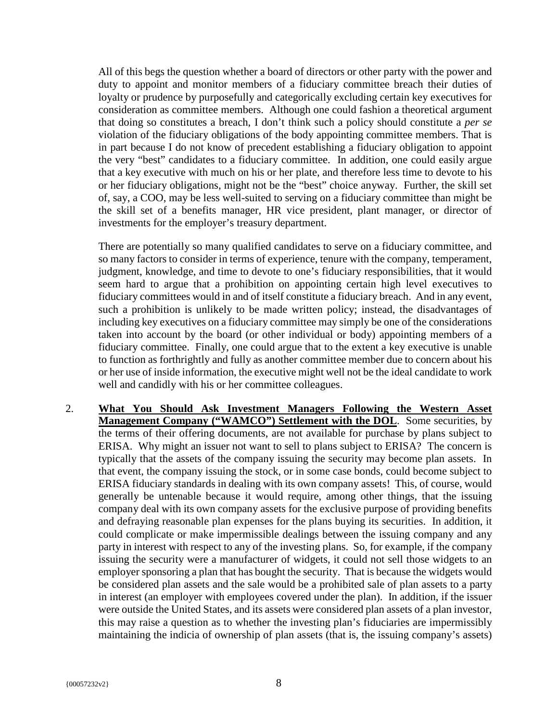All of this begs the question whether a board of directors or other party with the power and duty to appoint and monitor members of a fiduciary committee breach their duties of loyalty or prudence by purposefully and categorically excluding certain key executives for consideration as committee members. Although one could fashion a theoretical argument that doing so constitutes a breach, I don't think such a policy should constitute a *per se* violation of the fiduciary obligations of the body appointing committee members. That is in part because I do not know of precedent establishing a fiduciary obligation to appoint the very "best" candidates to a fiduciary committee. In addition, one could easily argue that a key executive with much on his or her plate, and therefore less time to devote to his or her fiduciary obligations, might not be the "best" choice anyway. Further, the skill set of, say, a COO, may be less well-suited to serving on a fiduciary committee than might be the skill set of a benefits manager, HR vice president, plant manager, or director of investments for the employer's treasury department.

There are potentially so many qualified candidates to serve on a fiduciary committee, and so many factors to consider in terms of experience, tenure with the company, temperament, judgment, knowledge, and time to devote to one's fiduciary responsibilities, that it would seem hard to argue that a prohibition on appointing certain high level executives to fiduciary committees would in and of itself constitute a fiduciary breach. And in any event, such a prohibition is unlikely to be made written policy; instead, the disadvantages of including key executives on a fiduciary committee may simply be one of the considerations taken into account by the board (or other individual or body) appointing members of a fiduciary committee. Finally, one could argue that to the extent a key executive is unable to function as forthrightly and fully as another committee member due to concern about his or her use of inside information, the executive might well not be the ideal candidate to work well and candidly with his or her committee colleagues.

2. **What You Should Ask Investment Managers Following the Western Asset Management Company ("WAMCO") Settlement with the DOL**. Some securities, by the terms of their offering documents, are not available for purchase by plans subject to ERISA. Why might an issuer not want to sell to plans subject to ERISA? The concern is typically that the assets of the company issuing the security may become plan assets. In that event, the company issuing the stock, or in some case bonds, could become subject to ERISA fiduciary standards in dealing with its own company assets! This, of course, would generally be untenable because it would require, among other things, that the issuing company deal with its own company assets for the exclusive purpose of providing benefits and defraying reasonable plan expenses for the plans buying its securities. In addition, it could complicate or make impermissible dealings between the issuing company and any party in interest with respect to any of the investing plans. So, for example, if the company issuing the security were a manufacturer of widgets, it could not sell those widgets to an employer sponsoring a plan that has bought the security. That is because the widgets would be considered plan assets and the sale would be a prohibited sale of plan assets to a party in interest (an employer with employees covered under the plan). In addition, if the issuer were outside the United States, and its assets were considered plan assets of a plan investor, this may raise a question as to whether the investing plan's fiduciaries are impermissibly maintaining the indicia of ownership of plan assets (that is, the issuing company's assets)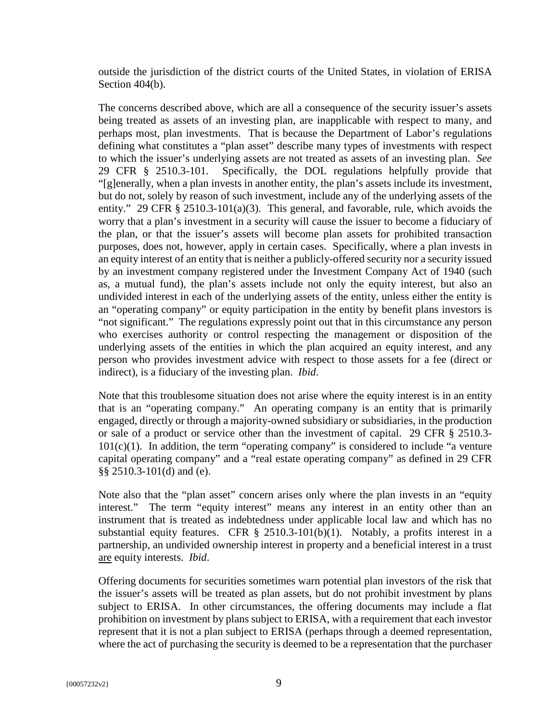outside the jurisdiction of the district courts of the United States, in violation of ERISA Section 404(b).

The concerns described above, which are all a consequence of the security issuer's assets being treated as assets of an investing plan, are inapplicable with respect to many, and perhaps most, plan investments. That is because the Department of Labor's regulations defining what constitutes a "plan asset" describe many types of investments with respect to which the issuer's underlying assets are not treated as assets of an investing plan. *See*  29 CFR § 2510.3-101. Specifically, the DOL regulations helpfully provide that "[g]enerally, when a plan invests in another entity, the plan's assets include its investment, but do not, solely by reason of such investment, include any of the underlying assets of the entity." 29 CFR § 2510.3-101(a)(3). This general, and favorable, rule, which avoids the worry that a plan's investment in a security will cause the issuer to become a fiduciary of the plan, or that the issuer's assets will become plan assets for prohibited transaction purposes, does not, however, apply in certain cases. Specifically, where a plan invests in an equity interest of an entity that is neither a publicly-offered security nor a security issued by an investment company registered under the Investment Company Act of 1940 (such as, a mutual fund), the plan's assets include not only the equity interest, but also an undivided interest in each of the underlying assets of the entity, unless either the entity is an "operating company" or equity participation in the entity by benefit plans investors is "not significant." The regulations expressly point out that in this circumstance any person who exercises authority or control respecting the management or disposition of the underlying assets of the entities in which the plan acquired an equity interest, and any person who provides investment advice with respect to those assets for a fee (direct or indirect), is a fiduciary of the investing plan. *Ibid*.

Note that this troublesome situation does not arise where the equity interest is in an entity that is an "operating company." An operating company is an entity that is primarily engaged, directly or through a majority-owned subsidiary or subsidiaries, in the production or sale of a product or service other than the investment of capital. 29 CFR § 2510.3-  $101(c)(1)$ . In addition, the term "operating company" is considered to include "a venture capital operating company" and a "real estate operating company" as defined in 29 CFR §§ 2510.3-101(d) and (e).

Note also that the "plan asset" concern arises only where the plan invests in an "equity interest." The term "equity interest" means any interest in an entity other than an instrument that is treated as indebtedness under applicable local law and which has no substantial equity features. CFR  $\S$  2510.3-101(b)(1). Notably, a profits interest in a partnership, an undivided ownership interest in property and a beneficial interest in a trust are equity interests. *Ibid*.

Offering documents for securities sometimes warn potential plan investors of the risk that the issuer's assets will be treated as plan assets, but do not prohibit investment by plans subject to ERISA. In other circumstances, the offering documents may include a flat prohibition on investment by plans subject to ERISA, with a requirement that each investor represent that it is not a plan subject to ERISA (perhaps through a deemed representation, where the act of purchasing the security is deemed to be a representation that the purchaser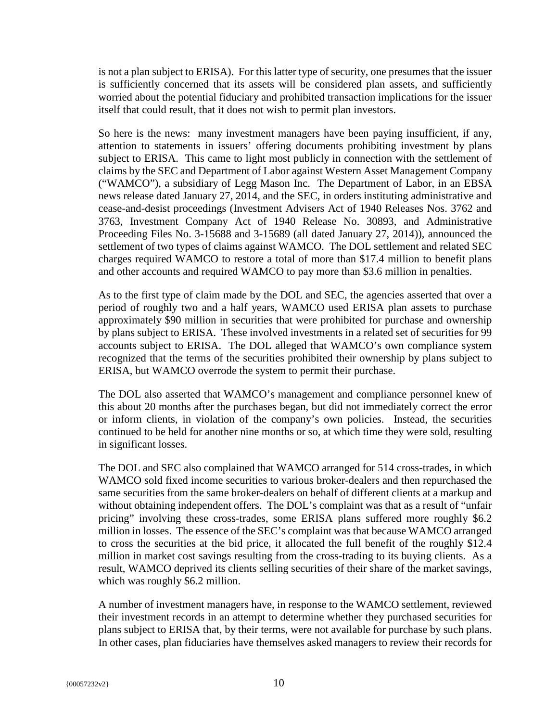is not a plan subject to ERISA). For this latter type of security, one presumes that the issuer is sufficiently concerned that its assets will be considered plan assets, and sufficiently worried about the potential fiduciary and prohibited transaction implications for the issuer itself that could result, that it does not wish to permit plan investors.

So here is the news: many investment managers have been paying insufficient, if any, attention to statements in issuers' offering documents prohibiting investment by plans subject to ERISA. This came to light most publicly in connection with the settlement of claims by the SEC and Department of Labor against Western Asset Management Company ("WAMCO"), a subsidiary of Legg Mason Inc. The Department of Labor, in an EBSA news release dated January 27, 2014, and the SEC, in orders instituting administrative and cease-and-desist proceedings (Investment Advisers Act of 1940 Releases Nos. 3762 and 3763, Investment Company Act of 1940 Release No. 30893, and Administrative Proceeding Files No. 3-15688 and 3-15689 (all dated January 27, 2014)), announced the settlement of two types of claims against WAMCO. The DOL settlement and related SEC charges required WAMCO to restore a total of more than \$17.4 million to benefit plans and other accounts and required WAMCO to pay more than \$3.6 million in penalties.

As to the first type of claim made by the DOL and SEC, the agencies asserted that over a period of roughly two and a half years, WAMCO used ERISA plan assets to purchase approximately \$90 million in securities that were prohibited for purchase and ownership by plans subject to ERISA. These involved investments in a related set of securities for 99 accounts subject to ERISA. The DOL alleged that WAMCO's own compliance system recognized that the terms of the securities prohibited their ownership by plans subject to ERISA, but WAMCO overrode the system to permit their purchase.

The DOL also asserted that WAMCO's management and compliance personnel knew of this about 20 months after the purchases began, but did not immediately correct the error or inform clients, in violation of the company's own policies. Instead, the securities continued to be held for another nine months or so, at which time they were sold, resulting in significant losses.

The DOL and SEC also complained that WAMCO arranged for 514 cross-trades, in which WAMCO sold fixed income securities to various broker-dealers and then repurchased the same securities from the same broker-dealers on behalf of different clients at a markup and without obtaining independent offers. The DOL's complaint was that as a result of "unfair pricing" involving these cross-trades, some ERISA plans suffered more roughly \$6.2 million in losses. The essence of the SEC's complaint was that because WAMCO arranged to cross the securities at the bid price, it allocated the full benefit of the roughly \$12.4 million in market cost savings resulting from the cross-trading to its buying clients. As a result, WAMCO deprived its clients selling securities of their share of the market savings, which was roughly \$6.2 million.

A number of investment managers have, in response to the WAMCO settlement, reviewed their investment records in an attempt to determine whether they purchased securities for plans subject to ERISA that, by their terms, were not available for purchase by such plans. In other cases, plan fiduciaries have themselves asked managers to review their records for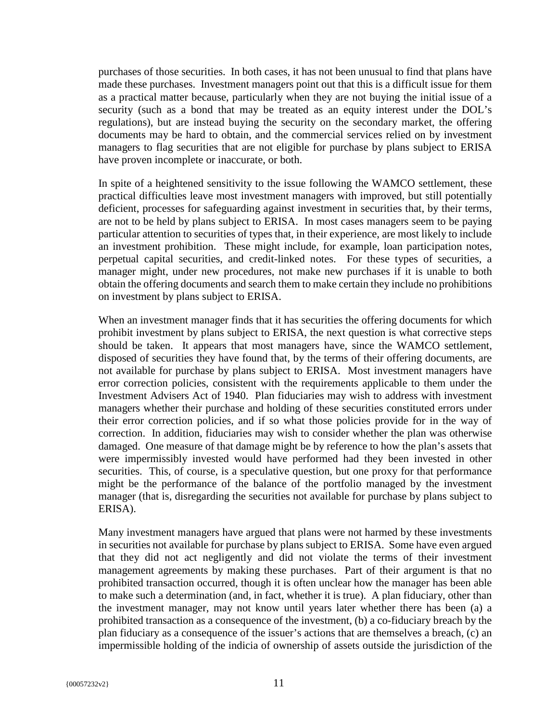purchases of those securities. In both cases, it has not been unusual to find that plans have made these purchases. Investment managers point out that this is a difficult issue for them as a practical matter because, particularly when they are not buying the initial issue of a security (such as a bond that may be treated as an equity interest under the DOL's regulations), but are instead buying the security on the secondary market, the offering documents may be hard to obtain, and the commercial services relied on by investment managers to flag securities that are not eligible for purchase by plans subject to ERISA have proven incomplete or inaccurate, or both.

In spite of a heightened sensitivity to the issue following the WAMCO settlement, these practical difficulties leave most investment managers with improved, but still potentially deficient, processes for safeguarding against investment in securities that, by their terms, are not to be held by plans subject to ERISA. In most cases managers seem to be paying particular attention to securities of types that, in their experience, are most likely to include an investment prohibition. These might include, for example, loan participation notes, perpetual capital securities, and credit-linked notes. For these types of securities, a manager might, under new procedures, not make new purchases if it is unable to both obtain the offering documents and search them to make certain they include no prohibitions on investment by plans subject to ERISA.

When an investment manager finds that it has securities the offering documents for which prohibit investment by plans subject to ERISA, the next question is what corrective steps should be taken. It appears that most managers have, since the WAMCO settlement, disposed of securities they have found that, by the terms of their offering documents, are not available for purchase by plans subject to ERISA. Most investment managers have error correction policies, consistent with the requirements applicable to them under the Investment Advisers Act of 1940. Plan fiduciaries may wish to address with investment managers whether their purchase and holding of these securities constituted errors under their error correction policies, and if so what those policies provide for in the way of correction. In addition, fiduciaries may wish to consider whether the plan was otherwise damaged. One measure of that damage might be by reference to how the plan's assets that were impermissibly invested would have performed had they been invested in other securities. This, of course, is a speculative question, but one proxy for that performance might be the performance of the balance of the portfolio managed by the investment manager (that is, disregarding the securities not available for purchase by plans subject to ERISA).

Many investment managers have argued that plans were not harmed by these investments in securities not available for purchase by plans subject to ERISA. Some have even argued that they did not act negligently and did not violate the terms of their investment management agreements by making these purchases. Part of their argument is that no prohibited transaction occurred, though it is often unclear how the manager has been able to make such a determination (and, in fact, whether it is true). A plan fiduciary, other than the investment manager, may not know until years later whether there has been (a) a prohibited transaction as a consequence of the investment, (b) a co-fiduciary breach by the plan fiduciary as a consequence of the issuer's actions that are themselves a breach, (c) an impermissible holding of the indicia of ownership of assets outside the jurisdiction of the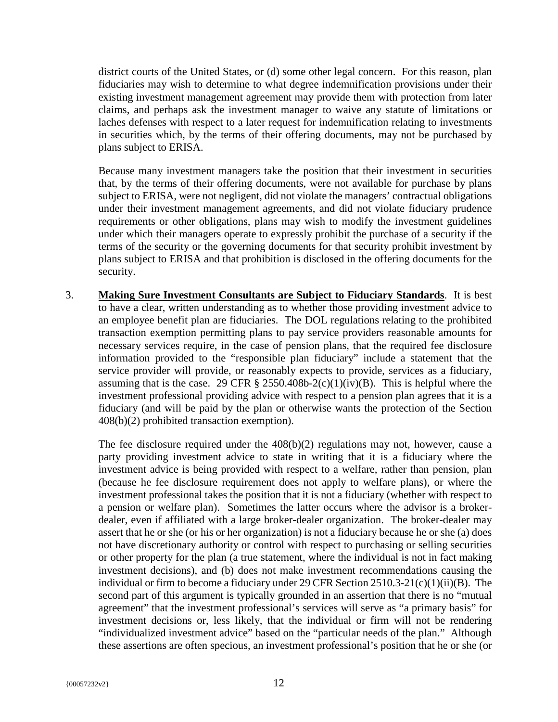district courts of the United States, or (d) some other legal concern. For this reason, plan fiduciaries may wish to determine to what degree indemnification provisions under their existing investment management agreement may provide them with protection from later claims, and perhaps ask the investment manager to waive any statute of limitations or laches defenses with respect to a later request for indemnification relating to investments in securities which, by the terms of their offering documents, may not be purchased by plans subject to ERISA.

Because many investment managers take the position that their investment in securities that, by the terms of their offering documents, were not available for purchase by plans subject to ERISA, were not negligent, did not violate the managers' contractual obligations under their investment management agreements, and did not violate fiduciary prudence requirements or other obligations, plans may wish to modify the investment guidelines under which their managers operate to expressly prohibit the purchase of a security if the terms of the security or the governing documents for that security prohibit investment by plans subject to ERISA and that prohibition is disclosed in the offering documents for the security.

3. **Making Sure Investment Consultants are Subject to Fiduciary Standards**. It is best to have a clear, written understanding as to whether those providing investment advice to an employee benefit plan are fiduciaries. The DOL regulations relating to the prohibited transaction exemption permitting plans to pay service providers reasonable amounts for necessary services require, in the case of pension plans, that the required fee disclosure information provided to the "responsible plan fiduciary" include a statement that the service provider will provide, or reasonably expects to provide, services as a fiduciary, assuming that is the case. 29 CFR  $\S$  2550.408b-2(c)(1)(iv)(B). This is helpful where the investment professional providing advice with respect to a pension plan agrees that it is a fiduciary (and will be paid by the plan or otherwise wants the protection of the Section 408(b)(2) prohibited transaction exemption).

The fee disclosure required under the 408(b)(2) regulations may not, however, cause a party providing investment advice to state in writing that it is a fiduciary where the investment advice is being provided with respect to a welfare, rather than pension, plan (because he fee disclosure requirement does not apply to welfare plans), or where the investment professional takes the position that it is not a fiduciary (whether with respect to a pension or welfare plan). Sometimes the latter occurs where the advisor is a brokerdealer, even if affiliated with a large broker-dealer organization. The broker-dealer may assert that he or she (or his or her organization) is not a fiduciary because he or she (a) does not have discretionary authority or control with respect to purchasing or selling securities or other property for the plan (a true statement, where the individual is not in fact making investment decisions), and (b) does not make investment recommendations causing the individual or firm to become a fiduciary under 29 CFR Section 2510.3-21(c)(1)(ii)(B). The second part of this argument is typically grounded in an assertion that there is no "mutual agreement" that the investment professional's services will serve as "a primary basis" for investment decisions or, less likely, that the individual or firm will not be rendering "individualized investment advice" based on the "particular needs of the plan." Although these assertions are often specious, an investment professional's position that he or she (or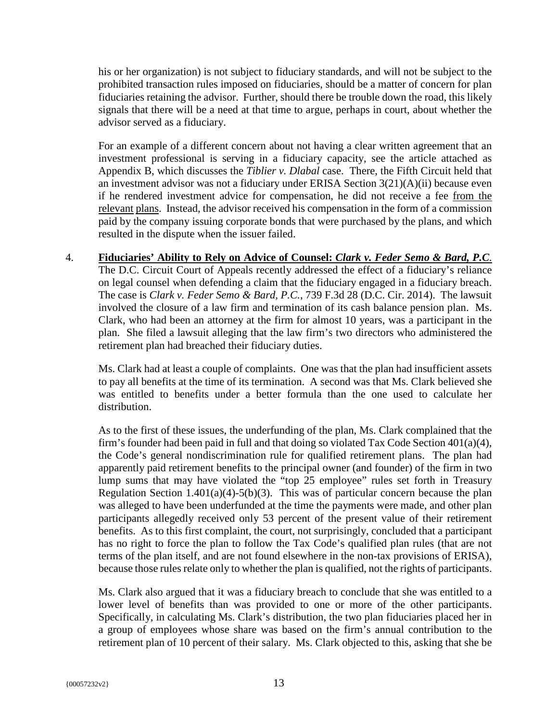his or her organization) is not subject to fiduciary standards, and will not be subject to the prohibited transaction rules imposed on fiduciaries, should be a matter of concern for plan fiduciaries retaining the advisor. Further, should there be trouble down the road, this likely signals that there will be a need at that time to argue, perhaps in court, about whether the advisor served as a fiduciary.

For an example of a different concern about not having a clear written agreement that an investment professional is serving in a fiduciary capacity, see the article attached as Appendix B, which discusses the *Tiblier v. Dlabal* case. There, the Fifth Circuit held that an investment advisor was not a fiduciary under ERISA Section 3(21)(A)(ii) because even if he rendered investment advice for compensation, he did not receive a fee from the relevant plans. Instead, the advisor received his compensation in the form of a commission paid by the company issuing corporate bonds that were purchased by the plans, and which resulted in the dispute when the issuer failed.

4. **Fiduciaries' Ability to Rely on Advice of Counsel:** *Clark v. Feder Semo & Bard, P.C.* The D.C. Circuit Court of Appeals recently addressed the effect of a fiduciary's reliance on legal counsel when defending a claim that the fiduciary engaged in a fiduciary breach. The case is *Clark v. Feder Semo & Bard, P.C.*, 739 F.3d 28 (D.C. Cir. 2014). The lawsuit involved the closure of a law firm and termination of its cash balance pension plan. Ms. Clark, who had been an attorney at the firm for almost 10 years, was a participant in the plan. She filed a lawsuit alleging that the law firm's two directors who administered the retirement plan had breached their fiduciary duties.

Ms. Clark had at least a couple of complaints. One was that the plan had insufficient assets to pay all benefits at the time of its termination. A second was that Ms. Clark believed she was entitled to benefits under a better formula than the one used to calculate her distribution.

As to the first of these issues, the underfunding of the plan, Ms. Clark complained that the firm's founder had been paid in full and that doing so violated Tax Code Section  $401(a)(4)$ , the Code's general nondiscrimination rule for qualified retirement plans. The plan had apparently paid retirement benefits to the principal owner (and founder) of the firm in two lump sums that may have violated the "top 25 employee" rules set forth in Treasury Regulation Section  $1.401(a)(4)-5(b)(3)$ . This was of particular concern because the plan was alleged to have been underfunded at the time the payments were made, and other plan participants allegedly received only 53 percent of the present value of their retirement benefits. As to this first complaint, the court, not surprisingly, concluded that a participant has no right to force the plan to follow the Tax Code's qualified plan rules (that are not terms of the plan itself, and are not found elsewhere in the non-tax provisions of ERISA), because those rules relate only to whether the plan is qualified, not the rights of participants.

Ms. Clark also argued that it was a fiduciary breach to conclude that she was entitled to a lower level of benefits than was provided to one or more of the other participants. Specifically, in calculating Ms. Clark's distribution, the two plan fiduciaries placed her in a group of employees whose share was based on the firm's annual contribution to the retirement plan of 10 percent of their salary. Ms. Clark objected to this, asking that she be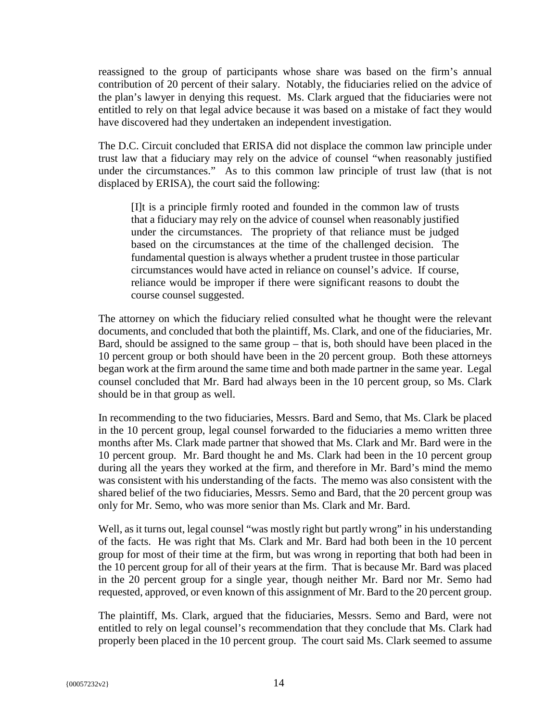reassigned to the group of participants whose share was based on the firm's annual contribution of 20 percent of their salary. Notably, the fiduciaries relied on the advice of the plan's lawyer in denying this request. Ms. Clark argued that the fiduciaries were not entitled to rely on that legal advice because it was based on a mistake of fact they would have discovered had they undertaken an independent investigation.

The D.C. Circuit concluded that ERISA did not displace the common law principle under trust law that a fiduciary may rely on the advice of counsel "when reasonably justified under the circumstances." As to this common law principle of trust law (that is not displaced by ERISA), the court said the following:

[I]t is a principle firmly rooted and founded in the common law of trusts that a fiduciary may rely on the advice of counsel when reasonably justified under the circumstances. The propriety of that reliance must be judged based on the circumstances at the time of the challenged decision. The fundamental question is always whether a prudent trustee in those particular circumstances would have acted in reliance on counsel's advice. If course, reliance would be improper if there were significant reasons to doubt the course counsel suggested.

The attorney on which the fiduciary relied consulted what he thought were the relevant documents, and concluded that both the plaintiff, Ms. Clark, and one of the fiduciaries, Mr. Bard, should be assigned to the same group – that is, both should have been placed in the 10 percent group or both should have been in the 20 percent group. Both these attorneys began work at the firm around the same time and both made partner in the same year. Legal counsel concluded that Mr. Bard had always been in the 10 percent group, so Ms. Clark should be in that group as well.

In recommending to the two fiduciaries, Messrs. Bard and Semo, that Ms. Clark be placed in the 10 percent group, legal counsel forwarded to the fiduciaries a memo written three months after Ms. Clark made partner that showed that Ms. Clark and Mr. Bard were in the 10 percent group. Mr. Bard thought he and Ms. Clark had been in the 10 percent group during all the years they worked at the firm, and therefore in Mr. Bard's mind the memo was consistent with his understanding of the facts. The memo was also consistent with the shared belief of the two fiduciaries, Messrs. Semo and Bard, that the 20 percent group was only for Mr. Semo, who was more senior than Ms. Clark and Mr. Bard.

Well, as it turns out, legal counsel "was mostly right but partly wrong" in his understanding of the facts. He was right that Ms. Clark and Mr. Bard had both been in the 10 percent group for most of their time at the firm, but was wrong in reporting that both had been in the 10 percent group for all of their years at the firm. That is because Mr. Bard was placed in the 20 percent group for a single year, though neither Mr. Bard nor Mr. Semo had requested, approved, or even known of this assignment of Mr. Bard to the 20 percent group.

The plaintiff, Ms. Clark, argued that the fiduciaries, Messrs. Semo and Bard, were not entitled to rely on legal counsel's recommendation that they conclude that Ms. Clark had properly been placed in the 10 percent group. The court said Ms. Clark seemed to assume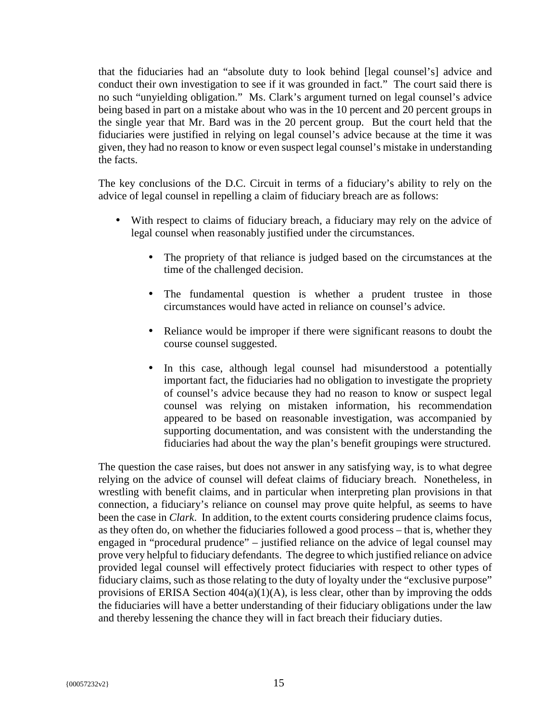that the fiduciaries had an "absolute duty to look behind [legal counsel's] advice and conduct their own investigation to see if it was grounded in fact." The court said there is no such "unyielding obligation." Ms. Clark's argument turned on legal counsel's advice being based in part on a mistake about who was in the 10 percent and 20 percent groups in the single year that Mr. Bard was in the 20 percent group. But the court held that the fiduciaries were justified in relying on legal counsel's advice because at the time it was given, they had no reason to know or even suspect legal counsel's mistake in understanding the facts.

The key conclusions of the D.C. Circuit in terms of a fiduciary's ability to rely on the advice of legal counsel in repelling a claim of fiduciary breach are as follows:

- With respect to claims of fiduciary breach, a fiduciary may rely on the advice of legal counsel when reasonably justified under the circumstances.
	- The propriety of that reliance is judged based on the circumstances at the time of the challenged decision.
	- The fundamental question is whether a prudent trustee in those circumstances would have acted in reliance on counsel's advice.
	- Reliance would be improper if there were significant reasons to doubt the course counsel suggested.
	- In this case, although legal counsel had misunderstood a potentially important fact, the fiduciaries had no obligation to investigate the propriety of counsel's advice because they had no reason to know or suspect legal counsel was relying on mistaken information, his recommendation appeared to be based on reasonable investigation, was accompanied by supporting documentation, and was consistent with the understanding the fiduciaries had about the way the plan's benefit groupings were structured.

The question the case raises, but does not answer in any satisfying way, is to what degree relying on the advice of counsel will defeat claims of fiduciary breach. Nonetheless, in wrestling with benefit claims, and in particular when interpreting plan provisions in that connection, a fiduciary's reliance on counsel may prove quite helpful, as seems to have been the case in *Clark*. In addition, to the extent courts considering prudence claims focus, as they often do, on whether the fiduciaries followed a good process – that is, whether they engaged in "procedural prudence" – justified reliance on the advice of legal counsel may prove very helpful to fiduciary defendants. The degree to which justified reliance on advice provided legal counsel will effectively protect fiduciaries with respect to other types of fiduciary claims, such as those relating to the duty of loyalty under the "exclusive purpose" provisions of ERISA Section  $404(a)(1)(A)$ , is less clear, other than by improving the odds the fiduciaries will have a better understanding of their fiduciary obligations under the law and thereby lessening the chance they will in fact breach their fiduciary duties.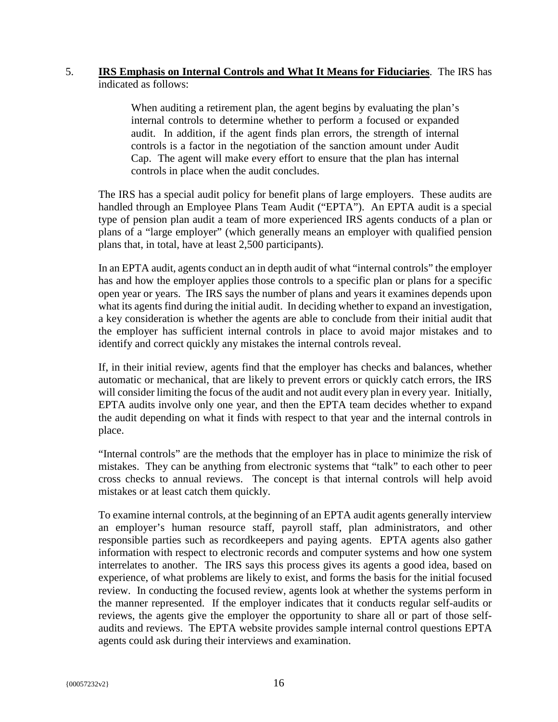#### 5. **IRS Emphasis on Internal Controls and What It Means for Fiduciaries**. The IRS has indicated as follows:

When auditing a retirement plan, the agent begins by evaluating the plan's internal controls to determine whether to perform a focused or expanded audit. In addition, if the agent finds plan errors, the strength of internal controls is a factor in the negotiation of the sanction amount under Audit Cap. The agent will make every effort to ensure that the plan has internal controls in place when the audit concludes.

The IRS has a special audit policy for benefit plans of large employers. These audits are handled through an Employee Plans Team Audit ("EPTA"). An EPTA audit is a special type of pension plan audit a team of more experienced IRS agents conducts of a plan or plans of a "large employer" (which generally means an employer with qualified pension plans that, in total, have at least 2,500 participants).

In an EPTA audit, agents conduct an in depth audit of what "internal controls" the employer has and how the employer applies those controls to a specific plan or plans for a specific open year or years. The IRS says the number of plans and years it examines depends upon what its agents find during the initial audit. In deciding whether to expand an investigation, a key consideration is whether the agents are able to conclude from their initial audit that the employer has sufficient internal controls in place to avoid major mistakes and to identify and correct quickly any mistakes the internal controls reveal.

If, in their initial review, agents find that the employer has checks and balances, whether automatic or mechanical, that are likely to prevent errors or quickly catch errors, the IRS will consider limiting the focus of the audit and not audit every plan in every year. Initially, EPTA audits involve only one year, and then the EPTA team decides whether to expand the audit depending on what it finds with respect to that year and the internal controls in place.

"Internal controls" are the methods that the employer has in place to minimize the risk of mistakes. They can be anything from electronic systems that "talk" to each other to peer cross checks to annual reviews. The concept is that internal controls will help avoid mistakes or at least catch them quickly.

To examine internal controls, at the beginning of an EPTA audit agents generally interview an employer's human resource staff, payroll staff, plan administrators, and other responsible parties such as recordkeepers and paying agents. EPTA agents also gather information with respect to electronic records and computer systems and how one system interrelates to another. The IRS says this process gives its agents a good idea, based on experience, of what problems are likely to exist, and forms the basis for the initial focused review. In conducting the focused review, agents look at whether the systems perform in the manner represented. If the employer indicates that it conducts regular self-audits or reviews, the agents give the employer the opportunity to share all or part of those selfaudits and reviews. The EPTA website provides sample internal control questions EPTA agents could ask during their interviews and examination.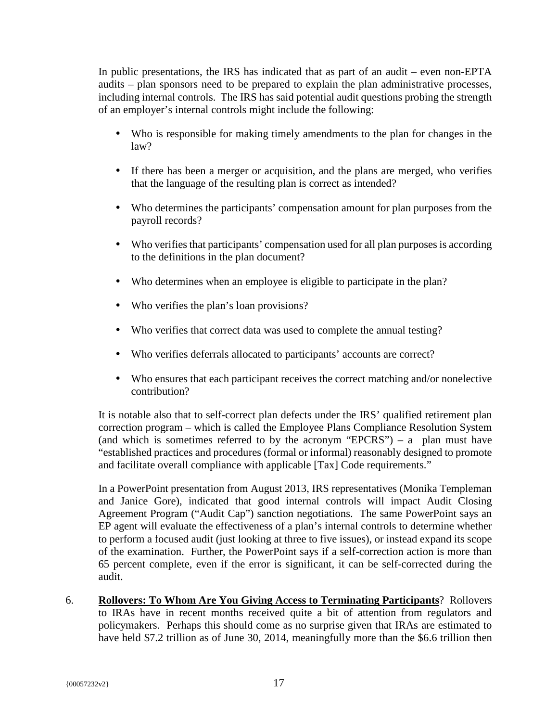In public presentations, the IRS has indicated that as part of an audit – even non-EPTA audits – plan sponsors need to be prepared to explain the plan administrative processes, including internal controls. The IRS has said potential audit questions probing the strength of an employer's internal controls might include the following:

- Who is responsible for making timely amendments to the plan for changes in the law?
- If there has been a merger or acquisition, and the plans are merged, who verifies that the language of the resulting plan is correct as intended?
- Who determines the participants' compensation amount for plan purposes from the payroll records?
- Who verifies that participants' compensation used for all plan purposes is according to the definitions in the plan document?
- Who determines when an employee is eligible to participate in the plan?
- Who verifies the plan's loan provisions?
- Who verifies that correct data was used to complete the annual testing?
- Who verifies deferrals allocated to participants' accounts are correct?
- Who ensures that each participant receives the correct matching and/or nonelective contribution?

It is notable also that to self-correct plan defects under the IRS' qualified retirement plan correction program – which is called the Employee Plans Compliance Resolution System (and which is sometimes referred to by the acronym "EPCRS") – a plan must have "established practices and procedures (formal or informal) reasonably designed to promote and facilitate overall compliance with applicable [Tax] Code requirements."

In a PowerPoint presentation from August 2013, IRS representatives (Monika Templeman and Janice Gore), indicated that good internal controls will impact Audit Closing Agreement Program ("Audit Cap") sanction negotiations. The same PowerPoint says an EP agent will evaluate the effectiveness of a plan's internal controls to determine whether to perform a focused audit (just looking at three to five issues), or instead expand its scope of the examination. Further, the PowerPoint says if a self-correction action is more than 65 percent complete, even if the error is significant, it can be self-corrected during the audit.

6. **Rollovers: To Whom Are You Giving Access to Terminating Participants**? Rollovers to IRAs have in recent months received quite a bit of attention from regulators and policymakers. Perhaps this should come as no surprise given that IRAs are estimated to have held \$7.2 trillion as of June 30, 2014, meaningfully more than the \$6.6 trillion then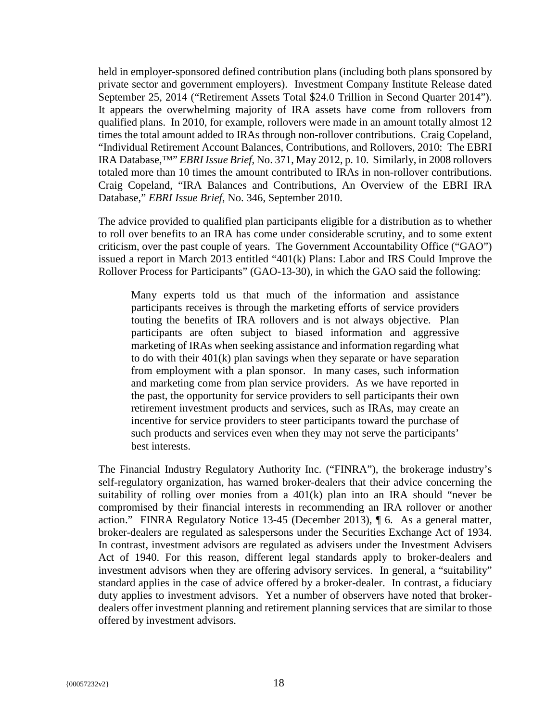held in employer-sponsored defined contribution plans (including both plans sponsored by private sector and government employers). Investment Company Institute Release dated September 25, 2014 ("Retirement Assets Total \$24.0 Trillion in Second Quarter 2014"). It appears the overwhelming majority of IRA assets have come from rollovers from qualified plans. In 2010, for example, rollovers were made in an amount totally almost 12 times the total amount added to IRAs through non-rollover contributions. Craig Copeland, "Individual Retirement Account Balances, Contributions, and Rollovers, 2010: The EBRI IRA Database,™" *EBRI Issue Brief*, No. 371, May 2012, p. 10. Similarly, in 2008 rollovers totaled more than 10 times the amount contributed to IRAs in non-rollover contributions. Craig Copeland, "IRA Balances and Contributions, An Overview of the EBRI IRA Database," *EBRI Issue Brief*, No. 346, September 2010.

The advice provided to qualified plan participants eligible for a distribution as to whether to roll over benefits to an IRA has come under considerable scrutiny, and to some extent criticism, over the past couple of years. The Government Accountability Office ("GAO") issued a report in March 2013 entitled "401(k) Plans: Labor and IRS Could Improve the Rollover Process for Participants" (GAO-13-30), in which the GAO said the following:

Many experts told us that much of the information and assistance participants receives is through the marketing efforts of service providers touting the benefits of IRA rollovers and is not always objective. Plan participants are often subject to biased information and aggressive marketing of IRAs when seeking assistance and information regarding what to do with their 401(k) plan savings when they separate or have separation from employment with a plan sponsor. In many cases, such information and marketing come from plan service providers. As we have reported in the past, the opportunity for service providers to sell participants their own retirement investment products and services, such as IRAs, may create an incentive for service providers to steer participants toward the purchase of such products and services even when they may not serve the participants' best interests.

The Financial Industry Regulatory Authority Inc. ("FINRA"), the brokerage industry's self-regulatory organization, has warned broker-dealers that their advice concerning the suitability of rolling over monies from a  $401(k)$  plan into an IRA should "never be compromised by their financial interests in recommending an IRA rollover or another action." FINRA Regulatory Notice 13-45 (December 2013), ¶ 6. As a general matter, broker-dealers are regulated as salespersons under the Securities Exchange Act of 1934. In contrast, investment advisors are regulated as advisers under the Investment Advisers Act of 1940. For this reason, different legal standards apply to broker-dealers and investment advisors when they are offering advisory services. In general, a "suitability" standard applies in the case of advice offered by a broker-dealer. In contrast, a fiduciary duty applies to investment advisors. Yet a number of observers have noted that brokerdealers offer investment planning and retirement planning services that are similar to those offered by investment advisors.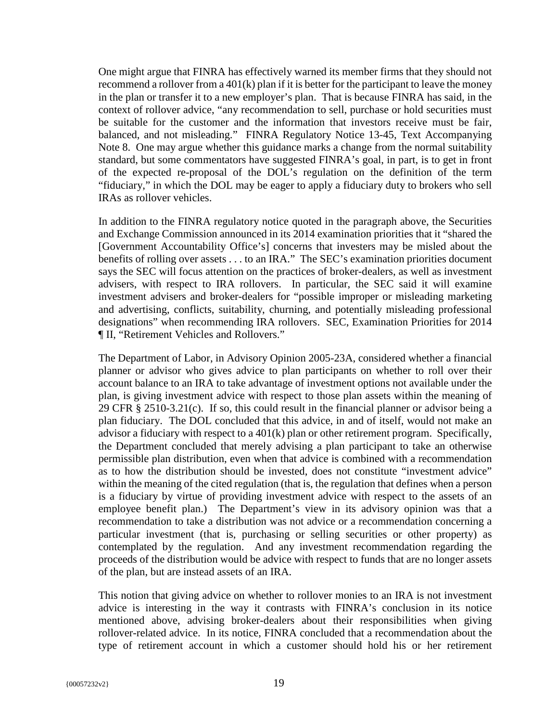One might argue that FINRA has effectively warned its member firms that they should not recommend a rollover from a 401(k) plan if it is better for the participant to leave the money in the plan or transfer it to a new employer's plan. That is because FINRA has said, in the context of rollover advice, "any recommendation to sell, purchase or hold securities must be suitable for the customer and the information that investors receive must be fair, balanced, and not misleading." FINRA Regulatory Notice 13-45, Text Accompanying Note 8. One may argue whether this guidance marks a change from the normal suitability standard, but some commentators have suggested FINRA's goal, in part, is to get in front of the expected re-proposal of the DOL's regulation on the definition of the term "fiduciary," in which the DOL may be eager to apply a fiduciary duty to brokers who sell IRAs as rollover vehicles.

In addition to the FINRA regulatory notice quoted in the paragraph above, the Securities and Exchange Commission announced in its 2014 examination priorities that it "shared the [Government Accountability Office's] concerns that investers may be misled about the benefits of rolling over assets . . . to an IRA." The SEC's examination priorities document says the SEC will focus attention on the practices of broker-dealers, as well as investment advisers, with respect to IRA rollovers. In particular, the SEC said it will examine investment advisers and broker-dealers for "possible improper or misleading marketing and advertising, conflicts, suitability, churning, and potentially misleading professional designations" when recommending IRA rollovers. SEC, Examination Priorities for 2014 ¶ II, "Retirement Vehicles and Rollovers."

The Department of Labor, in Advisory Opinion 2005-23A, considered whether a financial planner or advisor who gives advice to plan participants on whether to roll over their account balance to an IRA to take advantage of investment options not available under the plan, is giving investment advice with respect to those plan assets within the meaning of 29 CFR § 2510-3.21(c). If so, this could result in the financial planner or advisor being a plan fiduciary. The DOL concluded that this advice, in and of itself, would not make an advisor a fiduciary with respect to a 401(k) plan or other retirement program. Specifically, the Department concluded that merely advising a plan participant to take an otherwise permissible plan distribution, even when that advice is combined with a recommendation as to how the distribution should be invested, does not constitute "investment advice" within the meaning of the cited regulation (that is, the regulation that defines when a person is a fiduciary by virtue of providing investment advice with respect to the assets of an employee benefit plan.) The Department's view in its advisory opinion was that a recommendation to take a distribution was not advice or a recommendation concerning a particular investment (that is, purchasing or selling securities or other property) as contemplated by the regulation. And any investment recommendation regarding the proceeds of the distribution would be advice with respect to funds that are no longer assets of the plan, but are instead assets of an IRA.

This notion that giving advice on whether to rollover monies to an IRA is not investment advice is interesting in the way it contrasts with FINRA's conclusion in its notice mentioned above, advising broker-dealers about their responsibilities when giving rollover-related advice. In its notice, FINRA concluded that a recommendation about the type of retirement account in which a customer should hold his or her retirement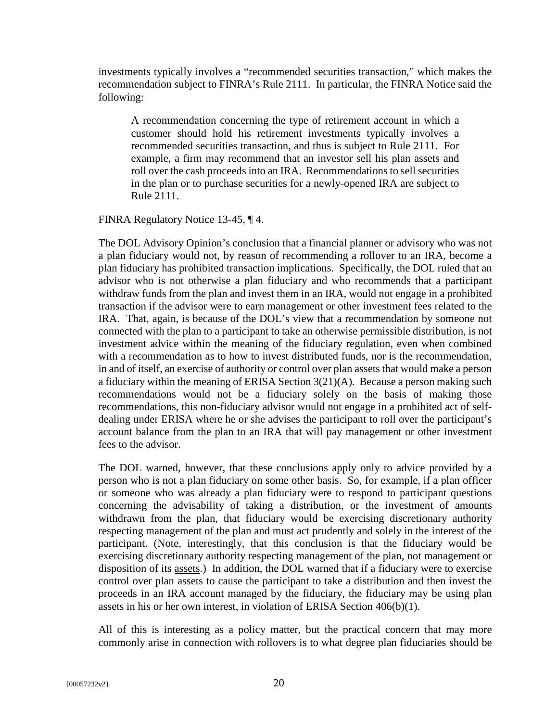investments typically involves a "recommended securities transaction," which makes the recommendation subject to FINRA's Rule 2111. In particular, the FINRA Notice said the following:

A recommendation concerning the type of retirement account in which a customer should hold his retirement investments typically involves a recommended securities transaction, and thus is subject to Rule 2111. For example, a firm may recommend that an investor sell his plan assets and roll over the cash proceeds into an IRA. Recommendations to sell securities in the plan or to purchase securities for a newly-opened IRA are subject to Rule 2111.

FINRA Regulatory Notice 13-45, ¶ 4.

The DOL Advisory Opinion's conclusion that a financial planner or advisory who was not a plan fiduciary would not, by reason of recommending a rollover to an IRA, become a plan fiduciary has prohibited transaction implications. Specifically, the DOL ruled that an advisor who is not otherwise a plan fiduciary and who recommends that a participant withdraw funds from the plan and invest them in an IRA, would not engage in a prohibited transaction if the advisor were to earn management or other investment fees related to the IRA. That, again, is because of the DOL's view that a recommendation by someone not connected with the plan to a participant to take an otherwise permissible distribution, is not investment advice within the meaning of the fiduciary regulation, even when combined with a recommendation as to how to invest distributed funds, nor is the recommendation, in and of itself, an exercise of authority or control over plan assets that would make a person a fiduciary within the meaning of ERISA Section 3(21)(A). Because a person making such recommendations would not be a fiduciary solely on the basis of making those recommendations, this non-fiduciary advisor would not engage in a prohibited act of selfdealing under ERISA where he or she advises the participant to roll over the participant's account balance from the plan to an IRA that will pay management or other investment fees to the advisor.

The DOL warned, however, that these conclusions apply only to advice provided by a person who is not a plan fiduciary on some other basis. So, for example, if a plan officer or someone who was already a plan fiduciary were to respond to participant questions concerning the advisability of taking a distribution, or the investment of amounts withdrawn from the plan, that fiduciary would be exercising discretionary authority respecting management of the plan and must act prudently and solely in the interest of the participant. (Note, interestingly, that this conclusion is that the fiduciary would be exercising discretionary authority respecting management of the plan, not management or disposition of its assets.) In addition, the DOL warned that if a fiduciary were to exercise control over plan assets to cause the participant to take a distribution and then invest the proceeds in an IRA account managed by the fiduciary, the fiduciary may be using plan assets in his or her own interest, in violation of ERISA Section 406(b)(1).

All of this is interesting as a policy matter, but the practical concern that may more commonly arise in connection with rollovers is to what degree plan fiduciaries should be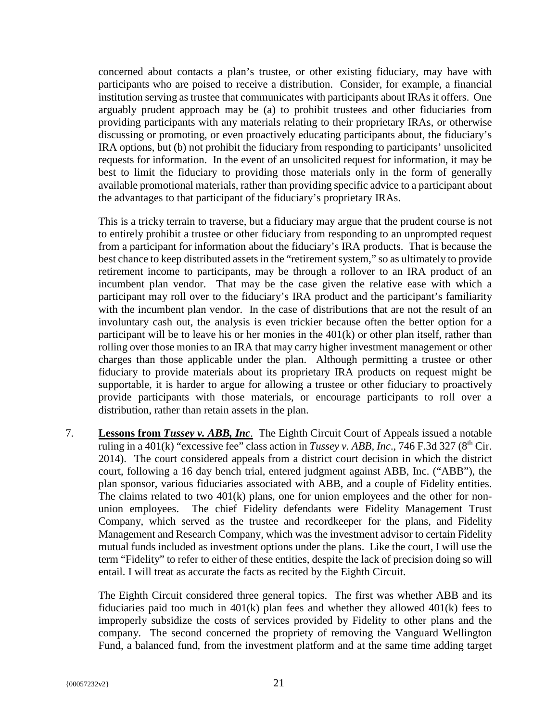concerned about contacts a plan's trustee, or other existing fiduciary, may have with participants who are poised to receive a distribution. Consider, for example, a financial institution serving as trustee that communicates with participants about IRAs it offers. One arguably prudent approach may be (a) to prohibit trustees and other fiduciaries from providing participants with any materials relating to their proprietary IRAs, or otherwise discussing or promoting, or even proactively educating participants about, the fiduciary's IRA options, but (b) not prohibit the fiduciary from responding to participants' unsolicited requests for information. In the event of an unsolicited request for information, it may be best to limit the fiduciary to providing those materials only in the form of generally available promotional materials, rather than providing specific advice to a participant about the advantages to that participant of the fiduciary's proprietary IRAs.

This is a tricky terrain to traverse, but a fiduciary may argue that the prudent course is not to entirely prohibit a trustee or other fiduciary from responding to an unprompted request from a participant for information about the fiduciary's IRA products. That is because the best chance to keep distributed assets in the "retirement system," so as ultimately to provide retirement income to participants, may be through a rollover to an IRA product of an incumbent plan vendor. That may be the case given the relative ease with which a participant may roll over to the fiduciary's IRA product and the participant's familiarity with the incumbent plan vendor. In the case of distributions that are not the result of an involuntary cash out, the analysis is even trickier because often the better option for a participant will be to leave his or her monies in the 401(k) or other plan itself, rather than rolling over those monies to an IRA that may carry higher investment management or other charges than those applicable under the plan. Although permitting a trustee or other fiduciary to provide materials about its proprietary IRA products on request might be supportable, it is harder to argue for allowing a trustee or other fiduciary to proactively provide participants with those materials, or encourage participants to roll over a distribution, rather than retain assets in the plan.

7. **Lessons from** *Tussey v. ABB, Inc*. The Eighth Circuit Court of Appeals issued a notable ruling in a  $\overline{401(k)}$  "excessive fee" class action in *Tussey v. ABB, Inc.*, 746 F.3d 327 (8<sup>th</sup> Cir. 2014). The court considered appeals from a district court decision in which the district court, following a 16 day bench trial, entered judgment against ABB, Inc. ("ABB"), the plan sponsor, various fiduciaries associated with ABB, and a couple of Fidelity entities. The claims related to two 401(k) plans, one for union employees and the other for nonunion employees. The chief Fidelity defendants were Fidelity Management Trust Company, which served as the trustee and recordkeeper for the plans, and Fidelity Management and Research Company, which was the investment advisor to certain Fidelity mutual funds included as investment options under the plans. Like the court, I will use the term "Fidelity" to refer to either of these entities, despite the lack of precision doing so will entail. I will treat as accurate the facts as recited by the Eighth Circuit.

The Eighth Circuit considered three general topics. The first was whether ABB and its fiduciaries paid too much in  $401(k)$  plan fees and whether they allowed  $401(k)$  fees to improperly subsidize the costs of services provided by Fidelity to other plans and the company. The second concerned the propriety of removing the Vanguard Wellington Fund, a balanced fund, from the investment platform and at the same time adding target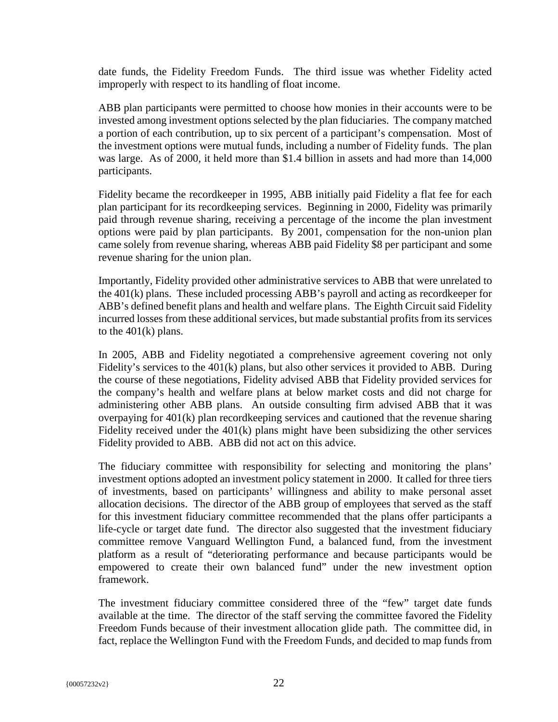date funds, the Fidelity Freedom Funds. The third issue was whether Fidelity acted improperly with respect to its handling of float income.

ABB plan participants were permitted to choose how monies in their accounts were to be invested among investment options selected by the plan fiduciaries. The company matched a portion of each contribution, up to six percent of a participant's compensation. Most of the investment options were mutual funds, including a number of Fidelity funds. The plan was large. As of 2000, it held more than \$1.4 billion in assets and had more than 14,000 participants.

Fidelity became the recordkeeper in 1995, ABB initially paid Fidelity a flat fee for each plan participant for its recordkeeping services. Beginning in 2000, Fidelity was primarily paid through revenue sharing, receiving a percentage of the income the plan investment options were paid by plan participants. By 2001, compensation for the non-union plan came solely from revenue sharing, whereas ABB paid Fidelity \$8 per participant and some revenue sharing for the union plan.

Importantly, Fidelity provided other administrative services to ABB that were unrelated to the 401(k) plans. These included processing ABB's payroll and acting as recordkeeper for ABB's defined benefit plans and health and welfare plans. The Eighth Circuit said Fidelity incurred losses from these additional services, but made substantial profits from its services to the  $401(k)$  plans.

In 2005, ABB and Fidelity negotiated a comprehensive agreement covering not only Fidelity's services to the 401(k) plans, but also other services it provided to ABB. During the course of these negotiations, Fidelity advised ABB that Fidelity provided services for the company's health and welfare plans at below market costs and did not charge for administering other ABB plans. An outside consulting firm advised ABB that it was overpaying for 401(k) plan recordkeeping services and cautioned that the revenue sharing Fidelity received under the 401(k) plans might have been subsidizing the other services Fidelity provided to ABB. ABB did not act on this advice.

The fiduciary committee with responsibility for selecting and monitoring the plans' investment options adopted an investment policy statement in 2000. It called for three tiers of investments, based on participants' willingness and ability to make personal asset allocation decisions. The director of the ABB group of employees that served as the staff for this investment fiduciary committee recommended that the plans offer participants a life-cycle or target date fund. The director also suggested that the investment fiduciary committee remove Vanguard Wellington Fund, a balanced fund, from the investment platform as a result of "deteriorating performance and because participants would be empowered to create their own balanced fund" under the new investment option framework.

The investment fiduciary committee considered three of the "few" target date funds available at the time. The director of the staff serving the committee favored the Fidelity Freedom Funds because of their investment allocation glide path. The committee did, in fact, replace the Wellington Fund with the Freedom Funds, and decided to map funds from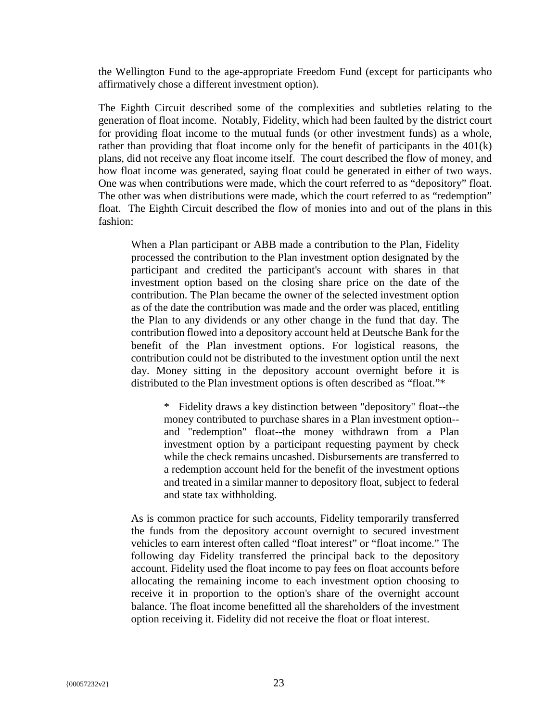the Wellington Fund to the age-appropriate Freedom Fund (except for participants who affirmatively chose a different investment option).

The Eighth Circuit described some of the complexities and subtleties relating to the generation of float income. Notably, Fidelity, which had been faulted by the district court for providing float income to the mutual funds (or other investment funds) as a whole, rather than providing that float income only for the benefit of participants in the  $401(k)$ plans, did not receive any float income itself. The court described the flow of money, and how float income was generated, saying float could be generated in either of two ways. One was when contributions were made, which the court referred to as "depository" float. The other was when distributions were made, which the court referred to as "redemption" float. The Eighth Circuit described the flow of monies into and out of the plans in this fashion:

When a Plan participant or ABB made a contribution to the Plan, Fidelity processed the contribution to the Plan investment option designated by the participant and credited the participant's account with shares in that investment option based on the closing share price on the date of the contribution. The Plan became the owner of the selected investment option as of the date the contribution was made and the order was placed, entitling the Plan to any dividends or any other change in the fund that day. The contribution flowed into a depository account held at Deutsche Bank for the benefit of the Plan investment options. For logistical reasons, the contribution could not be distributed to the investment option until the next day. Money sitting in the depository account overnight before it is distributed to the Plan investment options is often described as "float."\*

> \* Fidelity draws a key distinction between "depository" float--the money contributed to purchase shares in a Plan investment option- and "redemption" float--the money withdrawn from a Plan investment option by a participant requesting payment by check while the check remains uncashed. Disbursements are transferred to a redemption account held for the benefit of the investment options and treated in a similar manner to depository float, subject to federal and state tax withholding.

As is common practice for such accounts, Fidelity temporarily transferred the funds from the depository account overnight to secured investment vehicles to earn interest often called "float interest" or "float income." The following day Fidelity transferred the principal back to the depository account. Fidelity used the float income to pay fees on float accounts before allocating the remaining income to each investment option choosing to receive it in proportion to the option's share of the overnight account balance. The float income benefitted all the shareholders of the investment option receiving it. Fidelity did not receive the float or float interest.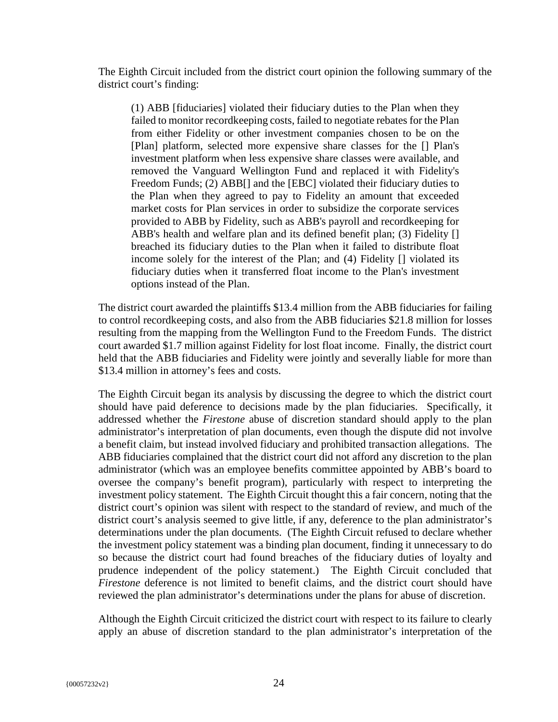The Eighth Circuit included from the district court opinion the following summary of the district court's finding:

(1) ABB [fiduciaries] violated their fiduciary duties to the Plan when they failed to monitor recordkeeping costs, failed to negotiate rebates for the Plan from either Fidelity or other investment companies chosen to be on the [Plan] platform, selected more expensive share classes for the [] Plan's investment platform when less expensive share classes were available, and removed the Vanguard Wellington Fund and replaced it with Fidelity's Freedom Funds; (2) ABB[] and the [EBC] violated their fiduciary duties to the Plan when they agreed to pay to Fidelity an amount that exceeded market costs for Plan services in order to subsidize the corporate services provided to ABB by Fidelity, such as ABB's payroll and recordkeeping for ABB's health and welfare plan and its defined benefit plan; (3) Fidelity [] breached its fiduciary duties to the Plan when it failed to distribute float income solely for the interest of the Plan; and (4) Fidelity [] violated its fiduciary duties when it transferred float income to the Plan's investment options instead of the Plan.

The district court awarded the plaintiffs \$13.4 million from the ABB fiduciaries for failing to control recordkeeping costs, and also from the ABB fiduciaries \$21.8 million for losses resulting from the mapping from the Wellington Fund to the Freedom Funds. The district court awarded \$1.7 million against Fidelity for lost float income. Finally, the district court held that the ABB fiduciaries and Fidelity were jointly and severally liable for more than \$13.4 million in attorney's fees and costs.

The Eighth Circuit began its analysis by discussing the degree to which the district court should have paid deference to decisions made by the plan fiduciaries. Specifically, it addressed whether the *Firestone* abuse of discretion standard should apply to the plan administrator's interpretation of plan documents, even though the dispute did not involve a benefit claim, but instead involved fiduciary and prohibited transaction allegations. The ABB fiduciaries complained that the district court did not afford any discretion to the plan administrator (which was an employee benefits committee appointed by ABB's board to oversee the company's benefit program), particularly with respect to interpreting the investment policy statement. The Eighth Circuit thought this a fair concern, noting that the district court's opinion was silent with respect to the standard of review, and much of the district court's analysis seemed to give little, if any, deference to the plan administrator's determinations under the plan documents. (The Eighth Circuit refused to declare whether the investment policy statement was a binding plan document, finding it unnecessary to do so because the district court had found breaches of the fiduciary duties of loyalty and prudence independent of the policy statement.) The Eighth Circuit concluded that *Firestone* deference is not limited to benefit claims, and the district court should have reviewed the plan administrator's determinations under the plans for abuse of discretion.

Although the Eighth Circuit criticized the district court with respect to its failure to clearly apply an abuse of discretion standard to the plan administrator's interpretation of the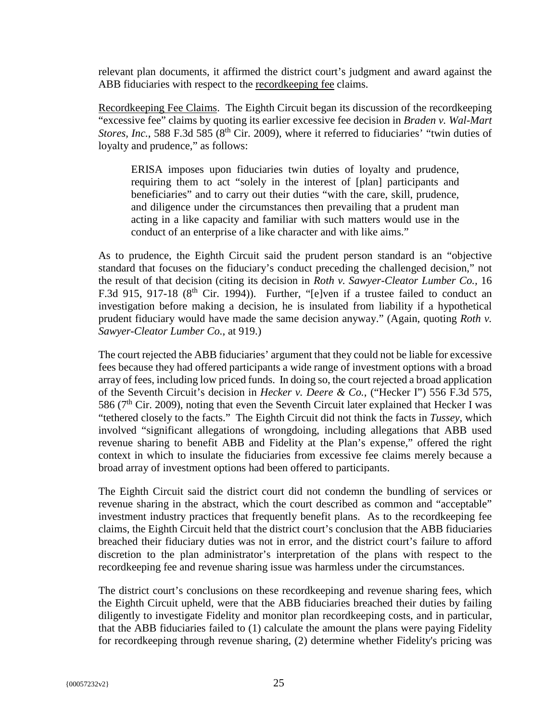relevant plan documents, it affirmed the district court's judgment and award against the ABB fiduciaries with respect to the recordkeeping fee claims.

Recordkeeping Fee Claims. The Eighth Circuit began its discussion of the recordkeeping "excessive fee" claims by quoting its earlier excessive fee decision in *Braden v. Wal-Mart Stores, Inc.*, 588 F.3d 585 (8<sup>th</sup> Cir. 2009), where it referred to fiduciaries' "twin duties of loyalty and prudence," as follows:

ERISA imposes upon fiduciaries twin duties of loyalty and prudence, requiring them to act "solely in the interest of [plan] participants and beneficiaries" and to carry out their duties "with the care, skill, prudence, and diligence under the circumstances then prevailing that a prudent man acting in a like capacity and familiar with such matters would use in the conduct of an enterprise of a like character and with like aims."

As to prudence, the Eighth Circuit said the prudent person standard is an "objective standard that focuses on the fiduciary's conduct preceding the challenged decision," not the result of that decision (citing its decision in *Roth v. Sawyer-Cleator Lumber Co.,* 16 F.3d 915, 917-18 ( $8<sup>th</sup>$  Cir. 1994)). Further, "[e]ven if a trustee failed to conduct an investigation before making a decision, he is insulated from liability if a hypothetical prudent fiduciary would have made the same decision anyway." (Again, quoting *Roth v. Sawyer-Cleator Lumber Co.*, at 919.)

The court rejected the ABB fiduciaries' argument that they could not be liable for excessive fees because they had offered participants a wide range of investment options with a broad array of fees, including low priced funds. In doing so, the court rejected a broad application of the Seventh Circuit's decision in *Hecker v. Deere & Co.*, ("Hecker I") 556 F.3d 575, 586 ( $7<sup>th</sup>$  Cir. 2009), noting that even the Seventh Circuit later explained that Hecker I was "tethered closely to the facts." The Eighth Circuit did not think the facts in *Tussey*, which involved "significant allegations of wrongdoing, including allegations that ABB used revenue sharing to benefit ABB and Fidelity at the Plan's expense," offered the right context in which to insulate the fiduciaries from excessive fee claims merely because a broad array of investment options had been offered to participants.

The Eighth Circuit said the district court did not condemn the bundling of services or revenue sharing in the abstract, which the court described as common and "acceptable" investment industry practices that frequently benefit plans. As to the recordkeeping fee claims, the Eighth Circuit held that the district court's conclusion that the ABB fiduciaries breached their fiduciary duties was not in error, and the district court's failure to afford discretion to the plan administrator's interpretation of the plans with respect to the recordkeeping fee and revenue sharing issue was harmless under the circumstances.

The district court's conclusions on these recordkeeping and revenue sharing fees, which the Eighth Circuit upheld, were that the ABB fiduciaries breached their duties by failing diligently to investigate Fidelity and monitor plan recordkeeping costs, and in particular, that the ABB fiduciaries failed to (1) calculate the amount the plans were paying Fidelity for recordkeeping through revenue sharing, (2) determine whether Fidelity's pricing was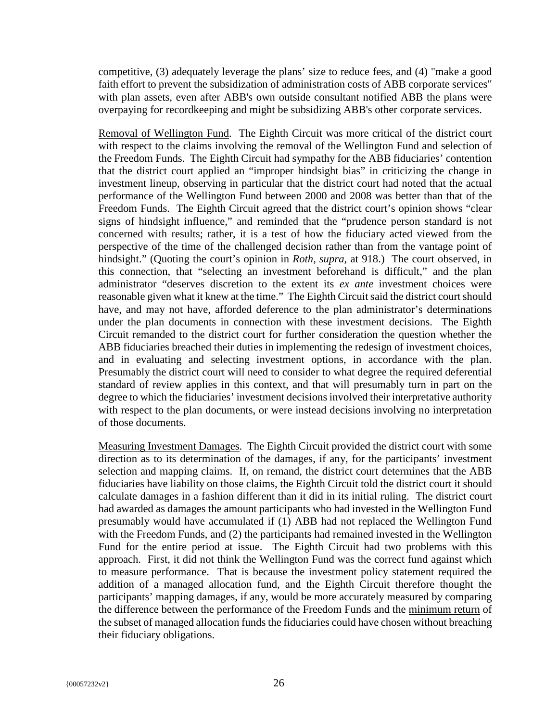competitive, (3) adequately leverage the plans' size to reduce fees, and (4) "make a good faith effort to prevent the subsidization of administration costs of ABB corporate services" with plan assets, even after ABB's own outside consultant notified ABB the plans were overpaying for recordkeeping and might be subsidizing ABB's other corporate services.

Removal of Wellington Fund. The Eighth Circuit was more critical of the district court with respect to the claims involving the removal of the Wellington Fund and selection of the Freedom Funds. The Eighth Circuit had sympathy for the ABB fiduciaries' contention that the district court applied an "improper hindsight bias" in criticizing the change in investment lineup, observing in particular that the district court had noted that the actual performance of the Wellington Fund between 2000 and 2008 was better than that of the Freedom Funds. The Eighth Circuit agreed that the district court's opinion shows "clear signs of hindsight influence," and reminded that the "prudence person standard is not concerned with results; rather, it is a test of how the fiduciary acted viewed from the perspective of the time of the challenged decision rather than from the vantage point of hindsight." (Quoting the court's opinion in *Roth, supra,* at 918.) The court observed, in this connection, that "selecting an investment beforehand is difficult," and the plan administrator "deserves discretion to the extent its *ex ante* investment choices were reasonable given what it knew at the time." The Eighth Circuit said the district court should have, and may not have, afforded deference to the plan administrator's determinations under the plan documents in connection with these investment decisions. The Eighth Circuit remanded to the district court for further consideration the question whether the ABB fiduciaries breached their duties in implementing the redesign of investment choices, and in evaluating and selecting investment options, in accordance with the plan. Presumably the district court will need to consider to what degree the required deferential standard of review applies in this context, and that will presumably turn in part on the degree to which the fiduciaries' investment decisions involved their interpretative authority with respect to the plan documents, or were instead decisions involving no interpretation of those documents.

Measuring Investment Damages. The Eighth Circuit provided the district court with some direction as to its determination of the damages, if any, for the participants' investment selection and mapping claims. If, on remand, the district court determines that the ABB fiduciaries have liability on those claims, the Eighth Circuit told the district court it should calculate damages in a fashion different than it did in its initial ruling. The district court had awarded as damages the amount participants who had invested in the Wellington Fund presumably would have accumulated if (1) ABB had not replaced the Wellington Fund with the Freedom Funds, and (2) the participants had remained invested in the Wellington Fund for the entire period at issue. The Eighth Circuit had two problems with this approach. First, it did not think the Wellington Fund was the correct fund against which to measure performance. That is because the investment policy statement required the addition of a managed allocation fund, and the Eighth Circuit therefore thought the participants' mapping damages, if any, would be more accurately measured by comparing the difference between the performance of the Freedom Funds and the minimum return of the subset of managed allocation funds the fiduciaries could have chosen without breaching their fiduciary obligations.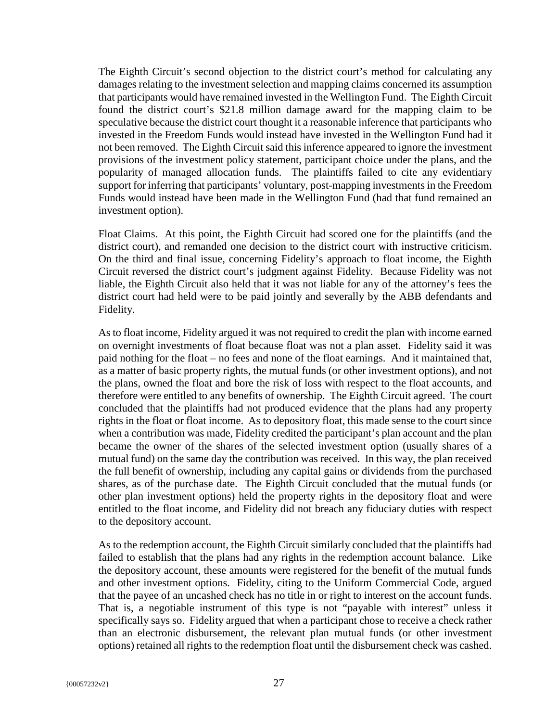The Eighth Circuit's second objection to the district court's method for calculating any damages relating to the investment selection and mapping claims concerned its assumption that participants would have remained invested in the Wellington Fund. The Eighth Circuit found the district court's \$21.8 million damage award for the mapping claim to be speculative because the district court thought it a reasonable inference that participants who invested in the Freedom Funds would instead have invested in the Wellington Fund had it not been removed. The Eighth Circuit said this inference appeared to ignore the investment provisions of the investment policy statement, participant choice under the plans, and the popularity of managed allocation funds. The plaintiffs failed to cite any evidentiary support for inferring that participants' voluntary, post-mapping investments in the Freedom Funds would instead have been made in the Wellington Fund (had that fund remained an investment option).

Float Claims. At this point, the Eighth Circuit had scored one for the plaintiffs (and the district court), and remanded one decision to the district court with instructive criticism. On the third and final issue, concerning Fidelity's approach to float income, the Eighth Circuit reversed the district court's judgment against Fidelity. Because Fidelity was not liable, the Eighth Circuit also held that it was not liable for any of the attorney's fees the district court had held were to be paid jointly and severally by the ABB defendants and Fidelity.

As to float income, Fidelity argued it was not required to credit the plan with income earned on overnight investments of float because float was not a plan asset. Fidelity said it was paid nothing for the float – no fees and none of the float earnings. And it maintained that, as a matter of basic property rights, the mutual funds (or other investment options), and not the plans, owned the float and bore the risk of loss with respect to the float accounts, and therefore were entitled to any benefits of ownership. The Eighth Circuit agreed. The court concluded that the plaintiffs had not produced evidence that the plans had any property rights in the float or float income. As to depository float, this made sense to the court since when a contribution was made, Fidelity credited the participant's plan account and the plan became the owner of the shares of the selected investment option (usually shares of a mutual fund) on the same day the contribution was received. In this way, the plan received the full benefit of ownership, including any capital gains or dividends from the purchased shares, as of the purchase date. The Eighth Circuit concluded that the mutual funds (or other plan investment options) held the property rights in the depository float and were entitled to the float income, and Fidelity did not breach any fiduciary duties with respect to the depository account.

As to the redemption account, the Eighth Circuit similarly concluded that the plaintiffs had failed to establish that the plans had any rights in the redemption account balance. Like the depository account, these amounts were registered for the benefit of the mutual funds and other investment options. Fidelity, citing to the Uniform Commercial Code, argued that the payee of an uncashed check has no title in or right to interest on the account funds. That is, a negotiable instrument of this type is not "payable with interest" unless it specifically says so. Fidelity argued that when a participant chose to receive a check rather than an electronic disbursement, the relevant plan mutual funds (or other investment options) retained all rights to the redemption float until the disbursement check was cashed.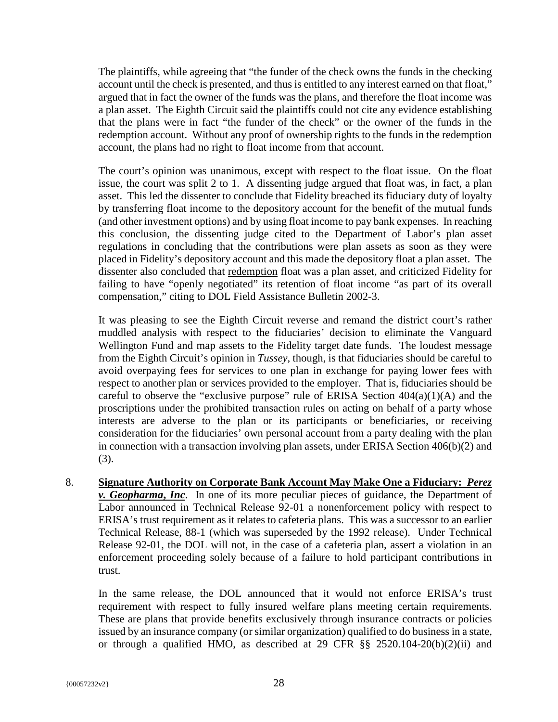The plaintiffs, while agreeing that "the funder of the check owns the funds in the checking account until the check is presented, and thus is entitled to any interest earned on that float," argued that in fact the owner of the funds was the plans, and therefore the float income was a plan asset. The Eighth Circuit said the plaintiffs could not cite any evidence establishing that the plans were in fact "the funder of the check" or the owner of the funds in the redemption account. Without any proof of ownership rights to the funds in the redemption account, the plans had no right to float income from that account.

The court's opinion was unanimous, except with respect to the float issue. On the float issue, the court was split 2 to 1. A dissenting judge argued that float was, in fact, a plan asset. This led the dissenter to conclude that Fidelity breached its fiduciary duty of loyalty by transferring float income to the depository account for the benefit of the mutual funds (and other investment options) and by using float income to pay bank expenses. In reaching this conclusion, the dissenting judge cited to the Department of Labor's plan asset regulations in concluding that the contributions were plan assets as soon as they were placed in Fidelity's depository account and this made the depository float a plan asset. The dissenter also concluded that redemption float was a plan asset, and criticized Fidelity for failing to have "openly negotiated" its retention of float income "as part of its overall compensation," citing to DOL Field Assistance Bulletin 2002-3.

It was pleasing to see the Eighth Circuit reverse and remand the district court's rather muddled analysis with respect to the fiduciaries' decision to eliminate the Vanguard Wellington Fund and map assets to the Fidelity target date funds. The loudest message from the Eighth Circuit's opinion in *Tussey*, though, is that fiduciaries should be careful to avoid overpaying fees for services to one plan in exchange for paying lower fees with respect to another plan or services provided to the employer. That is, fiduciaries should be careful to observe the "exclusive purpose" rule of ERISA Section  $404(a)(1)(A)$  and the proscriptions under the prohibited transaction rules on acting on behalf of a party whose interests are adverse to the plan or its participants or beneficiaries, or receiving consideration for the fiduciaries' own personal account from a party dealing with the plan in connection with a transaction involving plan assets, under ERISA Section 406(b)(2) and (3).

8. **Signature Authority on Corporate Bank Account May Make One a Fiduciary:** *Perez v. Geopharma***,** *Inc*. In one of its more peculiar pieces of guidance, the Department of Labor announced in Technical Release 92-01 a nonenforcement policy with respect to ERISA's trust requirement as it relates to cafeteria plans. This was a successor to an earlier Technical Release, 88-1 (which was superseded by the 1992 release). Under Technical Release 92-01, the DOL will not, in the case of a cafeteria plan, assert a violation in an enforcement proceeding solely because of a failure to hold participant contributions in trust.

In the same release, the DOL announced that it would not enforce ERISA's trust requirement with respect to fully insured welfare plans meeting certain requirements. These are plans that provide benefits exclusively through insurance contracts or policies issued by an insurance company (or similar organization) qualified to do business in a state, or through a qualified HMO, as described at 29 CFR §§ 2520.104-20(b)(2)(ii) and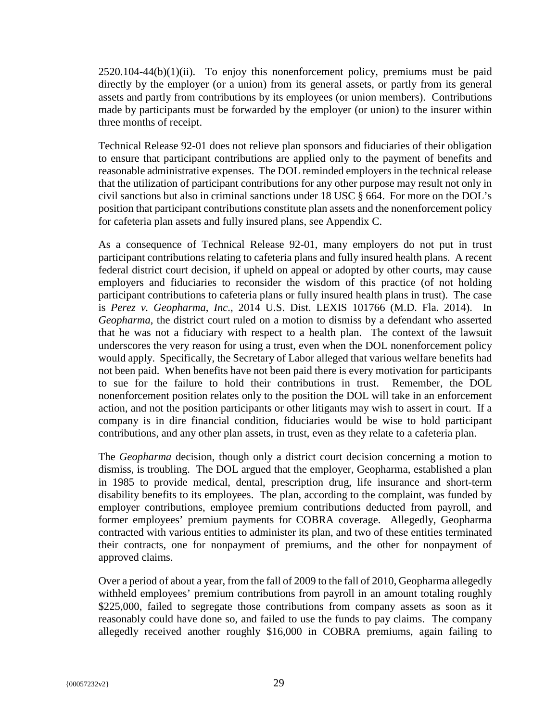$2520.104-44(b)(1)(ii)$ . To enjoy this nonenforcement policy, premiums must be paid directly by the employer (or a union) from its general assets, or partly from its general assets and partly from contributions by its employees (or union members). Contributions made by participants must be forwarded by the employer (or union) to the insurer within three months of receipt.

Technical Release 92-01 does not relieve plan sponsors and fiduciaries of their obligation to ensure that participant contributions are applied only to the payment of benefits and reasonable administrative expenses. The DOL reminded employers in the technical release that the utilization of participant contributions for any other purpose may result not only in civil sanctions but also in criminal sanctions under 18 USC § 664. For more on the DOL's position that participant contributions constitute plan assets and the nonenforcement policy for cafeteria plan assets and fully insured plans, see Appendix C.

As a consequence of Technical Release 92-01, many employers do not put in trust participant contributions relating to cafeteria plans and fully insured health plans. A recent federal district court decision, if upheld on appeal or adopted by other courts, may cause employers and fiduciaries to reconsider the wisdom of this practice (of not holding participant contributions to cafeteria plans or fully insured health plans in trust). The case is *Perez v. Geopharma*, *Inc*., 2014 U.S. Dist. LEXIS 101766 (M.D. Fla. 2014). In *Geopharma*, the district court ruled on a motion to dismiss by a defendant who asserted that he was not a fiduciary with respect to a health plan. The context of the lawsuit underscores the very reason for using a trust, even when the DOL nonenforcement policy would apply. Specifically, the Secretary of Labor alleged that various welfare benefits had not been paid. When benefits have not been paid there is every motivation for participants to sue for the failure to hold their contributions in trust. Remember, the DOL nonenforcement position relates only to the position the DOL will take in an enforcement action, and not the position participants or other litigants may wish to assert in court. If a company is in dire financial condition, fiduciaries would be wise to hold participant contributions, and any other plan assets, in trust, even as they relate to a cafeteria plan.

The *Geopharma* decision, though only a district court decision concerning a motion to dismiss, is troubling. The DOL argued that the employer, Geopharma, established a plan in 1985 to provide medical, dental, prescription drug, life insurance and short-term disability benefits to its employees. The plan, according to the complaint, was funded by employer contributions, employee premium contributions deducted from payroll, and former employees' premium payments for COBRA coverage. Allegedly, Geopharma contracted with various entities to administer its plan, and two of these entities terminated their contracts, one for nonpayment of premiums, and the other for nonpayment of approved claims.

Over a period of about a year, from the fall of 2009 to the fall of 2010, Geopharma allegedly withheld employees' premium contributions from payroll in an amount totaling roughly \$225,000, failed to segregate those contributions from company assets as soon as it reasonably could have done so, and failed to use the funds to pay claims. The company allegedly received another roughly \$16,000 in COBRA premiums, again failing to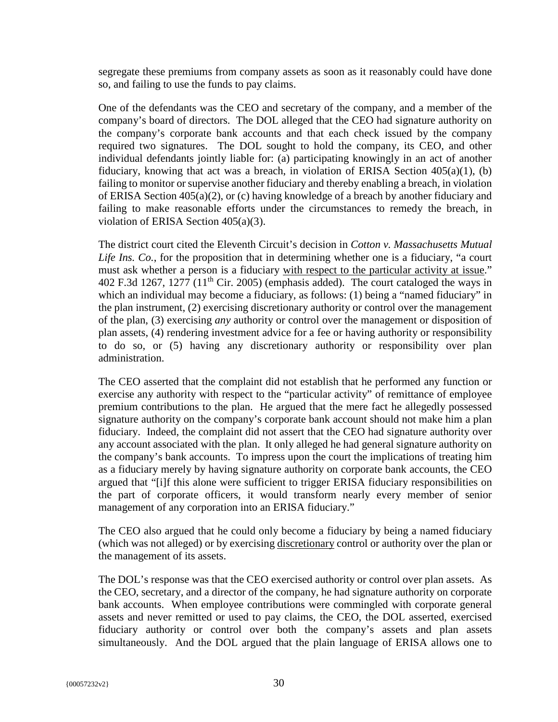segregate these premiums from company assets as soon as it reasonably could have done so, and failing to use the funds to pay claims.

One of the defendants was the CEO and secretary of the company, and a member of the company's board of directors. The DOL alleged that the CEO had signature authority on the company's corporate bank accounts and that each check issued by the company required two signatures. The DOL sought to hold the company, its CEO, and other individual defendants jointly liable for: (a) participating knowingly in an act of another fiduciary, knowing that act was a breach, in violation of ERISA Section 405(a)(1), (b) failing to monitor or supervise another fiduciary and thereby enabling a breach, in violation of ERISA Section 405(a)(2), or (c) having knowledge of a breach by another fiduciary and failing to make reasonable efforts under the circumstances to remedy the breach, in violation of ERISA Section 405(a)(3).

The district court cited the Eleventh Circuit's decision in *Cotton v. Massachusetts Mutual Life Ins. Co.*, for the proposition that in determining whether one is a fiduciary, "a court must ask whether a person is a fiduciary with respect to the particular activity at issue." 402 F.3d 1267, 1277 (11<sup>th</sup> Cir. 2005) (emphasis added). The court cataloged the ways in which an individual may become a fiduciary, as follows: (1) being a "named fiduciary" in the plan instrument, (2) exercising discretionary authority or control over the management of the plan, (3) exercising *any* authority or control over the management or disposition of plan assets, (4) rendering investment advice for a fee or having authority or responsibility to do so, or (5) having any discretionary authority or responsibility over plan administration.

The CEO asserted that the complaint did not establish that he performed any function or exercise any authority with respect to the "particular activity" of remittance of employee premium contributions to the plan. He argued that the mere fact he allegedly possessed signature authority on the company's corporate bank account should not make him a plan fiduciary. Indeed, the complaint did not assert that the CEO had signature authority over any account associated with the plan. It only alleged he had general signature authority on the company's bank accounts. To impress upon the court the implications of treating him as a fiduciary merely by having signature authority on corporate bank accounts, the CEO argued that "[i]f this alone were sufficient to trigger ERISA fiduciary responsibilities on the part of corporate officers, it would transform nearly every member of senior management of any corporation into an ERISA fiduciary."

The CEO also argued that he could only become a fiduciary by being a named fiduciary (which was not alleged) or by exercising discretionary control or authority over the plan or the management of its assets.

The DOL's response was that the CEO exercised authority or control over plan assets. As the CEO, secretary, and a director of the company, he had signature authority on corporate bank accounts. When employee contributions were commingled with corporate general assets and never remitted or used to pay claims, the CEO, the DOL asserted, exercised fiduciary authority or control over both the company's assets and plan assets simultaneously. And the DOL argued that the plain language of ERISA allows one to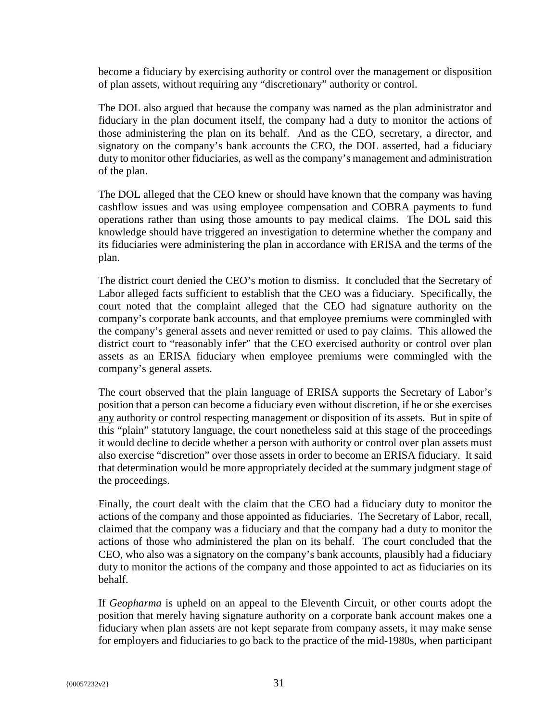become a fiduciary by exercising authority or control over the management or disposition of plan assets, without requiring any "discretionary" authority or control.

The DOL also argued that because the company was named as the plan administrator and fiduciary in the plan document itself, the company had a duty to monitor the actions of those administering the plan on its behalf. And as the CEO, secretary, a director, and signatory on the company's bank accounts the CEO, the DOL asserted, had a fiduciary duty to monitor other fiduciaries, as well as the company's management and administration of the plan.

The DOL alleged that the CEO knew or should have known that the company was having cashflow issues and was using employee compensation and COBRA payments to fund operations rather than using those amounts to pay medical claims. The DOL said this knowledge should have triggered an investigation to determine whether the company and its fiduciaries were administering the plan in accordance with ERISA and the terms of the plan.

The district court denied the CEO's motion to dismiss. It concluded that the Secretary of Labor alleged facts sufficient to establish that the CEO was a fiduciary. Specifically, the court noted that the complaint alleged that the CEO had signature authority on the company's corporate bank accounts, and that employee premiums were commingled with the company's general assets and never remitted or used to pay claims. This allowed the district court to "reasonably infer" that the CEO exercised authority or control over plan assets as an ERISA fiduciary when employee premiums were commingled with the company's general assets.

The court observed that the plain language of ERISA supports the Secretary of Labor's position that a person can become a fiduciary even without discretion, if he or she exercises any authority or control respecting management or disposition of its assets. But in spite of this "plain" statutory language, the court nonetheless said at this stage of the proceedings it would decline to decide whether a person with authority or control over plan assets must also exercise "discretion" over those assets in order to become an ERISA fiduciary. It said that determination would be more appropriately decided at the summary judgment stage of the proceedings.

Finally, the court dealt with the claim that the CEO had a fiduciary duty to monitor the actions of the company and those appointed as fiduciaries. The Secretary of Labor, recall, claimed that the company was a fiduciary and that the company had a duty to monitor the actions of those who administered the plan on its behalf. The court concluded that the CEO, who also was a signatory on the company's bank accounts, plausibly had a fiduciary duty to monitor the actions of the company and those appointed to act as fiduciaries on its behalf.

If *Geopharma* is upheld on an appeal to the Eleventh Circuit, or other courts adopt the position that merely having signature authority on a corporate bank account makes one a fiduciary when plan assets are not kept separate from company assets, it may make sense for employers and fiduciaries to go back to the practice of the mid-1980s, when participant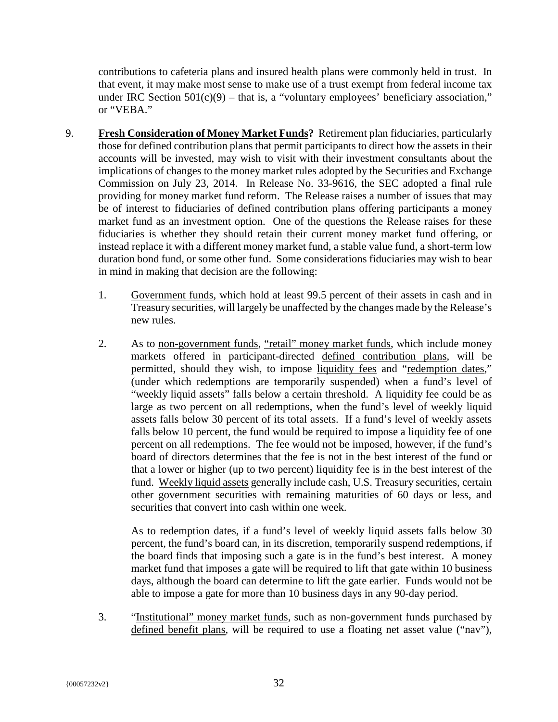contributions to cafeteria plans and insured health plans were commonly held in trust. In that event, it may make most sense to make use of a trust exempt from federal income tax under IRC Section  $501(c)(9)$  – that is, a "voluntary employees' beneficiary association," or "VEBA."

- 9. **Fresh Consideration of Money Market Funds?** Retirement plan fiduciaries, particularly those for defined contribution plans that permit participants to direct how the assets in their accounts will be invested, may wish to visit with their investment consultants about the implications of changes to the money market rules adopted by the Securities and Exchange Commission on July 23, 2014. In Release No. 33-9616, the SEC adopted a final rule providing for money market fund reform. The Release raises a number of issues that may be of interest to fiduciaries of defined contribution plans offering participants a money market fund as an investment option. One of the questions the Release raises for these fiduciaries is whether they should retain their current money market fund offering, or instead replace it with a different money market fund, a stable value fund, a short-term low duration bond fund, or some other fund. Some considerations fiduciaries may wish to bear in mind in making that decision are the following:
	- 1. Government funds, which hold at least 99.5 percent of their assets in cash and in Treasury securities, will largely be unaffected by the changes made by the Release's new rules.
	- 2. As to non-government funds, "retail" money market funds, which include money markets offered in participant-directed defined contribution plans, will be permitted, should they wish, to impose liquidity fees and "redemption dates," (under which redemptions are temporarily suspended) when a fund's level of "weekly liquid assets" falls below a certain threshold. A liquidity fee could be as large as two percent on all redemptions, when the fund's level of weekly liquid assets falls below 30 percent of its total assets. If a fund's level of weekly assets falls below 10 percent, the fund would be required to impose a liquidity fee of one percent on all redemptions. The fee would not be imposed, however, if the fund's board of directors determines that the fee is not in the best interest of the fund or that a lower or higher (up to two percent) liquidity fee is in the best interest of the fund. Weekly liquid assets generally include cash, U.S. Treasury securities, certain other government securities with remaining maturities of 60 days or less, and securities that convert into cash within one week.

As to redemption dates, if a fund's level of weekly liquid assets falls below 30 percent, the fund's board can, in its discretion, temporarily suspend redemptions, if the board finds that imposing such a gate is in the fund's best interest. A money market fund that imposes a gate will be required to lift that gate within 10 business days, although the board can determine to lift the gate earlier. Funds would not be able to impose a gate for more than 10 business days in any 90-day period.

3. "Institutional" money market funds, such as non-government funds purchased by defined benefit plans, will be required to use a floating net asset value ("nav"),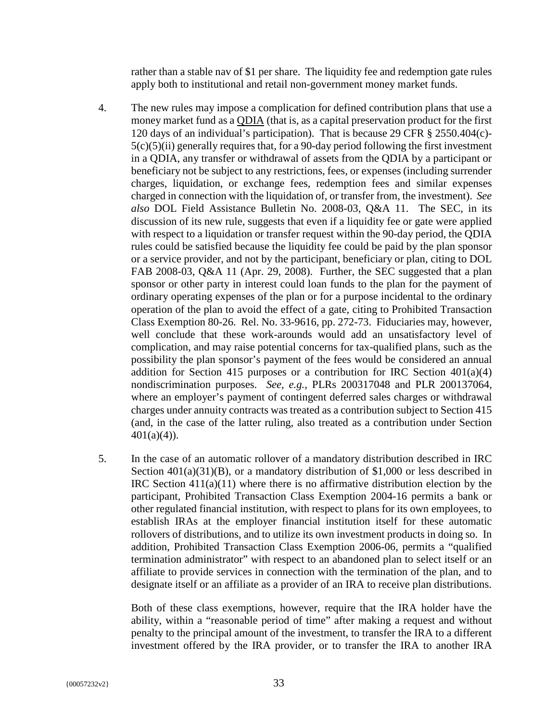rather than a stable nav of \$1 per share. The liquidity fee and redemption gate rules apply both to institutional and retail non-government money market funds.

- 4. The new rules may impose a complication for defined contribution plans that use a money market fund as a QDIA (that is, as a capital preservation product for the first 120 days of an individual's participation). That is because 29 CFR § 2550.404(c)-  $5(c)(5)(ii)$  generally requires that, for a 90-day period following the first investment in a QDIA, any transfer or withdrawal of assets from the QDIA by a participant or beneficiary not be subject to any restrictions, fees, or expenses (including surrender charges, liquidation, or exchange fees, redemption fees and similar expenses charged in connection with the liquidation of, or transfer from, the investment). *See also* DOL Field Assistance Bulletin No. 2008-03, Q&A 11. The SEC, in its discussion of its new rule, suggests that even if a liquidity fee or gate were applied with respect to a liquidation or transfer request within the 90-day period, the QDIA rules could be satisfied because the liquidity fee could be paid by the plan sponsor or a service provider, and not by the participant, beneficiary or plan, citing to DOL FAB 2008-03, Q&A 11 (Apr. 29, 2008). Further, the SEC suggested that a plan sponsor or other party in interest could loan funds to the plan for the payment of ordinary operating expenses of the plan or for a purpose incidental to the ordinary operation of the plan to avoid the effect of a gate, citing to Prohibited Transaction Class Exemption 80-26. Rel. No. 33-9616, pp. 272-73. Fiduciaries may, however, well conclude that these work-arounds would add an unsatisfactory level of complication, and may raise potential concerns for tax-qualified plans, such as the possibility the plan sponsor's payment of the fees would be considered an annual addition for Section 415 purposes or a contribution for IRC Section 401(a)(4) nondiscrimination purposes. *See, e.g.,* PLRs 200317048 and PLR 200137064, where an employer's payment of contingent deferred sales charges or withdrawal charges under annuity contracts was treated as a contribution subject to Section 415 (and, in the case of the latter ruling, also treated as a contribution under Section  $401(a)(4)$ ).
- 5. In the case of an automatic rollover of a mandatory distribution described in IRC Section  $401(a)(31)(B)$ , or a mandatory distribution of \$1,000 or less described in IRC Section  $411(a)(11)$  where there is no affirmative distribution election by the participant, Prohibited Transaction Class Exemption 2004-16 permits a bank or other regulated financial institution, with respect to plans for its own employees, to establish IRAs at the employer financial institution itself for these automatic rollovers of distributions, and to utilize its own investment products in doing so. In addition, Prohibited Transaction Class Exemption 2006-06, permits a "qualified termination administrator" with respect to an abandoned plan to select itself or an affiliate to provide services in connection with the termination of the plan, and to designate itself or an affiliate as a provider of an IRA to receive plan distributions.

Both of these class exemptions, however, require that the IRA holder have the ability, within a "reasonable period of time" after making a request and without penalty to the principal amount of the investment, to transfer the IRA to a different investment offered by the IRA provider, or to transfer the IRA to another IRA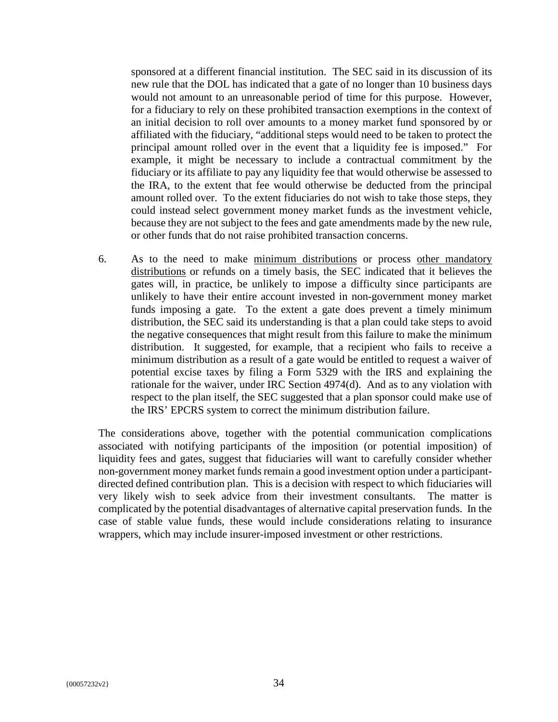sponsored at a different financial institution. The SEC said in its discussion of its new rule that the DOL has indicated that a gate of no longer than 10 business days would not amount to an unreasonable period of time for this purpose. However, for a fiduciary to rely on these prohibited transaction exemptions in the context of an initial decision to roll over amounts to a money market fund sponsored by or affiliated with the fiduciary, "additional steps would need to be taken to protect the principal amount rolled over in the event that a liquidity fee is imposed." For example, it might be necessary to include a contractual commitment by the fiduciary or its affiliate to pay any liquidity fee that would otherwise be assessed to the IRA, to the extent that fee would otherwise be deducted from the principal amount rolled over. To the extent fiduciaries do not wish to take those steps, they could instead select government money market funds as the investment vehicle, because they are not subject to the fees and gate amendments made by the new rule, or other funds that do not raise prohibited transaction concerns.

6. As to the need to make minimum distributions or process other mandatory distributions or refunds on a timely basis, the SEC indicated that it believes the gates will, in practice, be unlikely to impose a difficulty since participants are unlikely to have their entire account invested in non-government money market funds imposing a gate. To the extent a gate does prevent a timely minimum distribution, the SEC said its understanding is that a plan could take steps to avoid the negative consequences that might result from this failure to make the minimum distribution. It suggested, for example, that a recipient who fails to receive a minimum distribution as a result of a gate would be entitled to request a waiver of potential excise taxes by filing a Form 5329 with the IRS and explaining the rationale for the waiver, under IRC Section 4974(d). And as to any violation with respect to the plan itself, the SEC suggested that a plan sponsor could make use of the IRS' EPCRS system to correct the minimum distribution failure.

The considerations above, together with the potential communication complications associated with notifying participants of the imposition (or potential imposition) of liquidity fees and gates, suggest that fiduciaries will want to carefully consider whether non-government money market funds remain a good investment option under a participantdirected defined contribution plan. This is a decision with respect to which fiduciaries will very likely wish to seek advice from their investment consultants. The matter is complicated by the potential disadvantages of alternative capital preservation funds. In the case of stable value funds, these would include considerations relating to insurance wrappers, which may include insurer-imposed investment or other restrictions.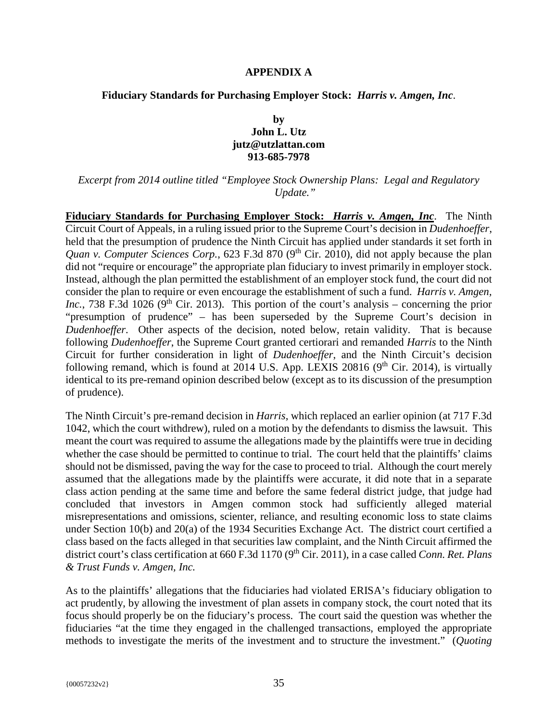#### **APPENDIX A**

#### **Fiduciary Standards for Purchasing Employer Stock:** *Harris v. Amgen, Inc*.

#### **by John L. Utz jutz@utzlattan.com 913-685-7978**

*Excerpt from 2014 outline titled "Employee Stock Ownership Plans: Legal and Regulatory Update."* 

**Fiduciary Standards for Purchasing Employer Stock:** *Harris v. Amgen, Inc*. The Ninth Circuit Court of Appeals, in a ruling issued prior to the Supreme Court's decision in *Dudenhoeffer*, held that the presumption of prudence the Ninth Circuit has applied under standards it set forth in *Quan v. Computer Sciences Corp.*, 623 F.3d 870 (9<sup>th</sup> Cir. 2010), did not apply because the plan did not "require or encourage" the appropriate plan fiduciary to invest primarily in employer stock. Instead, although the plan permitted the establishment of an employer stock fund, the court did not consider the plan to require or even encourage the establishment of such a fund. *Harris v. Amgen, Inc.*, 738 F.3d 1026 (9<sup>th</sup> Cir. 2013). This portion of the court's analysis – concerning the prior "presumption of prudence" – has been superseded by the Supreme Court's decision in *Dudenhoeffer*. Other aspects of the decision, noted below, retain validity. That is because following *Dudenhoeffer*, the Supreme Court granted certiorari and remanded *Harris* to the Ninth Circuit for further consideration in light of *Dudenhoeffer*, and the Ninth Circuit's decision following remand, which is found at  $2014$  U.S. App. LEXIS 20816 (9<sup>th</sup> Cir. 2014), is virtually identical to its pre-remand opinion described below (except as to its discussion of the presumption of prudence).

The Ninth Circuit's pre-remand decision in *Harris*, which replaced an earlier opinion (at 717 F.3d 1042, which the court withdrew), ruled on a motion by the defendants to dismiss the lawsuit. This meant the court was required to assume the allegations made by the plaintiffs were true in deciding whether the case should be permitted to continue to trial. The court held that the plaintiffs' claims should not be dismissed, paving the way for the case to proceed to trial. Although the court merely assumed that the allegations made by the plaintiffs were accurate, it did note that in a separate class action pending at the same time and before the same federal district judge, that judge had concluded that investors in Amgen common stock had sufficiently alleged material misrepresentations and omissions, scienter, reliance, and resulting economic loss to state claims under Section 10(b) and 20(a) of the 1934 Securities Exchange Act. The district court certified a class based on the facts alleged in that securities law complaint, and the Ninth Circuit affirmed the district court's class certification at 660 F.3d 1170 (9<sup>th</sup> Cir. 2011), in a case called *Conn. Ret. Plans & Trust Funds v. Amgen, Inc.*

As to the plaintiffs' allegations that the fiduciaries had violated ERISA's fiduciary obligation to act prudently, by allowing the investment of plan assets in company stock, the court noted that its focus should properly be on the fiduciary's process. The court said the question was whether the fiduciaries "at the time they engaged in the challenged transactions, employed the appropriate methods to investigate the merits of the investment and to structure the investment." (*Quoting*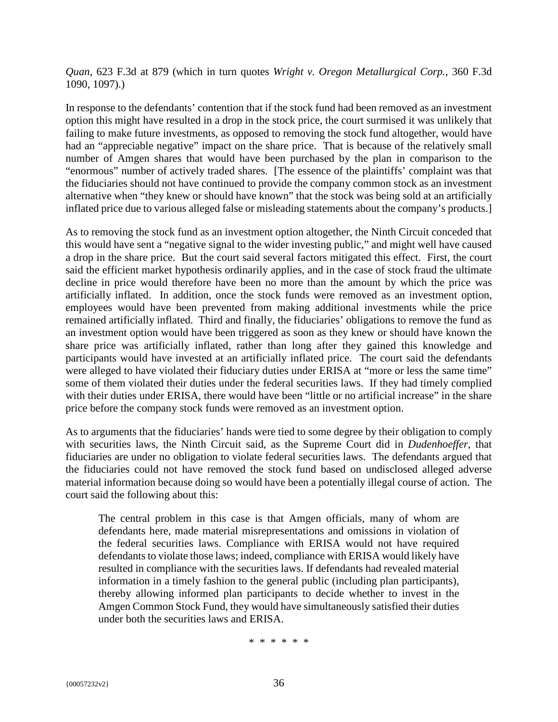*Quan*, 623 F.3d at 879 (which in turn quotes *Wright v. Oregon Metallurgical Corp.*, 360 F.3d 1090, 1097).)

In response to the defendants' contention that if the stock fund had been removed as an investment option this might have resulted in a drop in the stock price, the court surmised it was unlikely that failing to make future investments, as opposed to removing the stock fund altogether, would have had an "appreciable negative" impact on the share price. That is because of the relatively small number of Amgen shares that would have been purchased by the plan in comparison to the "enormous" number of actively traded shares. [The essence of the plaintiffs' complaint was that the fiduciaries should not have continued to provide the company common stock as an investment alternative when "they knew or should have known" that the stock was being sold at an artificially inflated price due to various alleged false or misleading statements about the company's products.]

As to removing the stock fund as an investment option altogether, the Ninth Circuit conceded that this would have sent a "negative signal to the wider investing public," and might well have caused a drop in the share price. But the court said several factors mitigated this effect. First, the court said the efficient market hypothesis ordinarily applies, and in the case of stock fraud the ultimate decline in price would therefore have been no more than the amount by which the price was artificially inflated. In addition, once the stock funds were removed as an investment option, employees would have been prevented from making additional investments while the price remained artificially inflated. Third and finally, the fiduciaries' obligations to remove the fund as an investment option would have been triggered as soon as they knew or should have known the share price was artificially inflated, rather than long after they gained this knowledge and participants would have invested at an artificially inflated price. The court said the defendants were alleged to have violated their fiduciary duties under ERISA at "more or less the same time" some of them violated their duties under the federal securities laws. If they had timely complied with their duties under ERISA, there would have been "little or no artificial increase" in the share price before the company stock funds were removed as an investment option.

As to arguments that the fiduciaries' hands were tied to some degree by their obligation to comply with securities laws, the Ninth Circuit said, as the Supreme Court did in *Dudenhoeffer*, that fiduciaries are under no obligation to violate federal securities laws. The defendants argued that the fiduciaries could not have removed the stock fund based on undisclosed alleged adverse material information because doing so would have been a potentially illegal course of action. The court said the following about this:

The central problem in this case is that Amgen officials, many of whom are defendants here, made material misrepresentations and omissions in violation of the federal securities laws. Compliance with ERISA would not have required defendants to violate those laws; indeed, compliance with ERISA would likely have resulted in compliance with the securities laws. If defendants had revealed material information in a timely fashion to the general public (including plan participants), thereby allowing informed plan participants to decide whether to invest in the Amgen Common Stock Fund, they would have simultaneously satisfied their duties under both the securities laws and ERISA.

\* \* \* \* \* \*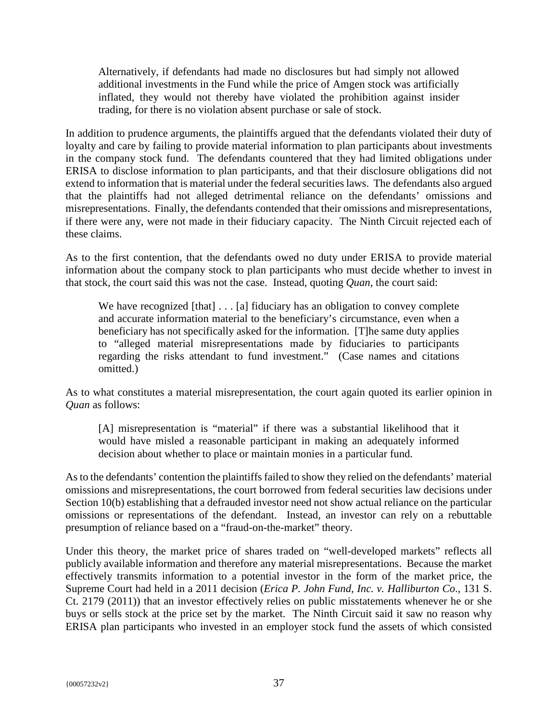Alternatively, if defendants had made no disclosures but had simply not allowed additional investments in the Fund while the price of Amgen stock was artificially inflated, they would not thereby have violated the prohibition against insider trading, for there is no violation absent purchase or sale of stock.

In addition to prudence arguments, the plaintiffs argued that the defendants violated their duty of loyalty and care by failing to provide material information to plan participants about investments in the company stock fund. The defendants countered that they had limited obligations under ERISA to disclose information to plan participants, and that their disclosure obligations did not extend to information that is material under the federal securities laws. The defendants also argued that the plaintiffs had not alleged detrimental reliance on the defendants' omissions and misrepresentations. Finally, the defendants contended that their omissions and misrepresentations, if there were any, were not made in their fiduciary capacity. The Ninth Circuit rejected each of these claims.

As to the first contention, that the defendants owed no duty under ERISA to provide material information about the company stock to plan participants who must decide whether to invest in that stock, the court said this was not the case. Instead, quoting *Quan*, the court said:

We have recognized [that]  $\dots$  [a] fiduciary has an obligation to convey complete and accurate information material to the beneficiary's circumstance, even when a beneficiary has not specifically asked for the information. [T]he same duty applies to "alleged material misrepresentations made by fiduciaries to participants regarding the risks attendant to fund investment." (Case names and citations omitted.)

As to what constitutes a material misrepresentation, the court again quoted its earlier opinion in *Quan* as follows:

[A] misrepresentation is "material" if there was a substantial likelihood that it would have misled a reasonable participant in making an adequately informed decision about whether to place or maintain monies in a particular fund.

As to the defendants' contention the plaintiffs failed to show they relied on the defendants' material omissions and misrepresentations, the court borrowed from federal securities law decisions under Section 10(b) establishing that a defrauded investor need not show actual reliance on the particular omissions or representations of the defendant. Instead, an investor can rely on a rebuttable presumption of reliance based on a "fraud-on-the-market" theory.

Under this theory, the market price of shares traded on "well-developed markets" reflects all publicly available information and therefore any material misrepresentations. Because the market effectively transmits information to a potential investor in the form of the market price, the Supreme Court had held in a 2011 decision (*Erica P. John Fund, Inc. v. Halliburton Co*., 131 S. Ct. 2179 (2011)) that an investor effectively relies on public misstatements whenever he or she buys or sells stock at the price set by the market. The Ninth Circuit said it saw no reason why ERISA plan participants who invested in an employer stock fund the assets of which consisted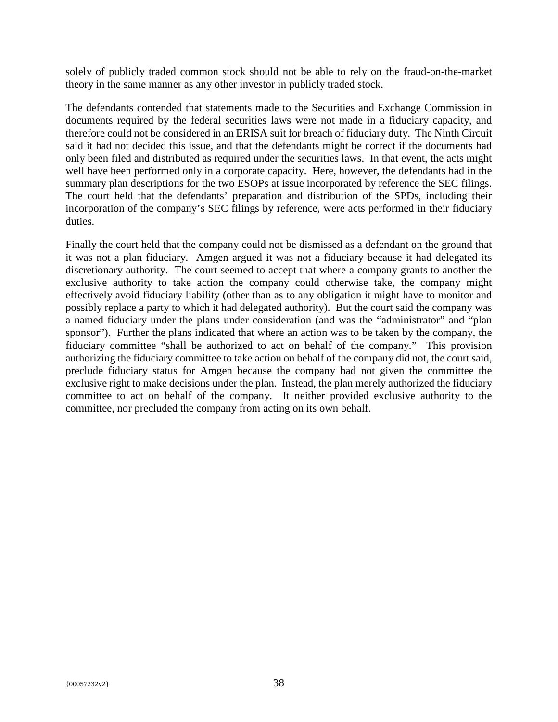solely of publicly traded common stock should not be able to rely on the fraud-on-the-market theory in the same manner as any other investor in publicly traded stock.

The defendants contended that statements made to the Securities and Exchange Commission in documents required by the federal securities laws were not made in a fiduciary capacity, and therefore could not be considered in an ERISA suit for breach of fiduciary duty. The Ninth Circuit said it had not decided this issue, and that the defendants might be correct if the documents had only been filed and distributed as required under the securities laws. In that event, the acts might well have been performed only in a corporate capacity. Here, however, the defendants had in the summary plan descriptions for the two ESOPs at issue incorporated by reference the SEC filings. The court held that the defendants' preparation and distribution of the SPDs, including their incorporation of the company's SEC filings by reference, were acts performed in their fiduciary duties.

Finally the court held that the company could not be dismissed as a defendant on the ground that it was not a plan fiduciary. Amgen argued it was not a fiduciary because it had delegated its discretionary authority. The court seemed to accept that where a company grants to another the exclusive authority to take action the company could otherwise take, the company might effectively avoid fiduciary liability (other than as to any obligation it might have to monitor and possibly replace a party to which it had delegated authority). But the court said the company was a named fiduciary under the plans under consideration (and was the "administrator" and "plan sponsor"). Further the plans indicated that where an action was to be taken by the company, the fiduciary committee "shall be authorized to act on behalf of the company." This provision authorizing the fiduciary committee to take action on behalf of the company did not, the court said, preclude fiduciary status for Amgen because the company had not given the committee the exclusive right to make decisions under the plan. Instead, the plan merely authorized the fiduciary committee to act on behalf of the company. It neither provided exclusive authority to the committee, nor precluded the company from acting on its own behalf.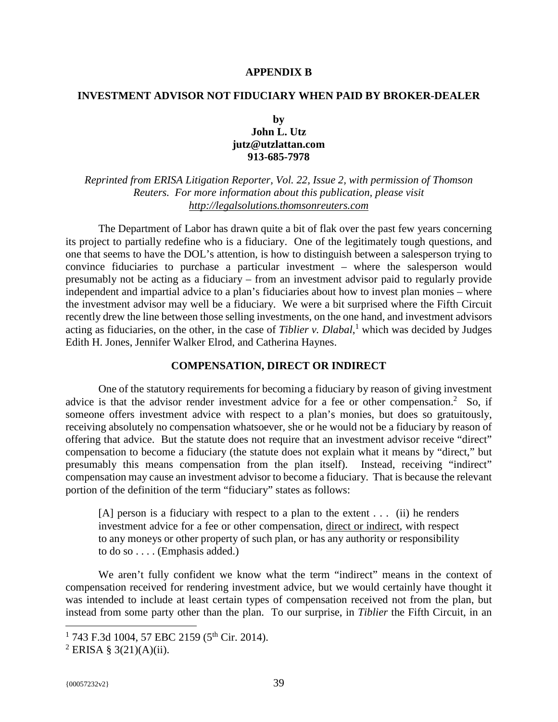#### **APPENDIX B**

#### **INVESTMENT ADVISOR NOT FIDUCIARY WHEN PAID BY BROKER-DEALER**

#### **by John L. Utz jutz@utzlattan.com 913-685-7978**

*Reprinted from ERISA Litigation Reporter, Vol. 22, Issue 2, with permission of Thomson Reuters. For more information about this publication, please visit http://legalsolutions.thomsonreuters.com*

The Department of Labor has drawn quite a bit of flak over the past few years concerning its project to partially redefine who is a fiduciary. One of the legitimately tough questions, and one that seems to have the DOL's attention, is how to distinguish between a salesperson trying to convince fiduciaries to purchase a particular investment – where the salesperson would presumably not be acting as a fiduciary – from an investment advisor paid to regularly provide independent and impartial advice to a plan's fiduciaries about how to invest plan monies – where the investment advisor may well be a fiduciary. We were a bit surprised where the Fifth Circuit recently drew the line between those selling investments, on the one hand, and investment advisors acting as fiduciaries, on the other, in the case of *Tiblier v. Dlabal*,<sup>1</sup> which was decided by Judges Edith H. Jones, Jennifer Walker Elrod, and Catherina Haynes.

#### **COMPENSATION, DIRECT OR INDIRECT**

One of the statutory requirements for becoming a fiduciary by reason of giving investment advice is that the advisor render investment advice for a fee or other compensation.<sup>2</sup> So, if someone offers investment advice with respect to a plan's monies, but does so gratuitously, receiving absolutely no compensation whatsoever, she or he would not be a fiduciary by reason of offering that advice. But the statute does not require that an investment advisor receive "direct" compensation to become a fiduciary (the statute does not explain what it means by "direct," but presumably this means compensation from the plan itself). Instead, receiving "indirect" compensation may cause an investment advisor to become a fiduciary. That is because the relevant portion of the definition of the term "fiduciary" states as follows:

[A] person is a fiduciary with respect to a plan to the extent . . . (ii) he renders investment advice for a fee or other compensation, direct or indirect, with respect to any moneys or other property of such plan, or has any authority or responsibility to do so . . . . (Emphasis added.)

We aren't fully confident we know what the term "indirect" means in the context of compensation received for rendering investment advice, but we would certainly have thought it was intended to include at least certain types of compensation received not from the plan, but instead from some party other than the plan. To our surprise, in *Tiblier* the Fifth Circuit, in an

<u>.</u>

 $1$  743 F.3d 1004, 57 EBC 2159 (5<sup>th</sup> Cir. 2014).

<sup>&</sup>lt;sup>2</sup> ERISA § 3(21)(A)(ii).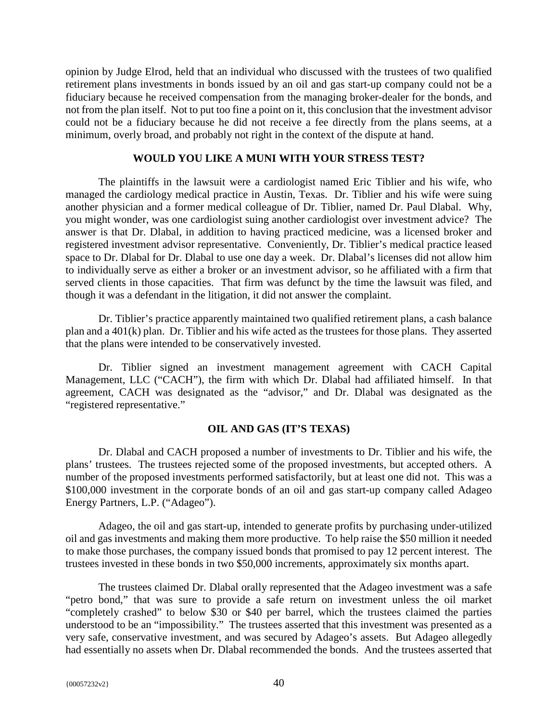opinion by Judge Elrod, held that an individual who discussed with the trustees of two qualified retirement plans investments in bonds issued by an oil and gas start-up company could not be a fiduciary because he received compensation from the managing broker-dealer for the bonds, and not from the plan itself. Not to put too fine a point on it, this conclusion that the investment advisor could not be a fiduciary because he did not receive a fee directly from the plans seems, at a minimum, overly broad, and probably not right in the context of the dispute at hand.

#### **WOULD YOU LIKE A MUNI WITH YOUR STRESS TEST?**

The plaintiffs in the lawsuit were a cardiologist named Eric Tiblier and his wife, who managed the cardiology medical practice in Austin, Texas. Dr. Tiblier and his wife were suing another physician and a former medical colleague of Dr. Tiblier, named Dr. Paul Dlabal. Why, you might wonder, was one cardiologist suing another cardiologist over investment advice? The answer is that Dr. Dlabal, in addition to having practiced medicine, was a licensed broker and registered investment advisor representative. Conveniently, Dr. Tiblier's medical practice leased space to Dr. Dlabal for Dr. Dlabal to use one day a week. Dr. Dlabal's licenses did not allow him to individually serve as either a broker or an investment advisor, so he affiliated with a firm that served clients in those capacities. That firm was defunct by the time the lawsuit was filed, and though it was a defendant in the litigation, it did not answer the complaint.

Dr. Tiblier's practice apparently maintained two qualified retirement plans, a cash balance plan and a 401(k) plan. Dr. Tiblier and his wife acted as the trustees for those plans. They asserted that the plans were intended to be conservatively invested.

Dr. Tiblier signed an investment management agreement with CACH Capital Management, LLC ("CACH"), the firm with which Dr. Dlabal had affiliated himself. In that agreement, CACH was designated as the "advisor," and Dr. Dlabal was designated as the "registered representative."

#### **OIL AND GAS (IT'S TEXAS)**

Dr. Dlabal and CACH proposed a number of investments to Dr. Tiblier and his wife, the plans' trustees. The trustees rejected some of the proposed investments, but accepted others. A number of the proposed investments performed satisfactorily, but at least one did not. This was a \$100,000 investment in the corporate bonds of an oil and gas start-up company called Adageo Energy Partners, L.P. ("Adageo").

Adageo, the oil and gas start-up, intended to generate profits by purchasing under-utilized oil and gas investments and making them more productive. To help raise the \$50 million it needed to make those purchases, the company issued bonds that promised to pay 12 percent interest. The trustees invested in these bonds in two \$50,000 increments, approximately six months apart.

The trustees claimed Dr. Dlabal orally represented that the Adageo investment was a safe "petro bond," that was sure to provide a safe return on investment unless the oil market "completely crashed" to below \$30 or \$40 per barrel, which the trustees claimed the parties understood to be an "impossibility." The trustees asserted that this investment was presented as a very safe, conservative investment, and was secured by Adageo's assets. But Adageo allegedly had essentially no assets when Dr. Dlabal recommended the bonds. And the trustees asserted that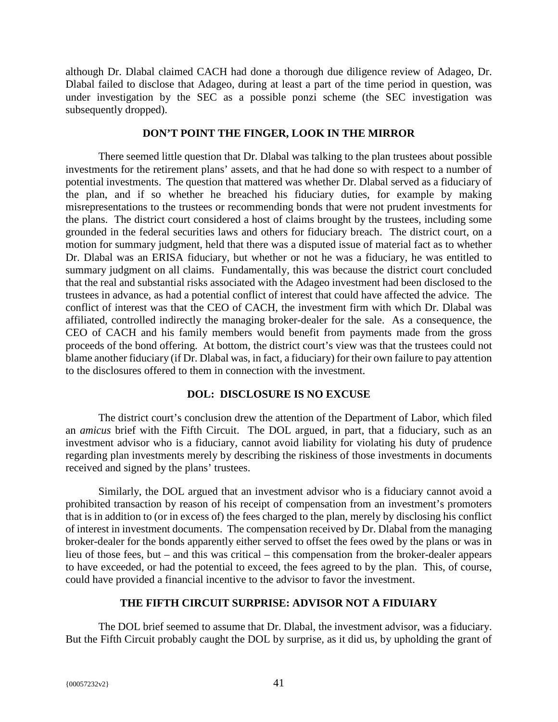although Dr. Dlabal claimed CACH had done a thorough due diligence review of Adageo, Dr. Dlabal failed to disclose that Adageo, during at least a part of the time period in question, was under investigation by the SEC as a possible ponzi scheme (the SEC investigation was subsequently dropped).

#### **DON'T POINT THE FINGER, LOOK IN THE MIRROR**

There seemed little question that Dr. Dlabal was talking to the plan trustees about possible investments for the retirement plans' assets, and that he had done so with respect to a number of potential investments. The question that mattered was whether Dr. Dlabal served as a fiduciary of the plan, and if so whether he breached his fiduciary duties, for example by making misrepresentations to the trustees or recommending bonds that were not prudent investments for the plans. The district court considered a host of claims brought by the trustees, including some grounded in the federal securities laws and others for fiduciary breach. The district court, on a motion for summary judgment, held that there was a disputed issue of material fact as to whether Dr. Dlabal was an ERISA fiduciary, but whether or not he was a fiduciary, he was entitled to summary judgment on all claims. Fundamentally, this was because the district court concluded that the real and substantial risks associated with the Adageo investment had been disclosed to the trustees in advance, as had a potential conflict of interest that could have affected the advice. The conflict of interest was that the CEO of CACH, the investment firm with which Dr. Dlabal was affiliated, controlled indirectly the managing broker-dealer for the sale. As a consequence, the CEO of CACH and his family members would benefit from payments made from the gross proceeds of the bond offering. At bottom, the district court's view was that the trustees could not blame another fiduciary (if Dr. Dlabal was, in fact, a fiduciary) for their own failure to pay attention to the disclosures offered to them in connection with the investment.

#### **DOL: DISCLOSURE IS NO EXCUSE**

The district court's conclusion drew the attention of the Department of Labor, which filed an *amicus* brief with the Fifth Circuit. The DOL argued, in part, that a fiduciary, such as an investment advisor who is a fiduciary, cannot avoid liability for violating his duty of prudence regarding plan investments merely by describing the riskiness of those investments in documents received and signed by the plans' trustees.

Similarly, the DOL argued that an investment advisor who is a fiduciary cannot avoid a prohibited transaction by reason of his receipt of compensation from an investment's promoters that is in addition to (or in excess of) the fees charged to the plan, merely by disclosing his conflict of interest in investment documents. The compensation received by Dr. Dlabal from the managing broker-dealer for the bonds apparently either served to offset the fees owed by the plans or was in lieu of those fees, but – and this was critical – this compensation from the broker-dealer appears to have exceeded, or had the potential to exceed, the fees agreed to by the plan. This, of course, could have provided a financial incentive to the advisor to favor the investment.

#### **THE FIFTH CIRCUIT SURPRISE: ADVISOR NOT A FIDUIARY**

The DOL brief seemed to assume that Dr. Dlabal, the investment advisor, was a fiduciary. But the Fifth Circuit probably caught the DOL by surprise, as it did us, by upholding the grant of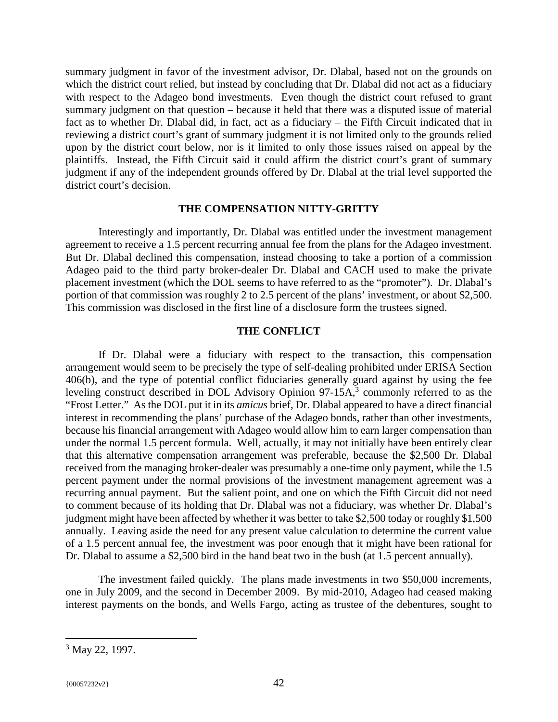summary judgment in favor of the investment advisor, Dr. Dlabal, based not on the grounds on which the district court relied, but instead by concluding that Dr. Dlabal did not act as a fiduciary with respect to the Adageo bond investments. Even though the district court refused to grant summary judgment on that question – because it held that there was a disputed issue of material fact as to whether Dr. Dlabal did, in fact, act as a fiduciary – the Fifth Circuit indicated that in reviewing a district court's grant of summary judgment it is not limited only to the grounds relied upon by the district court below, nor is it limited to only those issues raised on appeal by the plaintiffs. Instead, the Fifth Circuit said it could affirm the district court's grant of summary judgment if any of the independent grounds offered by Dr. Dlabal at the trial level supported the district court's decision.

#### **THE COMPENSATION NITTY-GRITTY**

Interestingly and importantly, Dr. Dlabal was entitled under the investment management agreement to receive a 1.5 percent recurring annual fee from the plans for the Adageo investment. But Dr. Dlabal declined this compensation, instead choosing to take a portion of a commission Adageo paid to the third party broker-dealer Dr. Dlabal and CACH used to make the private placement investment (which the DOL seems to have referred to as the "promoter"). Dr. Dlabal's portion of that commission was roughly 2 to 2.5 percent of the plans' investment, or about \$2,500. This commission was disclosed in the first line of a disclosure form the trustees signed.

#### **THE CONFLICT**

If Dr. Dlabal were a fiduciary with respect to the transaction, this compensation arrangement would seem to be precisely the type of self-dealing prohibited under ERISA Section 406(b), and the type of potential conflict fiduciaries generally guard against by using the fee leveling construct described in DOL Advisory Opinion  $97-15A$ ,<sup>3</sup> commonly referred to as the "Frost Letter." As the DOL put it in its *amicus* brief, Dr. Dlabal appeared to have a direct financial interest in recommending the plans' purchase of the Adageo bonds, rather than other investments, because his financial arrangement with Adageo would allow him to earn larger compensation than under the normal 1.5 percent formula. Well, actually, it may not initially have been entirely clear that this alternative compensation arrangement was preferable, because the \$2,500 Dr. Dlabal received from the managing broker-dealer was presumably a one-time only payment, while the 1.5 percent payment under the normal provisions of the investment management agreement was a recurring annual payment. But the salient point, and one on which the Fifth Circuit did not need to comment because of its holding that Dr. Dlabal was not a fiduciary, was whether Dr. Dlabal's judgment might have been affected by whether it was better to take \$2,500 today or roughly \$1,500 annually. Leaving aside the need for any present value calculation to determine the current value of a 1.5 percent annual fee, the investment was poor enough that it might have been rational for Dr. Dlabal to assume a \$2,500 bird in the hand beat two in the bush (at 1.5 percent annually).

The investment failed quickly. The plans made investments in two \$50,000 increments, one in July 2009, and the second in December 2009. By mid-2010, Adageo had ceased making interest payments on the bonds, and Wells Fargo, acting as trustee of the debentures, sought to

<u>.</u>

<sup>&</sup>lt;sup>3</sup> May 22, 1997.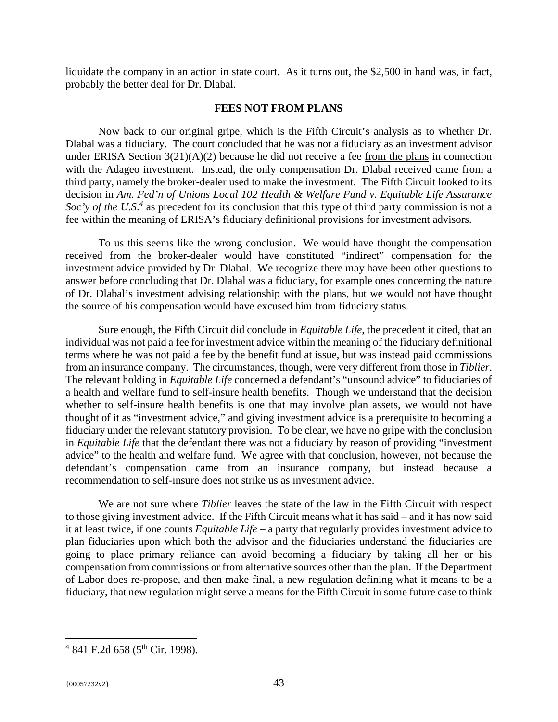liquidate the company in an action in state court. As it turns out, the \$2,500 in hand was, in fact, probably the better deal for Dr. Dlabal.

#### **FEES NOT FROM PLANS**

Now back to our original gripe, which is the Fifth Circuit's analysis as to whether Dr. Dlabal was a fiduciary. The court concluded that he was not a fiduciary as an investment advisor under ERISA Section 3(21)(A)(2) because he did not receive a fee from the plans in connection with the Adageo investment. Instead, the only compensation Dr. Dlabal received came from a third party, namely the broker-dealer used to make the investment. The Fifth Circuit looked to its decision in *Am. Fed'n of Unions Local 102 Health & Welfare Fund v. Equitable Life Assurance*  Soc'y of the U.S.<sup>4</sup> as precedent for its conclusion that this type of third party commission is not a fee within the meaning of ERISA's fiduciary definitional provisions for investment advisors.

To us this seems like the wrong conclusion. We would have thought the compensation received from the broker-dealer would have constituted "indirect" compensation for the investment advice provided by Dr. Dlabal. We recognize there may have been other questions to answer before concluding that Dr. Dlabal was a fiduciary, for example ones concerning the nature of Dr. Dlabal's investment advising relationship with the plans, but we would not have thought the source of his compensation would have excused him from fiduciary status.

Sure enough, the Fifth Circuit did conclude in *Equitable Life*, the precedent it cited, that an individual was not paid a fee for investment advice within the meaning of the fiduciary definitional terms where he was not paid a fee by the benefit fund at issue, but was instead paid commissions from an insurance company. The circumstances, though, were very different from those in *Tiblier*. The relevant holding in *Equitable Life* concerned a defendant's "unsound advice" to fiduciaries of a health and welfare fund to self-insure health benefits. Though we understand that the decision whether to self-insure health benefits is one that may involve plan assets, we would not have thought of it as "investment advice," and giving investment advice is a prerequisite to becoming a fiduciary under the relevant statutory provision. To be clear, we have no gripe with the conclusion in *Equitable Life* that the defendant there was not a fiduciary by reason of providing "investment advice" to the health and welfare fund. We agree with that conclusion, however, not because the defendant's compensation came from an insurance company, but instead because a recommendation to self-insure does not strike us as investment advice.

We are not sure where *Tiblier* leaves the state of the law in the Fifth Circuit with respect to those giving investment advice. If the Fifth Circuit means what it has said – and it has now said it at least twice, if one counts *Equitable Life* – a party that regularly provides investment advice to plan fiduciaries upon which both the advisor and the fiduciaries understand the fiduciaries are going to place primary reliance can avoid becoming a fiduciary by taking all her or his compensation from commissions or from alternative sources other than the plan. If the Department of Labor does re-propose, and then make final, a new regulation defining what it means to be a fiduciary, that new regulation might serve a means for the Fifth Circuit in some future case to think

<u>.</u>

 $4$  841 F.2d 658 (5<sup>th</sup> Cir. 1998).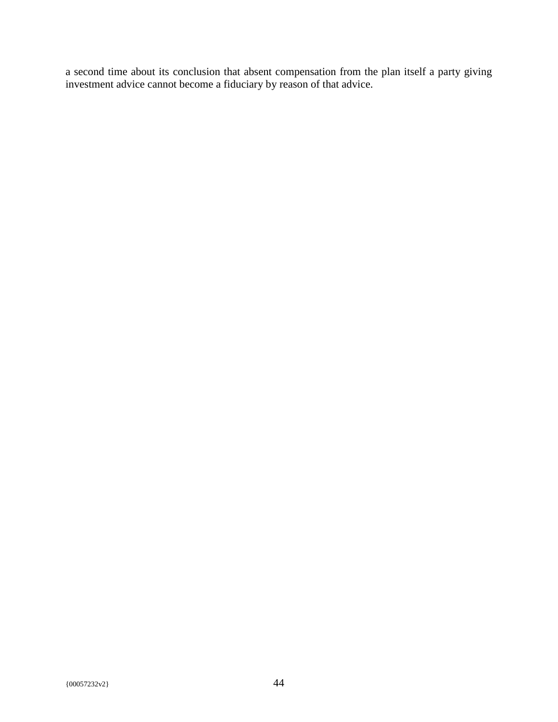a second time about its conclusion that absent compensation from the plan itself a party giving investment advice cannot become a fiduciary by reason of that advice.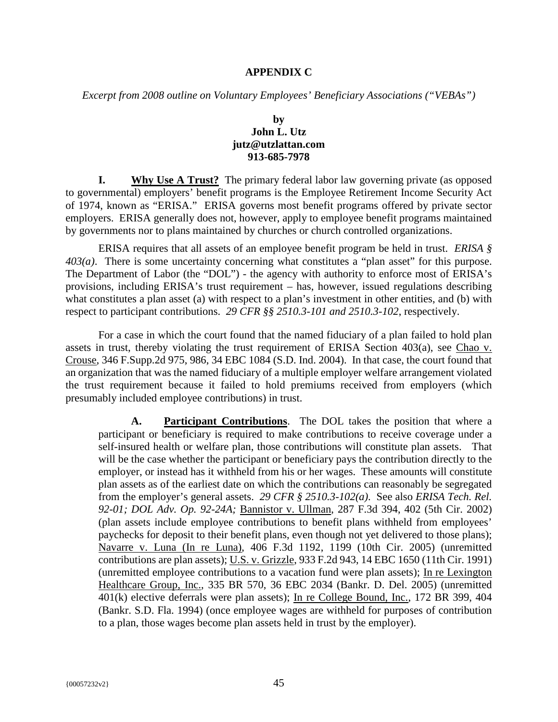#### **APPENDIX C**

*Excerpt from 2008 outline on Voluntary Employees' Beneficiary Associations ("VEBAs")* 

#### **by John L. Utz jutz@utzlattan.com 913-685-7978**

**I.** Why Use A Trust? The primary federal labor law governing private (as opposed to governmental) employers' benefit programs is the Employee Retirement Income Security Act of 1974, known as "ERISA." ERISA governs most benefit programs offered by private sector employers. ERISA generally does not, however, apply to employee benefit programs maintained by governments nor to plans maintained by churches or church controlled organizations.

ERISA requires that all assets of an employee benefit program be held in trust. *ERISA § 403(a)*. There is some uncertainty concerning what constitutes a "plan asset" for this purpose. The Department of Labor (the "DOL") - the agency with authority to enforce most of ERISA's provisions, including ERISA's trust requirement – has, however, issued regulations describing what constitutes a plan asset (a) with respect to a plan's investment in other entities, and (b) with respect to participant contributions. *29 CFR §§ 2510.3-101 and 2510.3-102*, respectively.

For a case in which the court found that the named fiduciary of a plan failed to hold plan assets in trust, thereby violating the trust requirement of ERISA Section 403(a), see Chao v. Crouse, 346 F.Supp.2d 975, 986, 34 EBC 1084 (S.D. Ind. 2004). In that case, the court found that an organization that was the named fiduciary of a multiple employer welfare arrangement violated the trust requirement because it failed to hold premiums received from employers (which presumably included employee contributions) in trust.

**A. Participant Contributions**. The DOL takes the position that where a participant or beneficiary is required to make contributions to receive coverage under a self-insured health or welfare plan, those contributions will constitute plan assets. That will be the case whether the participant or beneficiary pays the contribution directly to the employer, or instead has it withheld from his or her wages. These amounts will constitute plan assets as of the earliest date on which the contributions can reasonably be segregated from the employer's general assets. *29 CFR § 2510.3-102(a)*. See also *ERISA Tech. Rel. 92-01; DOL Adv. Op. 92-24A;* Bannistor v. Ullman, 287 F.3d 394, 402 (5th Cir. 2002) (plan assets include employee contributions to benefit plans withheld from employees' paychecks for deposit to their benefit plans, even though not yet delivered to those plans); Navarre v. Luna (In re Luna), 406 F.3d 1192, 1199 (10th Cir. 2005) (unremitted contributions are plan assets); U.S. v. Grizzle, 933 F.2d 943, 14 EBC 1650 (11th Cir. 1991) (unremitted employee contributions to a vacation fund were plan assets); In re Lexington Healthcare Group, Inc., 335 BR 570, 36 EBC 2034 (Bankr. D. Del. 2005) (unremitted 401(k) elective deferrals were plan assets); In re College Bound, Inc., 172 BR 399, 404 (Bankr. S.D. Fla. 1994) (once employee wages are withheld for purposes of contribution to a plan, those wages become plan assets held in trust by the employer).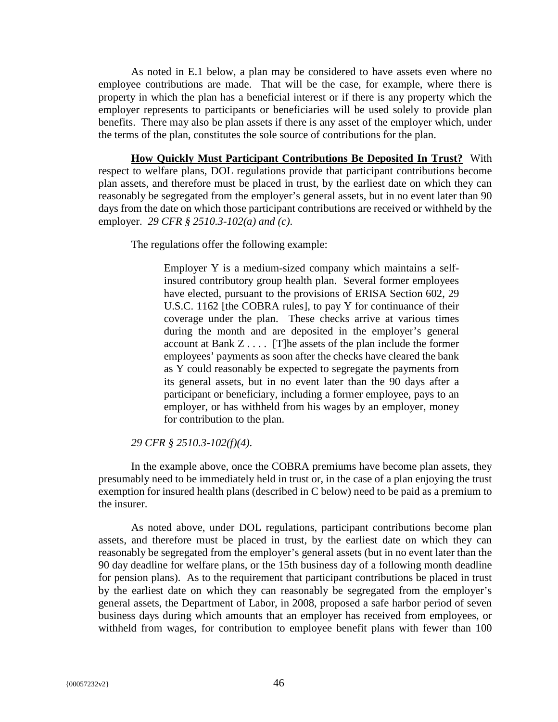As noted in E.1 below, a plan may be considered to have assets even where no employee contributions are made. That will be the case, for example, where there is property in which the plan has a beneficial interest or if there is any property which the employer represents to participants or beneficiaries will be used solely to provide plan benefits. There may also be plan assets if there is any asset of the employer which, under the terms of the plan, constitutes the sole source of contributions for the plan.

**How Quickly Must Participant Contributions Be Deposited In Trust?** With respect to welfare plans, DOL regulations provide that participant contributions become plan assets, and therefore must be placed in trust, by the earliest date on which they can reasonably be segregated from the employer's general assets, but in no event later than 90 days from the date on which those participant contributions are received or withheld by the employer. *29 CFR § 2510.3-102(a) and (c)*.

The regulations offer the following example:

Employer Y is a medium-sized company which maintains a selfinsured contributory group health plan. Several former employees have elected, pursuant to the provisions of ERISA Section 602, 29 U.S.C. 1162 [the COBRA rules], to pay Y for continuance of their coverage under the plan. These checks arrive at various times during the month and are deposited in the employer's general account at Bank Z . . . . [T]he assets of the plan include the former employees' payments as soon after the checks have cleared the bank as Y could reasonably be expected to segregate the payments from its general assets, but in no event later than the 90 days after a participant or beneficiary, including a former employee, pays to an employer, or has withheld from his wages by an employer, money for contribution to the plan.

#### *29 CFR § 2510.3-102(f)(4)*.

In the example above, once the COBRA premiums have become plan assets, they presumably need to be immediately held in trust or, in the case of a plan enjoying the trust exemption for insured health plans (described in C below) need to be paid as a premium to the insurer.

As noted above, under DOL regulations, participant contributions become plan assets, and therefore must be placed in trust, by the earliest date on which they can reasonably be segregated from the employer's general assets (but in no event later than the 90 day deadline for welfare plans, or the 15th business day of a following month deadline for pension plans). As to the requirement that participant contributions be placed in trust by the earliest date on which they can reasonably be segregated from the employer's general assets, the Department of Labor, in 2008, proposed a safe harbor period of seven business days during which amounts that an employer has received from employees, or withheld from wages, for contribution to employee benefit plans with fewer than 100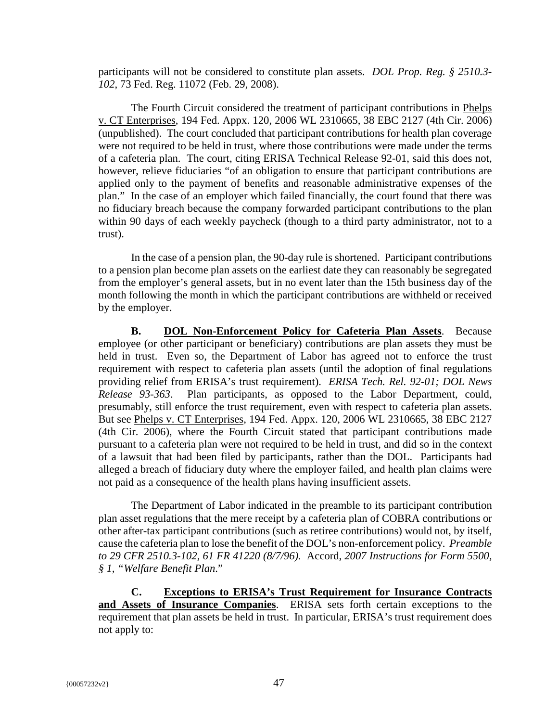participants will not be considered to constitute plan assets. *DOL Prop. Reg. § 2510.3- 102*, 73 Fed. Reg. 11072 (Feb. 29, 2008).

The Fourth Circuit considered the treatment of participant contributions in Phelps v. CT Enterprises, 194 Fed. Appx. 120, 2006 WL 2310665, 38 EBC 2127 (4th Cir. 2006) (unpublished). The court concluded that participant contributions for health plan coverage were not required to be held in trust, where those contributions were made under the terms of a cafeteria plan. The court, citing ERISA Technical Release 92-01, said this does not, however, relieve fiduciaries "of an obligation to ensure that participant contributions are applied only to the payment of benefits and reasonable administrative expenses of the plan." In the case of an employer which failed financially, the court found that there was no fiduciary breach because the company forwarded participant contributions to the plan within 90 days of each weekly paycheck (though to a third party administrator, not to a trust).

In the case of a pension plan, the 90-day rule is shortened. Participant contributions to a pension plan become plan assets on the earliest date they can reasonably be segregated from the employer's general assets, but in no event later than the 15th business day of the month following the month in which the participant contributions are withheld or received by the employer.

**B. DOL Non-Enforcement Policy for Cafeteria Plan Assets**. Because employee (or other participant or beneficiary) contributions are plan assets they must be held in trust. Even so, the Department of Labor has agreed not to enforce the trust requirement with respect to cafeteria plan assets (until the adoption of final regulations providing relief from ERISA's trust requirement). *ERISA Tech. Rel. 92-01; DOL News Release 93-363*. Plan participants, as opposed to the Labor Department, could, presumably, still enforce the trust requirement, even with respect to cafeteria plan assets. But see Phelps v. CT Enterprises, 194 Fed. Appx. 120, 2006 WL 2310665, 38 EBC 2127 (4th Cir. 2006), where the Fourth Circuit stated that participant contributions made pursuant to a cafeteria plan were not required to be held in trust, and did so in the context of a lawsuit that had been filed by participants, rather than the DOL. Participants had alleged a breach of fiduciary duty where the employer failed, and health plan claims were not paid as a consequence of the health plans having insufficient assets.

The Department of Labor indicated in the preamble to its participant contribution plan asset regulations that the mere receipt by a cafeteria plan of COBRA contributions or other after-tax participant contributions (such as retiree contributions) would not, by itself, cause the cafeteria plan to lose the benefit of the DOL's non-enforcement policy. *Preamble to 29 CFR 2510.3-102, 61 FR 41220 (8/7/96).* Accord, *2007 Instructions for Form 5500, § 1, "Welfare Benefit Plan*."

**C. Exceptions to ERISA's Trust Requirement for Insurance Contracts and Assets of Insurance Companies**. ERISA sets forth certain exceptions to the requirement that plan assets be held in trust. In particular, ERISA's trust requirement does not apply to: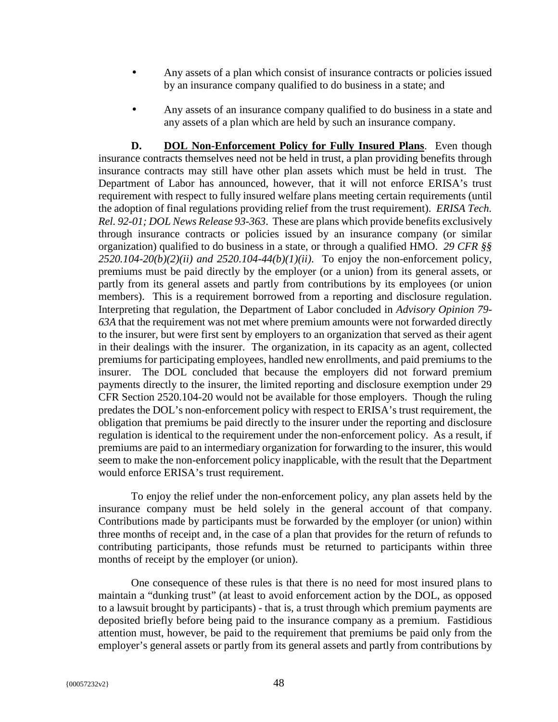- Any assets of a plan which consist of insurance contracts or policies issued by an insurance company qualified to do business in a state; and
- Any assets of an insurance company qualified to do business in a state and any assets of a plan which are held by such an insurance company.

**D. DOL Non-Enforcement Policy for Fully Insured Plans**. Even though insurance contracts themselves need not be held in trust, a plan providing benefits through insurance contracts may still have other plan assets which must be held in trust. The Department of Labor has announced, however, that it will not enforce ERISA's trust requirement with respect to fully insured welfare plans meeting certain requirements (until the adoption of final regulations providing relief from the trust requirement). *ERISA Tech. Rel. 92-01; DOL News Release 93-363*. These are plans which provide benefits exclusively through insurance contracts or policies issued by an insurance company (or similar organization) qualified to do business in a state, or through a qualified HMO. *29 CFR §§*   $2520.104-20(b)(2)(ii)$  and  $2520.104-44(b)(1)(ii)$ . To enjoy the non-enforcement policy, premiums must be paid directly by the employer (or a union) from its general assets, or partly from its general assets and partly from contributions by its employees (or union members). This is a requirement borrowed from a reporting and disclosure regulation. Interpreting that regulation, the Department of Labor concluded in *Advisory Opinion 79- 63A* that the requirement was not met where premium amounts were not forwarded directly to the insurer, but were first sent by employers to an organization that served as their agent in their dealings with the insurer. The organization, in its capacity as an agent, collected premiums for participating employees, handled new enrollments, and paid premiums to the insurer. The DOL concluded that because the employers did not forward premium payments directly to the insurer, the limited reporting and disclosure exemption under 29 CFR Section 2520.104-20 would not be available for those employers. Though the ruling predates the DOL's non-enforcement policy with respect to ERISA's trust requirement, the obligation that premiums be paid directly to the insurer under the reporting and disclosure regulation is identical to the requirement under the non-enforcement policy. As a result, if premiums are paid to an intermediary organization for forwarding to the insurer, this would seem to make the non-enforcement policy inapplicable, with the result that the Department would enforce ERISA's trust requirement.

To enjoy the relief under the non-enforcement policy, any plan assets held by the insurance company must be held solely in the general account of that company. Contributions made by participants must be forwarded by the employer (or union) within three months of receipt and, in the case of a plan that provides for the return of refunds to contributing participants, those refunds must be returned to participants within three months of receipt by the employer (or union).

One consequence of these rules is that there is no need for most insured plans to maintain a "dunking trust" (at least to avoid enforcement action by the DOL, as opposed to a lawsuit brought by participants) - that is, a trust through which premium payments are deposited briefly before being paid to the insurance company as a premium. Fastidious attention must, however, be paid to the requirement that premiums be paid only from the employer's general assets or partly from its general assets and partly from contributions by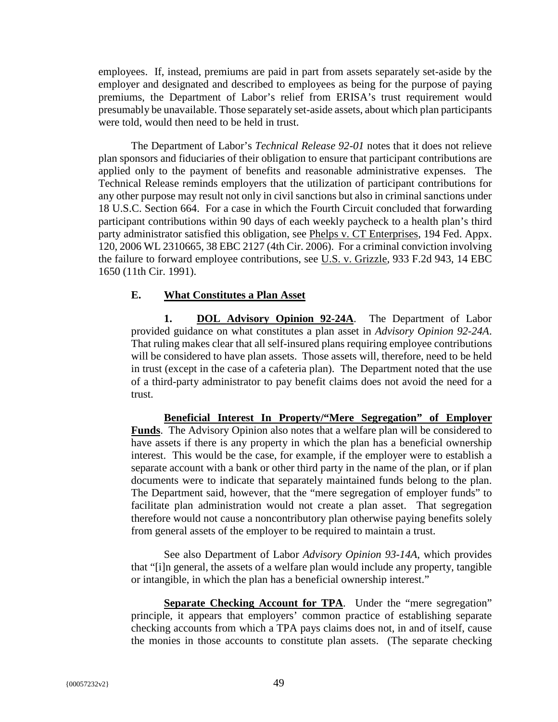employees. If, instead, premiums are paid in part from assets separately set-aside by the employer and designated and described to employees as being for the purpose of paying premiums, the Department of Labor's relief from ERISA's trust requirement would presumably be unavailable. Those separately set-aside assets, about which plan participants were told, would then need to be held in trust.

The Department of Labor's *Technical Release 92-01* notes that it does not relieve plan sponsors and fiduciaries of their obligation to ensure that participant contributions are applied only to the payment of benefits and reasonable administrative expenses. The Technical Release reminds employers that the utilization of participant contributions for any other purpose may result not only in civil sanctions but also in criminal sanctions under 18 U.S.C. Section 664. For a case in which the Fourth Circuit concluded that forwarding participant contributions within 90 days of each weekly paycheck to a health plan's third party administrator satisfied this obligation, see Phelps v. CT Enterprises, 194 Fed. Appx. 120, 2006 WL 2310665, 38 EBC 2127 (4th Cir. 2006). For a criminal conviction involving the failure to forward employee contributions, see U.S. v. Grizzle, 933 F.2d 943, 14 EBC 1650 (11th Cir. 1991).

#### **E. What Constitutes a Plan Asset**

**1. DOL Advisory Opinion 92-24A**. The Department of Labor provided guidance on what constitutes a plan asset in *Advisory Opinion 92-24A*. That ruling makes clear that all self-insured plans requiring employee contributions will be considered to have plan assets. Those assets will, therefore, need to be held in trust (except in the case of a cafeteria plan). The Department noted that the use of a third-party administrator to pay benefit claims does not avoid the need for a trust.

**Beneficial Interest In Property/"Mere Segregation" of Employer Funds**. The Advisory Opinion also notes that a welfare plan will be considered to have assets if there is any property in which the plan has a beneficial ownership interest. This would be the case, for example, if the employer were to establish a separate account with a bank or other third party in the name of the plan, or if plan documents were to indicate that separately maintained funds belong to the plan. The Department said, however, that the "mere segregation of employer funds" to facilitate plan administration would not create a plan asset. That segregation therefore would not cause a noncontributory plan otherwise paying benefits solely from general assets of the employer to be required to maintain a trust.

See also Department of Labor *Advisory Opinion 93-14A*, which provides that "[i]n general, the assets of a welfare plan would include any property, tangible or intangible, in which the plan has a beneficial ownership interest."

**Separate Checking Account for TPA.** Under the "mere segregation" principle, it appears that employers' common practice of establishing separate checking accounts from which a TPA pays claims does not, in and of itself, cause the monies in those accounts to constitute plan assets. (The separate checking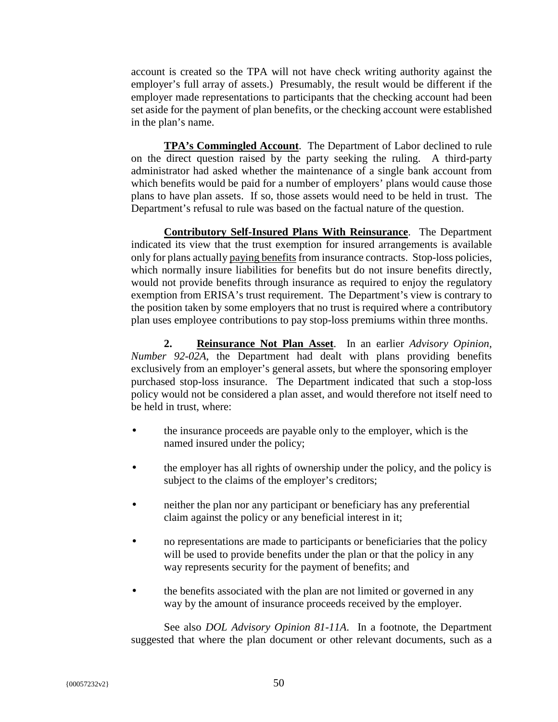account is created so the TPA will not have check writing authority against the employer's full array of assets.) Presumably, the result would be different if the employer made representations to participants that the checking account had been set aside for the payment of plan benefits, or the checking account were established in the plan's name.

**TPA's Commingled Account**. The Department of Labor declined to rule on the direct question raised by the party seeking the ruling. A third-party administrator had asked whether the maintenance of a single bank account from which benefits would be paid for a number of employers' plans would cause those plans to have plan assets. If so, those assets would need to be held in trust. The Department's refusal to rule was based on the factual nature of the question.

**Contributory Self-Insured Plans With Reinsurance**. The Department indicated its view that the trust exemption for insured arrangements is available only for plans actually paying benefits from insurance contracts. Stop-loss policies, which normally insure liabilities for benefits but do not insure benefits directly, would not provide benefits through insurance as required to enjoy the regulatory exemption from ERISA's trust requirement. The Department's view is contrary to the position taken by some employers that no trust is required where a contributory plan uses employee contributions to pay stop-loss premiums within three months.

**2. Reinsurance Not Plan Asset**. In an earlier *Advisory Opinion, Number 92-02A*, the Department had dealt with plans providing benefits exclusively from an employer's general assets, but where the sponsoring employer purchased stop-loss insurance. The Department indicated that such a stop-loss policy would not be considered a plan asset, and would therefore not itself need to be held in trust, where:

- the insurance proceeds are payable only to the employer, which is the named insured under the policy;
- the employer has all rights of ownership under the policy, and the policy is subject to the claims of the employer's creditors;
- neither the plan nor any participant or beneficiary has any preferential claim against the policy or any beneficial interest in it;
- no representations are made to participants or beneficiaries that the policy will be used to provide benefits under the plan or that the policy in any way represents security for the payment of benefits; and
- the benefits associated with the plan are not limited or governed in any way by the amount of insurance proceeds received by the employer.

See also *DOL Advisory Opinion 81-11A*. In a footnote, the Department suggested that where the plan document or other relevant documents, such as a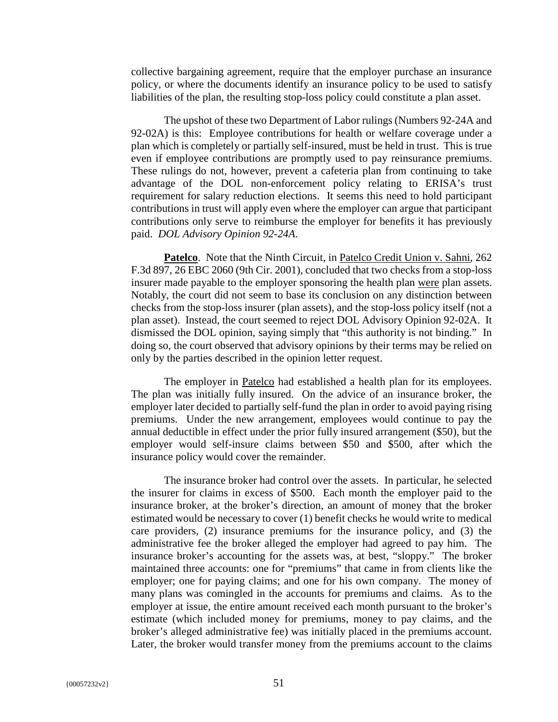collective bargaining agreement, require that the employer purchase an insurance policy, or where the documents identify an insurance policy to be used to satisfy liabilities of the plan, the resulting stop-loss policy could constitute a plan asset.

The upshot of these two Department of Labor rulings (Numbers 92-24A and 92-02A) is this: Employee contributions for health or welfare coverage under a plan which is completely or partially self-insured, must be held in trust. This is true even if employee contributions are promptly used to pay reinsurance premiums. These rulings do not, however, prevent a cafeteria plan from continuing to take advantage of the DOL non-enforcement policy relating to ERISA's trust requirement for salary reduction elections. It seems this need to hold participant contributions in trust will apply even where the employer can argue that participant contributions only serve to reimburse the employer for benefits it has previously paid. *DOL Advisory Opinion 92-24A*.

**Patelco**. Note that the Ninth Circuit, in Patelco Credit Union v. Sahni, 262 F.3d 897, 26 EBC 2060 (9th Cir. 2001), concluded that two checks from a stop-loss insurer made payable to the employer sponsoring the health plan were plan assets. Notably, the court did not seem to base its conclusion on any distinction between checks from the stop-loss insurer (plan assets), and the stop-loss policy itself (not a plan asset). Instead, the court seemed to reject DOL Advisory Opinion 92-02A. It dismissed the DOL opinion, saying simply that "this authority is not binding." In doing so, the court observed that advisory opinions by their terms may be relied on only by the parties described in the opinion letter request.

The employer in Patelco had established a health plan for its employees. The plan was initially fully insured. On the advice of an insurance broker, the employer later decided to partially self-fund the plan in order to avoid paying rising premiums. Under the new arrangement, employees would continue to pay the annual deductible in effect under the prior fully insured arrangement (\$50), but the employer would self-insure claims between \$50 and \$500, after which the insurance policy would cover the remainder.

The insurance broker had control over the assets. In particular, he selected the insurer for claims in excess of \$500. Each month the employer paid to the insurance broker, at the broker's direction, an amount of money that the broker estimated would be necessary to cover (1) benefit checks he would write to medical care providers, (2) insurance premiums for the insurance policy, and (3) the administrative fee the broker alleged the employer had agreed to pay him. The insurance broker's accounting for the assets was, at best, "sloppy." The broker maintained three accounts: one for "premiums" that came in from clients like the employer; one for paying claims; and one for his own company. The money of many plans was comingled in the accounts for premiums and claims. As to the employer at issue, the entire amount received each month pursuant to the broker's estimate (which included money for premiums, money to pay claims, and the broker's alleged administrative fee) was initially placed in the premiums account. Later, the broker would transfer money from the premiums account to the claims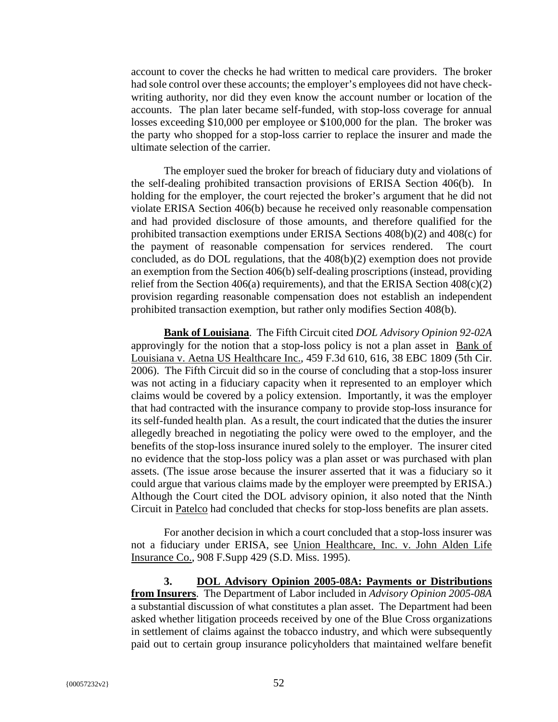account to cover the checks he had written to medical care providers. The broker had sole control over these accounts; the employer's employees did not have checkwriting authority, nor did they even know the account number or location of the accounts. The plan later became self-funded, with stop-loss coverage for annual losses exceeding \$10,000 per employee or \$100,000 for the plan. The broker was the party who shopped for a stop-loss carrier to replace the insurer and made the ultimate selection of the carrier.

The employer sued the broker for breach of fiduciary duty and violations of the self-dealing prohibited transaction provisions of ERISA Section 406(b). In holding for the employer, the court rejected the broker's argument that he did not violate ERISA Section 406(b) because he received only reasonable compensation and had provided disclosure of those amounts, and therefore qualified for the prohibited transaction exemptions under ERISA Sections 408(b)(2) and 408(c) for the payment of reasonable compensation for services rendered. The court concluded, as do DOL regulations, that the  $408(b)(2)$  exemption does not provide an exemption from the Section 406(b) self-dealing proscriptions (instead, providing relief from the Section  $406(a)$  requirements), and that the ERISA Section  $408(c)(2)$ provision regarding reasonable compensation does not establish an independent prohibited transaction exemption, but rather only modifies Section 408(b).

**Bank of Louisiana**. The Fifth Circuit cited *DOL Advisory Opinion 92-02A* approvingly for the notion that a stop-loss policy is not a plan asset in Bank of Louisiana v. Aetna US Healthcare Inc., 459 F.3d 610, 616, 38 EBC 1809 (5th Cir. 2006). The Fifth Circuit did so in the course of concluding that a stop-loss insurer was not acting in a fiduciary capacity when it represented to an employer which claims would be covered by a policy extension. Importantly, it was the employer that had contracted with the insurance company to provide stop-loss insurance for its self-funded health plan. As a result, the court indicated that the duties the insurer allegedly breached in negotiating the policy were owed to the employer, and the benefits of the stop-loss insurance inured solely to the employer. The insurer cited no evidence that the stop-loss policy was a plan asset or was purchased with plan assets. (The issue arose because the insurer asserted that it was a fiduciary so it could argue that various claims made by the employer were preempted by ERISA.) Although the Court cited the DOL advisory opinion, it also noted that the Ninth Circuit in Patelco had concluded that checks for stop-loss benefits are plan assets.

For another decision in which a court concluded that a stop-loss insurer was not a fiduciary under ERISA, see Union Healthcare, Inc. v. John Alden Life Insurance Co., 908 F.Supp 429 (S.D. Miss. 1995).

**3. DOL Advisory Opinion 2005-08A: Payments or Distributions from Insurers**. The Department of Labor included in *Advisory Opinion 2005-08A* a substantial discussion of what constitutes a plan asset. The Department had been asked whether litigation proceeds received by one of the Blue Cross organizations in settlement of claims against the tobacco industry, and which were subsequently paid out to certain group insurance policyholders that maintained welfare benefit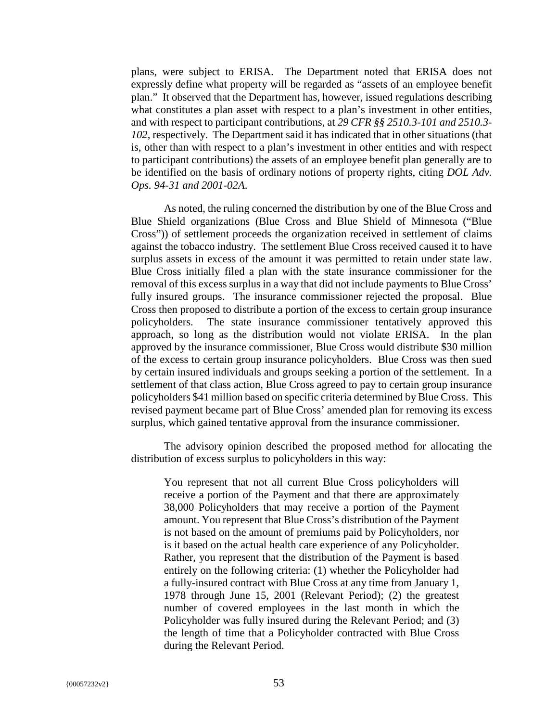plans, were subject to ERISA. The Department noted that ERISA does not expressly define what property will be regarded as "assets of an employee benefit plan." It observed that the Department has, however, issued regulations describing what constitutes a plan asset with respect to a plan's investment in other entities, and with respect to participant contributions, at *29 CFR §§ 2510.3-101 and 2510.3- 102*, respectively. The Department said it has indicated that in other situations (that is, other than with respect to a plan's investment in other entities and with respect to participant contributions) the assets of an employee benefit plan generally are to be identified on the basis of ordinary notions of property rights, citing *DOL Adv. Ops. 94-31 and 2001-02A*.

As noted, the ruling concerned the distribution by one of the Blue Cross and Blue Shield organizations (Blue Cross and Blue Shield of Minnesota ("Blue Cross")) of settlement proceeds the organization received in settlement of claims against the tobacco industry. The settlement Blue Cross received caused it to have surplus assets in excess of the amount it was permitted to retain under state law. Blue Cross initially filed a plan with the state insurance commissioner for the removal of this excess surplus in a way that did not include payments to Blue Cross' fully insured groups. The insurance commissioner rejected the proposal. Blue Cross then proposed to distribute a portion of the excess to certain group insurance policyholders. The state insurance commissioner tentatively approved this approach, so long as the distribution would not violate ERISA. In the plan approved by the insurance commissioner, Blue Cross would distribute \$30 million of the excess to certain group insurance policyholders. Blue Cross was then sued by certain insured individuals and groups seeking a portion of the settlement. In a settlement of that class action, Blue Cross agreed to pay to certain group insurance policyholders \$41 million based on specific criteria determined by Blue Cross. This revised payment became part of Blue Cross' amended plan for removing its excess surplus, which gained tentative approval from the insurance commissioner.

The advisory opinion described the proposed method for allocating the distribution of excess surplus to policyholders in this way:

You represent that not all current Blue Cross policyholders will receive a portion of the Payment and that there are approximately 38,000 Policyholders that may receive a portion of the Payment amount. You represent that Blue Cross's distribution of the Payment is not based on the amount of premiums paid by Policyholders, nor is it based on the actual health care experience of any Policyholder. Rather, you represent that the distribution of the Payment is based entirely on the following criteria: (1) whether the Policyholder had a fully-insured contract with Blue Cross at any time from January 1, 1978 through June 15, 2001 (Relevant Period); (2) the greatest number of covered employees in the last month in which the Policyholder was fully insured during the Relevant Period; and (3) the length of time that a Policyholder contracted with Blue Cross during the Relevant Period.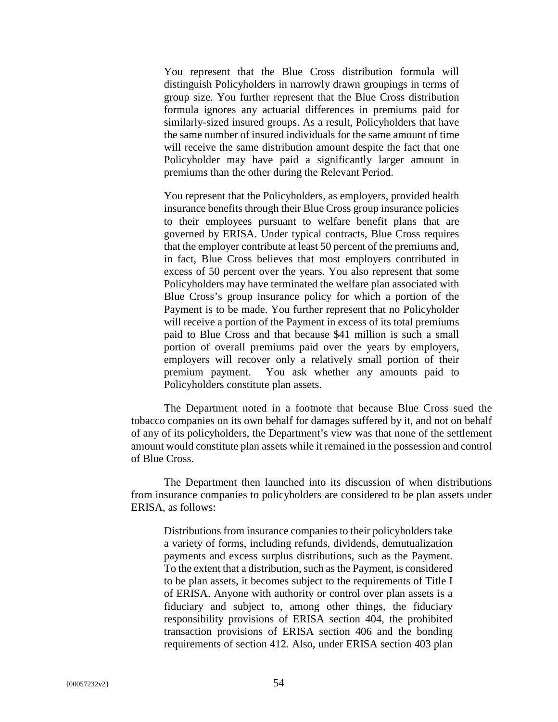You represent that the Blue Cross distribution formula will distinguish Policyholders in narrowly drawn groupings in terms of group size. You further represent that the Blue Cross distribution formula ignores any actuarial differences in premiums paid for similarly-sized insured groups. As a result, Policyholders that have the same number of insured individuals for the same amount of time will receive the same distribution amount despite the fact that one Policyholder may have paid a significantly larger amount in premiums than the other during the Relevant Period.

You represent that the Policyholders, as employers, provided health insurance benefits through their Blue Cross group insurance policies to their employees pursuant to welfare benefit plans that are governed by ERISA. Under typical contracts, Blue Cross requires that the employer contribute at least 50 percent of the premiums and, in fact, Blue Cross believes that most employers contributed in excess of 50 percent over the years. You also represent that some Policyholders may have terminated the welfare plan associated with Blue Cross's group insurance policy for which a portion of the Payment is to be made. You further represent that no Policyholder will receive a portion of the Payment in excess of its total premiums paid to Blue Cross and that because \$41 million is such a small portion of overall premiums paid over the years by employers, employers will recover only a relatively small portion of their premium payment. You ask whether any amounts paid to Policyholders constitute plan assets.

The Department noted in a footnote that because Blue Cross sued the tobacco companies on its own behalf for damages suffered by it, and not on behalf of any of its policyholders, the Department's view was that none of the settlement amount would constitute plan assets while it remained in the possession and control of Blue Cross.

The Department then launched into its discussion of when distributions from insurance companies to policyholders are considered to be plan assets under ERISA, as follows:

Distributions from insurance companies to their policyholders take a variety of forms, including refunds, dividends, demutualization payments and excess surplus distributions, such as the Payment. To the extent that a distribution, such as the Payment, is considered to be plan assets, it becomes subject to the requirements of Title I of ERISA. Anyone with authority or control over plan assets is a fiduciary and subject to, among other things, the fiduciary responsibility provisions of ERISA section 404, the prohibited transaction provisions of ERISA section 406 and the bonding requirements of section 412. Also, under ERISA section 403 plan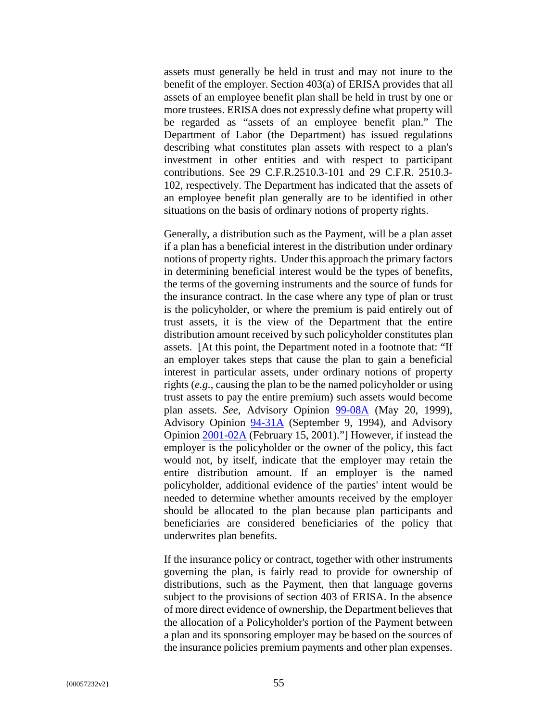assets must generally be held in trust and may not inure to the benefit of the employer. Section 403(a) of ERISA provides that all assets of an employee benefit plan shall be held in trust by one or more trustees. ERISA does not expressly define what property will be regarded as "assets of an employee benefit plan." The Department of Labor (the Department) has issued regulations describing what constitutes plan assets with respect to a plan's investment in other entities and with respect to participant contributions. See 29 C.F.R.2510.3-101 and 29 C.F.R. 2510.3- 102, respectively. The Department has indicated that the assets of an employee benefit plan generally are to be identified in other situations on the basis of ordinary notions of property rights.

Generally, a distribution such as the Payment, will be a plan asset if a plan has a beneficial interest in the distribution under ordinary notions of property rights. Under this approach the primary factors in determining beneficial interest would be the types of benefits, the terms of the governing instruments and the source of funds for the insurance contract. In the case where any type of plan or trust is the policyholder, or where the premium is paid entirely out of trust assets, it is the view of the Department that the entire distribution amount received by such policyholder constitutes plan assets. [At this point, the Department noted in a footnote that: "If an employer takes steps that cause the plan to gain a beneficial interest in particular assets, under ordinary notions of property rights (*e.g.*, causing the plan to be the named policyholder or using trust assets to pay the entire premium) such assets would become plan assets. *See*, Advisory Opinion 99-08A (May 20, 1999), Advisory Opinion 94-31A (September 9, 1994), and Advisory Opinion 2001-02A (February 15, 2001)."] However, if instead the employer is the policyholder or the owner of the policy, this fact would not, by itself, indicate that the employer may retain the entire distribution amount. If an employer is the named policyholder, additional evidence of the parties' intent would be needed to determine whether amounts received by the employer should be allocated to the plan because plan participants and beneficiaries are considered beneficiaries of the policy that underwrites plan benefits.

If the insurance policy or contract, together with other instruments governing the plan, is fairly read to provide for ownership of distributions, such as the Payment, then that language governs subject to the provisions of section 403 of ERISA. In the absence of more direct evidence of ownership, the Department believes that the allocation of a Policyholder's portion of the Payment between a plan and its sponsoring employer may be based on the sources of the insurance policies premium payments and other plan expenses.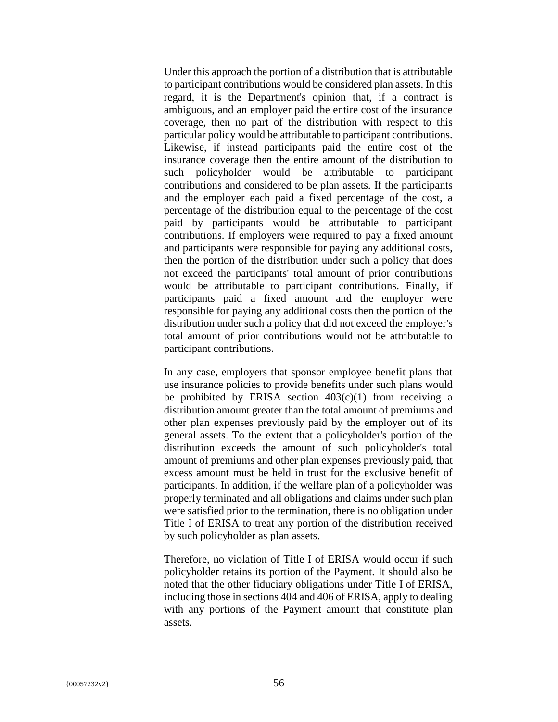Under this approach the portion of a distribution that is attributable to participant contributions would be considered plan assets. In this regard, it is the Department's opinion that, if a contract is ambiguous, and an employer paid the entire cost of the insurance coverage, then no part of the distribution with respect to this particular policy would be attributable to participant contributions. Likewise, if instead participants paid the entire cost of the insurance coverage then the entire amount of the distribution to such policyholder would be attributable to participant contributions and considered to be plan assets. If the participants and the employer each paid a fixed percentage of the cost, a percentage of the distribution equal to the percentage of the cost paid by participants would be attributable to participant contributions. If employers were required to pay a fixed amount and participants were responsible for paying any additional costs, then the portion of the distribution under such a policy that does not exceed the participants' total amount of prior contributions would be attributable to participant contributions. Finally, if participants paid a fixed amount and the employer were responsible for paying any additional costs then the portion of the distribution under such a policy that did not exceed the employer's total amount of prior contributions would not be attributable to participant contributions.

In any case, employers that sponsor employee benefit plans that use insurance policies to provide benefits under such plans would be prohibited by ERISA section  $403(c)(1)$  from receiving a distribution amount greater than the total amount of premiums and other plan expenses previously paid by the employer out of its general assets. To the extent that a policyholder's portion of the distribution exceeds the amount of such policyholder's total amount of premiums and other plan expenses previously paid, that excess amount must be held in trust for the exclusive benefit of participants. In addition, if the welfare plan of a policyholder was properly terminated and all obligations and claims under such plan were satisfied prior to the termination, there is no obligation under Title I of ERISA to treat any portion of the distribution received by such policyholder as plan assets.

Therefore, no violation of Title I of ERISA would occur if such policyholder retains its portion of the Payment. It should also be noted that the other fiduciary obligations under Title I of ERISA, including those in sections 404 and 406 of ERISA, apply to dealing with any portions of the Payment amount that constitute plan assets.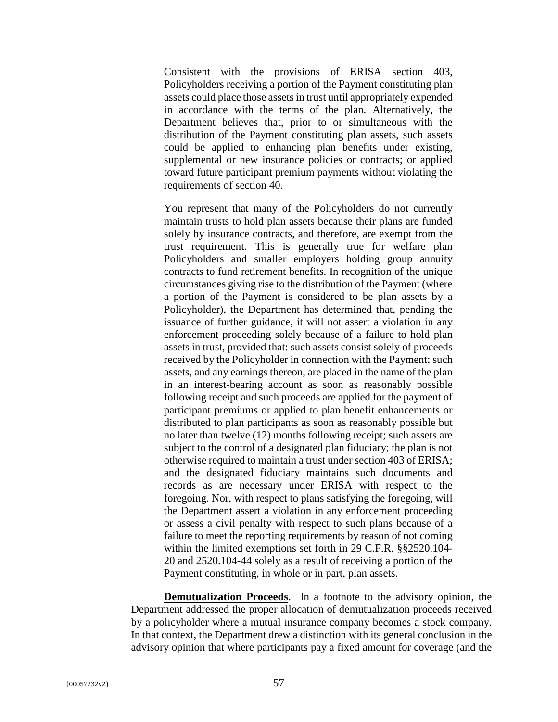Consistent with the provisions of ERISA section 403, Policyholders receiving a portion of the Payment constituting plan assets could place those assets in trust until appropriately expended in accordance with the terms of the plan. Alternatively, the Department believes that, prior to or simultaneous with the distribution of the Payment constituting plan assets, such assets could be applied to enhancing plan benefits under existing, supplemental or new insurance policies or contracts; or applied toward future participant premium payments without violating the requirements of section 40.

You represent that many of the Policyholders do not currently maintain trusts to hold plan assets because their plans are funded solely by insurance contracts, and therefore, are exempt from the trust requirement. This is generally true for welfare plan Policyholders and smaller employers holding group annuity contracts to fund retirement benefits. In recognition of the unique circumstances giving rise to the distribution of the Payment (where a portion of the Payment is considered to be plan assets by a Policyholder), the Department has determined that, pending the issuance of further guidance, it will not assert a violation in any enforcement proceeding solely because of a failure to hold plan assets in trust, provided that: such assets consist solely of proceeds received by the Policyholder in connection with the Payment; such assets, and any earnings thereon, are placed in the name of the plan in an interest-bearing account as soon as reasonably possible following receipt and such proceeds are applied for the payment of participant premiums or applied to plan benefit enhancements or distributed to plan participants as soon as reasonably possible but no later than twelve (12) months following receipt; such assets are subject to the control of a designated plan fiduciary; the plan is not otherwise required to maintain a trust under section 403 of ERISA; and the designated fiduciary maintains such documents and records as are necessary under ERISA with respect to the foregoing. Nor, with respect to plans satisfying the foregoing, will the Department assert a violation in any enforcement proceeding or assess a civil penalty with respect to such plans because of a failure to meet the reporting requirements by reason of not coming within the limited exemptions set forth in 29 C.F.R. §§2520.104- 20 and 2520.104-44 solely as a result of receiving a portion of the Payment constituting, in whole or in part, plan assets.

**Demutualization Proceeds**. In a footnote to the advisory opinion, the Department addressed the proper allocation of demutualization proceeds received by a policyholder where a mutual insurance company becomes a stock company. In that context, the Department drew a distinction with its general conclusion in the advisory opinion that where participants pay a fixed amount for coverage (and the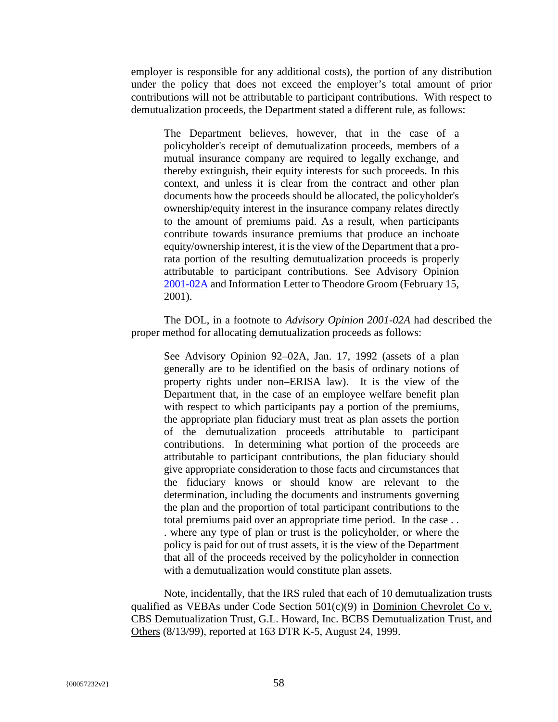employer is responsible for any additional costs), the portion of any distribution under the policy that does not exceed the employer's total amount of prior contributions will not be attributable to participant contributions. With respect to demutualization proceeds, the Department stated a different rule, as follows:

The Department believes, however, that in the case of a policyholder's receipt of demutualization proceeds, members of a mutual insurance company are required to legally exchange, and thereby extinguish, their equity interests for such proceeds. In this context, and unless it is clear from the contract and other plan documents how the proceeds should be allocated, the policyholder's ownership/equity interest in the insurance company relates directly to the amount of premiums paid. As a result, when participants contribute towards insurance premiums that produce an inchoate equity/ownership interest, it is the view of the Department that a prorata portion of the resulting demutualization proceeds is properly attributable to participant contributions. See Advisory Opinion 2001-02A and Information Letter to Theodore Groom (February 15, 2001).

The DOL, in a footnote to *Advisory Opinion 2001-02A* had described the proper method for allocating demutualization proceeds as follows:

See Advisory Opinion 92–02A, Jan. 17, 1992 (assets of a plan generally are to be identified on the basis of ordinary notions of property rights under non–ERISA law). It is the view of the Department that, in the case of an employee welfare benefit plan with respect to which participants pay a portion of the premiums, the appropriate plan fiduciary must treat as plan assets the portion of the demutualization proceeds attributable to participant contributions. In determining what portion of the proceeds are attributable to participant contributions, the plan fiduciary should give appropriate consideration to those facts and circumstances that the fiduciary knows or should know are relevant to the determination, including the documents and instruments governing the plan and the proportion of total participant contributions to the total premiums paid over an appropriate time period. In the case . . . where any type of plan or trust is the policyholder, or where the policy is paid for out of trust assets, it is the view of the Department that all of the proceeds received by the policyholder in connection with a demutualization would constitute plan assets.

Note, incidentally, that the IRS ruled that each of 10 demutualization trusts qualified as VEBAs under Code Section 501(c)(9) in Dominion Chevrolet Co v. CBS Demutualization Trust, G.L. Howard, Inc. BCBS Demutualization Trust, and Others (8/13/99), reported at 163 DTR K-5, August 24, 1999.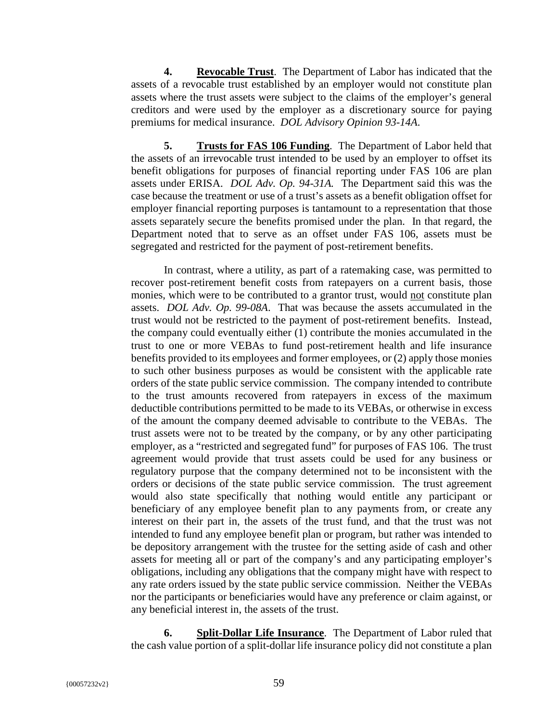**4. Revocable Trust**. The Department of Labor has indicated that the assets of a revocable trust established by an employer would not constitute plan assets where the trust assets were subject to the claims of the employer's general creditors and were used by the employer as a discretionary source for paying premiums for medical insurance. *DOL Advisory Opinion 93-14A*.

**5. Trusts for FAS 106 Funding**. The Department of Labor held that the assets of an irrevocable trust intended to be used by an employer to offset its benefit obligations for purposes of financial reporting under FAS 106 are plan assets under ERISA. *DOL Adv. Op. 94-31A.* The Department said this was the case because the treatment or use of a trust's assets as a benefit obligation offset for employer financial reporting purposes is tantamount to a representation that those assets separately secure the benefits promised under the plan. In that regard, the Department noted that to serve as an offset under FAS 106, assets must be segregated and restricted for the payment of post-retirement benefits.

In contrast, where a utility, as part of a ratemaking case, was permitted to recover post-retirement benefit costs from ratepayers on a current basis, those monies, which were to be contributed to a grantor trust, would not constitute plan assets. *DOL Adv. Op. 99-08A*. That was because the assets accumulated in the trust would not be restricted to the payment of post-retirement benefits. Instead, the company could eventually either (1) contribute the monies accumulated in the trust to one or more VEBAs to fund post-retirement health and life insurance benefits provided to its employees and former employees, or (2) apply those monies to such other business purposes as would be consistent with the applicable rate orders of the state public service commission. The company intended to contribute to the trust amounts recovered from ratepayers in excess of the maximum deductible contributions permitted to be made to its VEBAs, or otherwise in excess of the amount the company deemed advisable to contribute to the VEBAs. The trust assets were not to be treated by the company, or by any other participating employer, as a "restricted and segregated fund" for purposes of FAS 106. The trust agreement would provide that trust assets could be used for any business or regulatory purpose that the company determined not to be inconsistent with the orders or decisions of the state public service commission. The trust agreement would also state specifically that nothing would entitle any participant or beneficiary of any employee benefit plan to any payments from, or create any interest on their part in, the assets of the trust fund, and that the trust was not intended to fund any employee benefit plan or program, but rather was intended to be depository arrangement with the trustee for the setting aside of cash and other assets for meeting all or part of the company's and any participating employer's obligations, including any obligations that the company might have with respect to any rate orders issued by the state public service commission. Neither the VEBAs nor the participants or beneficiaries would have any preference or claim against, or any beneficial interest in, the assets of the trust.

**6. Split-Dollar Life Insurance**. The Department of Labor ruled that the cash value portion of a split-dollar life insurance policy did not constitute a plan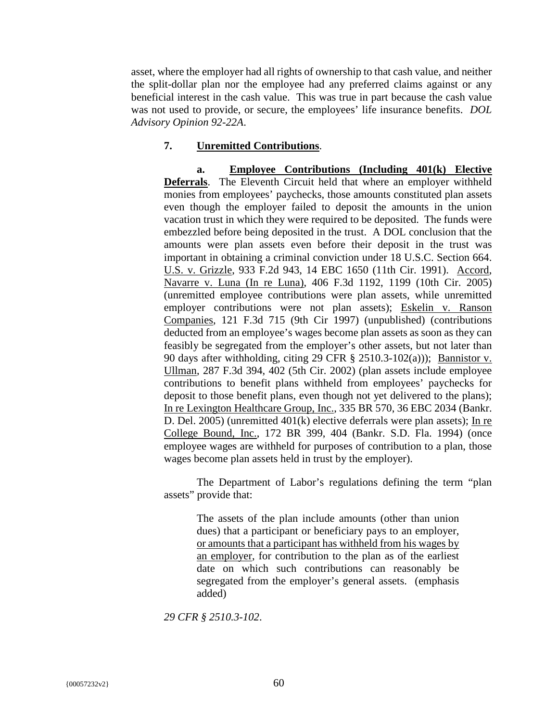asset, where the employer had all rights of ownership to that cash value, and neither the split-dollar plan nor the employee had any preferred claims against or any beneficial interest in the cash value. This was true in part because the cash value was not used to provide, or secure, the employees' life insurance benefits. *DOL Advisory Opinion 92-22A*.

#### **7. Unremitted Contributions**.

**a. Employee Contributions (Including 401(k) Elective Deferrals**. The Eleventh Circuit held that where an employer withheld monies from employees' paychecks, those amounts constituted plan assets even though the employer failed to deposit the amounts in the union vacation trust in which they were required to be deposited. The funds were embezzled before being deposited in the trust. A DOL conclusion that the amounts were plan assets even before their deposit in the trust was important in obtaining a criminal conviction under 18 U.S.C. Section 664. U.S. v. Grizzle, 933 F.2d 943, 14 EBC 1650 (11th Cir. 1991). Accord, Navarre v. Luna (In re Luna), 406 F.3d 1192, 1199 (10th Cir. 2005) (unremitted employee contributions were plan assets, while unremitted employer contributions were not plan assets); Eskelin v. Ranson Companies, 121 F.3d 715 (9th Cir 1997) (unpublished) (contributions deducted from an employee's wages become plan assets as soon as they can feasibly be segregated from the employer's other assets, but not later than 90 days after withholding, citing 29 CFR § 2510.3-102(a))); Bannistor v. Ullman, 287 F.3d 394, 402 (5th Cir. 2002) (plan assets include employee contributions to benefit plans withheld from employees' paychecks for deposit to those benefit plans, even though not yet delivered to the plans); In re Lexington Healthcare Group, Inc., 335 BR 570, 36 EBC 2034 (Bankr. D. Del. 2005) (unremitted 401(k) elective deferrals were plan assets); In re College Bound, Inc., 172 BR 399, 404 (Bankr. S.D. Fla. 1994) (once employee wages are withheld for purposes of contribution to a plan, those wages become plan assets held in trust by the employer).

The Department of Labor's regulations defining the term "plan assets" provide that:

The assets of the plan include amounts (other than union dues) that a participant or beneficiary pays to an employer, or amounts that a participant has withheld from his wages by an employer, for contribution to the plan as of the earliest date on which such contributions can reasonably be segregated from the employer's general assets. (emphasis added)

*29 CFR § 2510.3-102*.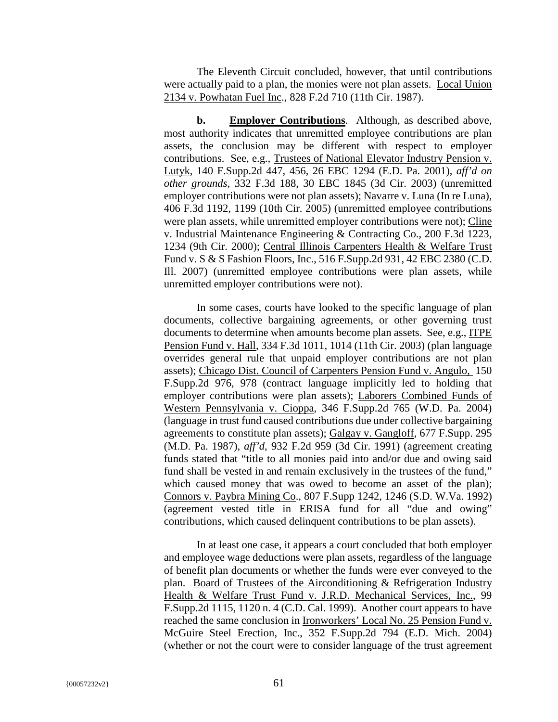The Eleventh Circuit concluded, however, that until contributions were actually paid to a plan, the monies were not plan assets. Local Union 2134 v. Powhatan Fuel Inc., 828 F.2d 710 (11th Cir. 1987).

**b. Employer Contributions**. Although, as described above, most authority indicates that unremitted employee contributions are plan assets, the conclusion may be different with respect to employer contributions. See, e.g., Trustees of National Elevator Industry Pension v. Lutyk, 140 F.Supp.2d 447, 456, 26 EBC 1294 (E.D. Pa. 2001), *aff'd on other grounds*, 332 F.3d 188, 30 EBC 1845 (3d Cir. 2003) (unremitted employer contributions were not plan assets); Navarre v. Luna (In re Luna), 406 F.3d 1192, 1199 (10th Cir. 2005) (unremitted employee contributions were plan assets, while unremitted employer contributions were not); Cline v. Industrial Maintenance Engineering & Contracting Co., 200 F.3d 1223, 1234 (9th Cir. 2000); Central Illinois Carpenters Health & Welfare Trust Fund v. S & S Fashion Floors, Inc., 516 F.Supp.2d 931, 42 EBC 2380 (C.D. Ill. 2007) (unremitted employee contributions were plan assets, while unremitted employer contributions were not).

In some cases, courts have looked to the specific language of plan documents, collective bargaining agreements, or other governing trust documents to determine when amounts become plan assets. See, e.g., ITPE Pension Fund v. Hall, 334 F.3d 1011, 1014 (11th Cir. 2003) (plan language overrides general rule that unpaid employer contributions are not plan assets); Chicago Dist. Council of Carpenters Pension Fund v. Angulo, 150 F.Supp.2d 976, 978 (contract language implicitly led to holding that employer contributions were plan assets); Laborers Combined Funds of Western Pennsylvania v. Cioppa, 346 F.Supp.2d 765 (W.D. Pa. 2004) (language in trust fund caused contributions due under collective bargaining agreements to constitute plan assets); Galgay v. Gangloff, 677 F.Supp. 295 (M.D. Pa. 1987), *aff'd*, 932 F.2d 959 (3d Cir. 1991) (agreement creating funds stated that "title to all monies paid into and/or due and owing said fund shall be vested in and remain exclusively in the trustees of the fund," which caused money that was owed to become an asset of the plan); Connors v. Paybra Mining Co., 807 F.Supp 1242, 1246 (S.D. W.Va. 1992) (agreement vested title in ERISA fund for all "due and owing" contributions, which caused delinquent contributions to be plan assets).

In at least one case, it appears a court concluded that both employer and employee wage deductions were plan assets, regardless of the language of benefit plan documents or whether the funds were ever conveyed to the plan. Board of Trustees of the Airconditioning & Refrigeration Industry Health & Welfare Trust Fund v. J.R.D. Mechanical Services, Inc., 99 F.Supp.2d 1115, 1120 n. 4 (C.D. Cal. 1999). Another court appears to have reached the same conclusion in Ironworkers' Local No. 25 Pension Fund v. McGuire Steel Erection, Inc., 352 F.Supp.2d 794 (E.D. Mich. 2004) (whether or not the court were to consider language of the trust agreement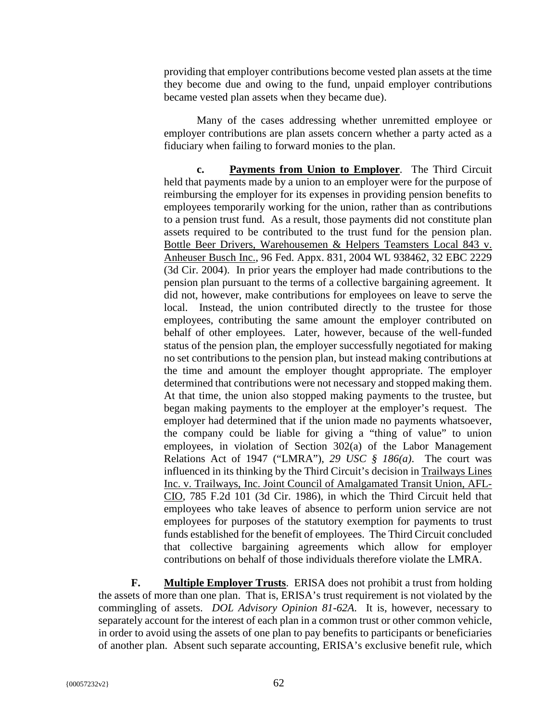providing that employer contributions become vested plan assets at the time they become due and owing to the fund, unpaid employer contributions became vested plan assets when they became due).

Many of the cases addressing whether unremitted employee or employer contributions are plan assets concern whether a party acted as a fiduciary when failing to forward monies to the plan.

**c. Payments from Union to Employer**. The Third Circuit held that payments made by a union to an employer were for the purpose of reimbursing the employer for its expenses in providing pension benefits to employees temporarily working for the union, rather than as contributions to a pension trust fund. As a result, those payments did not constitute plan assets required to be contributed to the trust fund for the pension plan. Bottle Beer Drivers, Warehousemen & Helpers Teamsters Local 843 v. Anheuser Busch Inc., 96 Fed. Appx. 831, 2004 WL 938462, 32 EBC 2229 (3d Cir. 2004). In prior years the employer had made contributions to the pension plan pursuant to the terms of a collective bargaining agreement. It did not, however, make contributions for employees on leave to serve the local. Instead, the union contributed directly to the trustee for those employees, contributing the same amount the employer contributed on behalf of other employees. Later, however, because of the well-funded status of the pension plan, the employer successfully negotiated for making no set contributions to the pension plan, but instead making contributions at the time and amount the employer thought appropriate. The employer determined that contributions were not necessary and stopped making them. At that time, the union also stopped making payments to the trustee, but began making payments to the employer at the employer's request. The employer had determined that if the union made no payments whatsoever, the company could be liable for giving a "thing of value" to union employees, in violation of Section 302(a) of the Labor Management Relations Act of 1947 ("LMRA"), *29 USC § 186(a)*. The court was influenced in its thinking by the Third Circuit's decision in Trailways Lines Inc. v. Trailways, Inc. Joint Council of Amalgamated Transit Union, AFL-CIO, 785 F.2d 101 (3d Cir. 1986), in which the Third Circuit held that employees who take leaves of absence to perform union service are not employees for purposes of the statutory exemption for payments to trust funds established for the benefit of employees. The Third Circuit concluded that collective bargaining agreements which allow for employer contributions on behalf of those individuals therefore violate the LMRA.

**F. Multiple Employer Trusts**. ERISA does not prohibit a trust from holding the assets of more than one plan. That is, ERISA's trust requirement is not violated by the commingling of assets. *DOL Advisory Opinion 81-62A*. It is, however, necessary to separately account for the interest of each plan in a common trust or other common vehicle, in order to avoid using the assets of one plan to pay benefits to participants or beneficiaries of another plan. Absent such separate accounting, ERISA's exclusive benefit rule, which